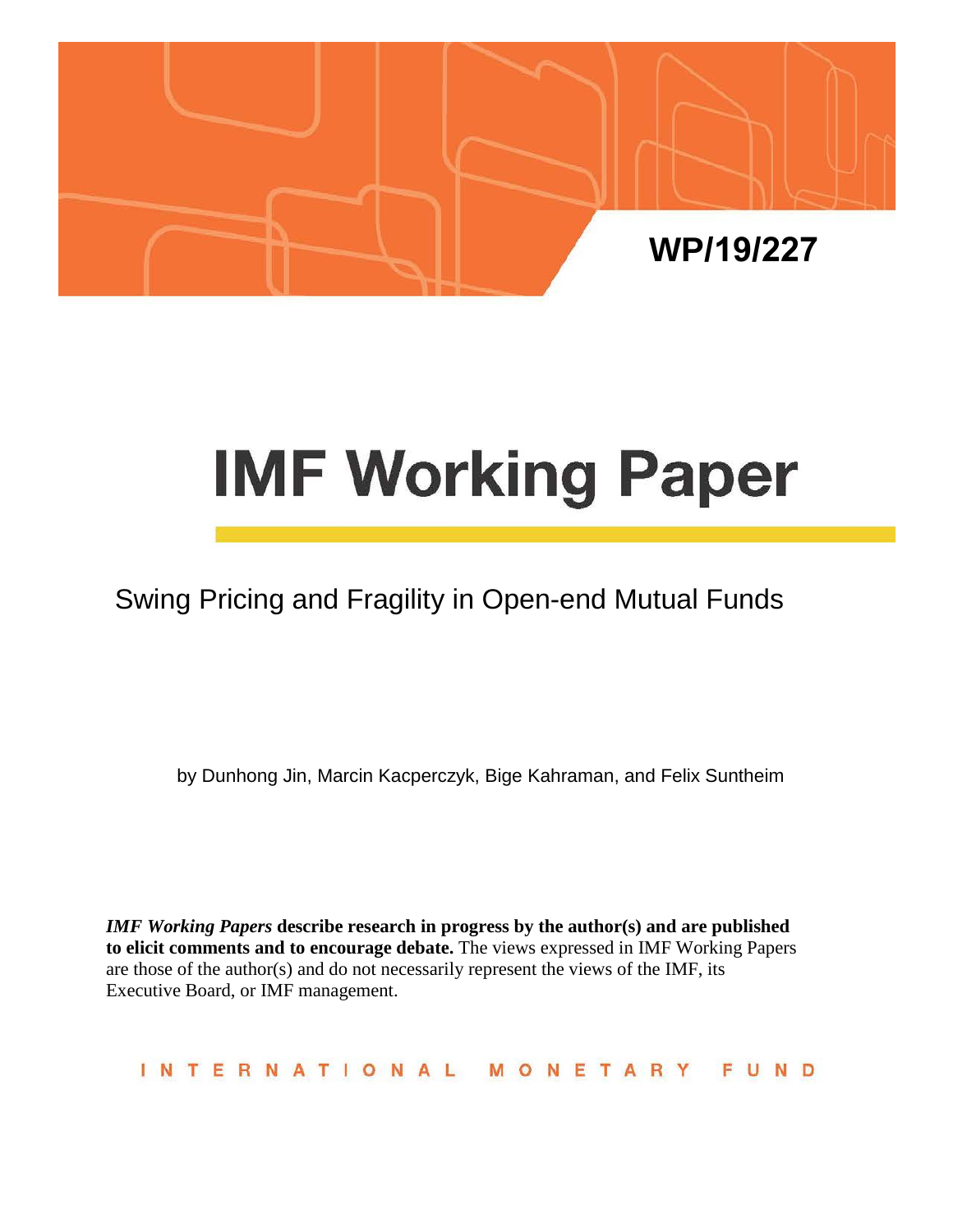

# **IMF Working Paper**

# Swing Pricing and Fragility in Open-end Mutual Funds

by Dunhong Jin, Marcin Kacperczyk, Bige Kahraman, and Felix Suntheim

*IMF Working Papers* **describe research in progress by the author(s) and are published to elicit comments and to encourage debate.** The views expressed in IMF Working Papers are those of the author(s) and do not necessarily represent the views of the IMF, its Executive Board, or IMF management.

INTERNATIONAL MONETARY FUND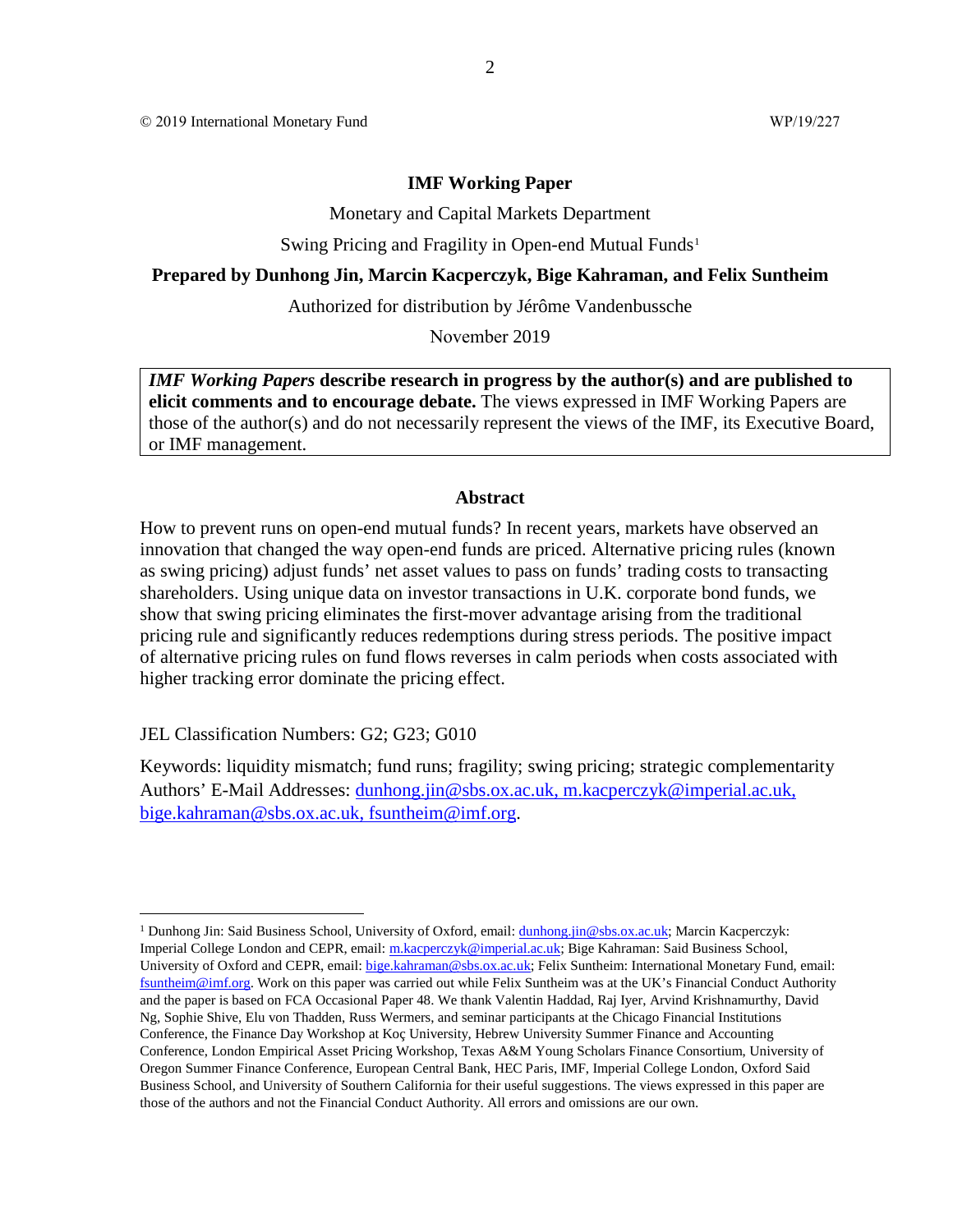© 2019 International Monetary Fund WP/19/227

#### **IMF Working Paper**

Monetary and Capital Markets Department

Swing Pricing and Fragility in Open-end Mutual Funds<sup>[1](#page-1-0)</sup>

#### **Prepared by Dunhong Jin, Marcin Kacperczyk, Bige Kahraman, and Felix Suntheim**

Authorized for distribution by Jérôme Vandenbussche

November 2019

*IMF Working Papers* **describe research in progress by the author(s) and are published to elicit comments and to encourage debate.** The views expressed in IMF Working Papers are those of the author(s) and do not necessarily represent the views of the IMF, its Executive Board, or IMF management.

#### **Abstract**

How to prevent runs on open-end mutual funds? In recent years, markets have observed an innovation that changed the way open-end funds are priced. Alternative pricing rules (known as swing pricing) adjust funds' net asset values to pass on funds' trading costs to transacting shareholders. Using unique data on investor transactions in U.K. corporate bond funds, we show that swing pricing eliminates the first-mover advantage arising from the traditional pricing rule and significantly reduces redemptions during stress periods. The positive impact of alternative pricing rules on fund flows reverses in calm periods when costs associated with higher tracking error dominate the pricing effect.

JEL Classification Numbers: G2; G23; G010

Keywords: liquidity mismatch; fund runs; fragility; swing pricing; strategic complementarity Authors' E-Mail Addresses: [dunhong.jin@sbs.ox.ac.uk,](mailto:dunhong.jin@sbs.ox.ac.uk) [m.kacperczyk@imperial.ac.uk,](mailto:m.kacperczyk@imperial.ac.uk) [bige.kahraman@sbs.ox.ac.uk,](mailto:bige.kahraman@sbs.ox.ac.uk) fsuntheim@imf.org.

<span id="page-1-0"></span><sup>&</sup>lt;sup>1</sup> Dunhong Jin: Said Business School, University of Oxford, email: *dunhong.jin@sbs.ox.ac.uk*; Marcin Kacperczyk: Imperial College London and CEPR, email: [m.kacperczyk@imperial.ac.uk;](mailto:m.kacperczyk@imperial.ac.uk) Bige Kahraman: Said Business School, University of Oxford and CEPR, email: [bige.kahraman@sbs.ox.ac.uk;](mailto:bige.kahraman@sbs.ox.ac.uk) Felix Suntheim: International Monetary Fund, email: fsuntheim@imf.org. Work on this paper was carried out while Felix Suntheim was at the UK's Financial Conduct Authority and the paper is based on FCA Occasional Paper 48. We thank Valentin Haddad, Raj Iyer, Arvind Krishnamurthy, David Ng, Sophie Shive, Elu von Thadden, Russ Wermers, and seminar participants at the Chicago Financial Institutions Conference, the Finance Day Workshop at Koç University, Hebrew University Summer Finance and Accounting Conference, London Empirical Asset Pricing Workshop, Texas A&M Young Scholars Finance Consortium, University of Oregon Summer Finance Conference, European Central Bank, HEC Paris, IMF, Imperial College London, Oxford Said Business School, and University of Southern California for their useful suggestions. The views expressed in this paper are those of the authors and not the Financial Conduct Authority. All errors and omissions are our own.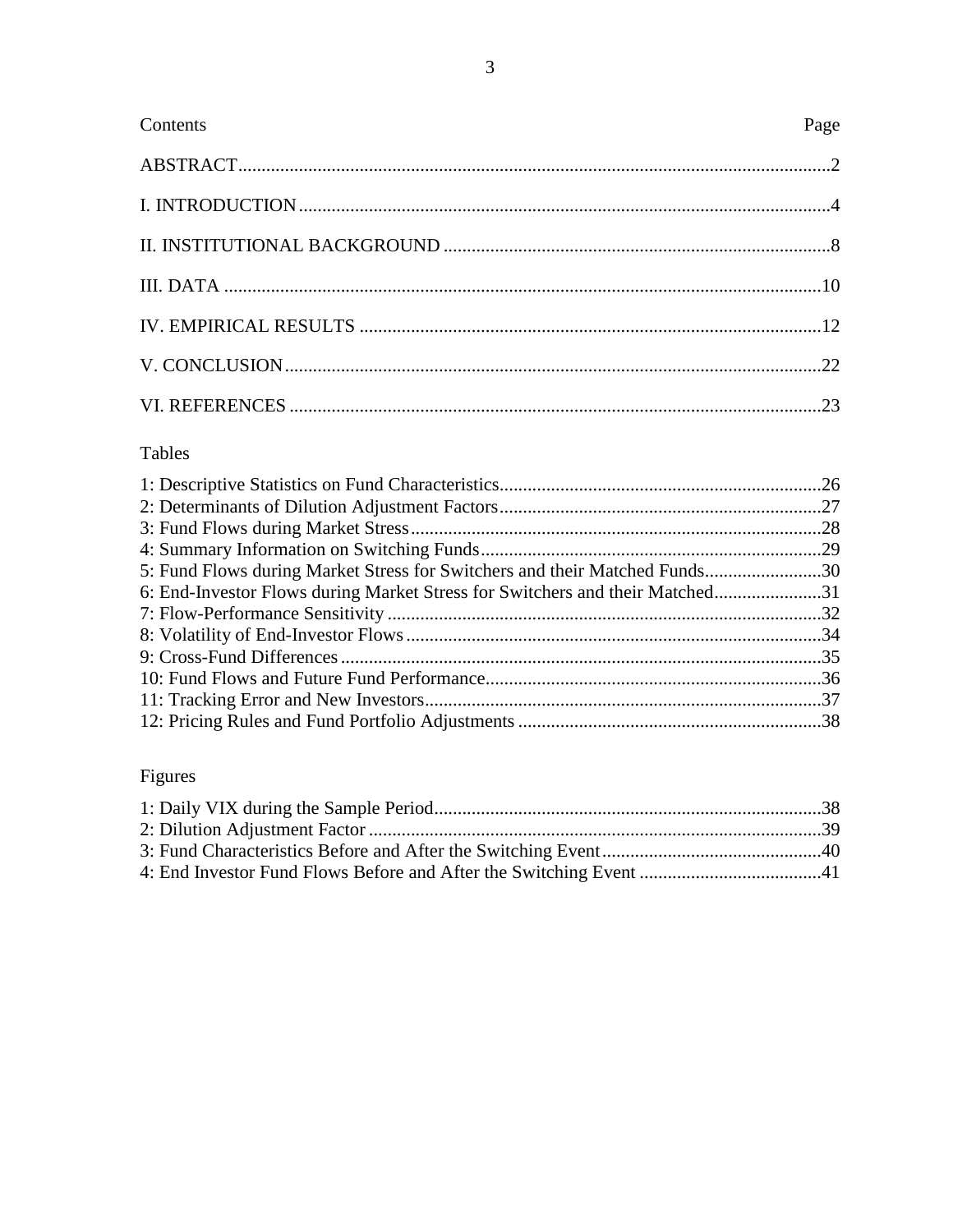| Page |
|------|
|      |
|      |
|      |
|      |
|      |
|      |
|      |
|      |

# Tables

| 5: Fund Flows during Market Stress for Switchers and their Matched Funds30   |  |
|------------------------------------------------------------------------------|--|
| 6: End-Investor Flows during Market Stress for Switchers and their Matched31 |  |
|                                                                              |  |
|                                                                              |  |
|                                                                              |  |
|                                                                              |  |
|                                                                              |  |
|                                                                              |  |
|                                                                              |  |

# Figures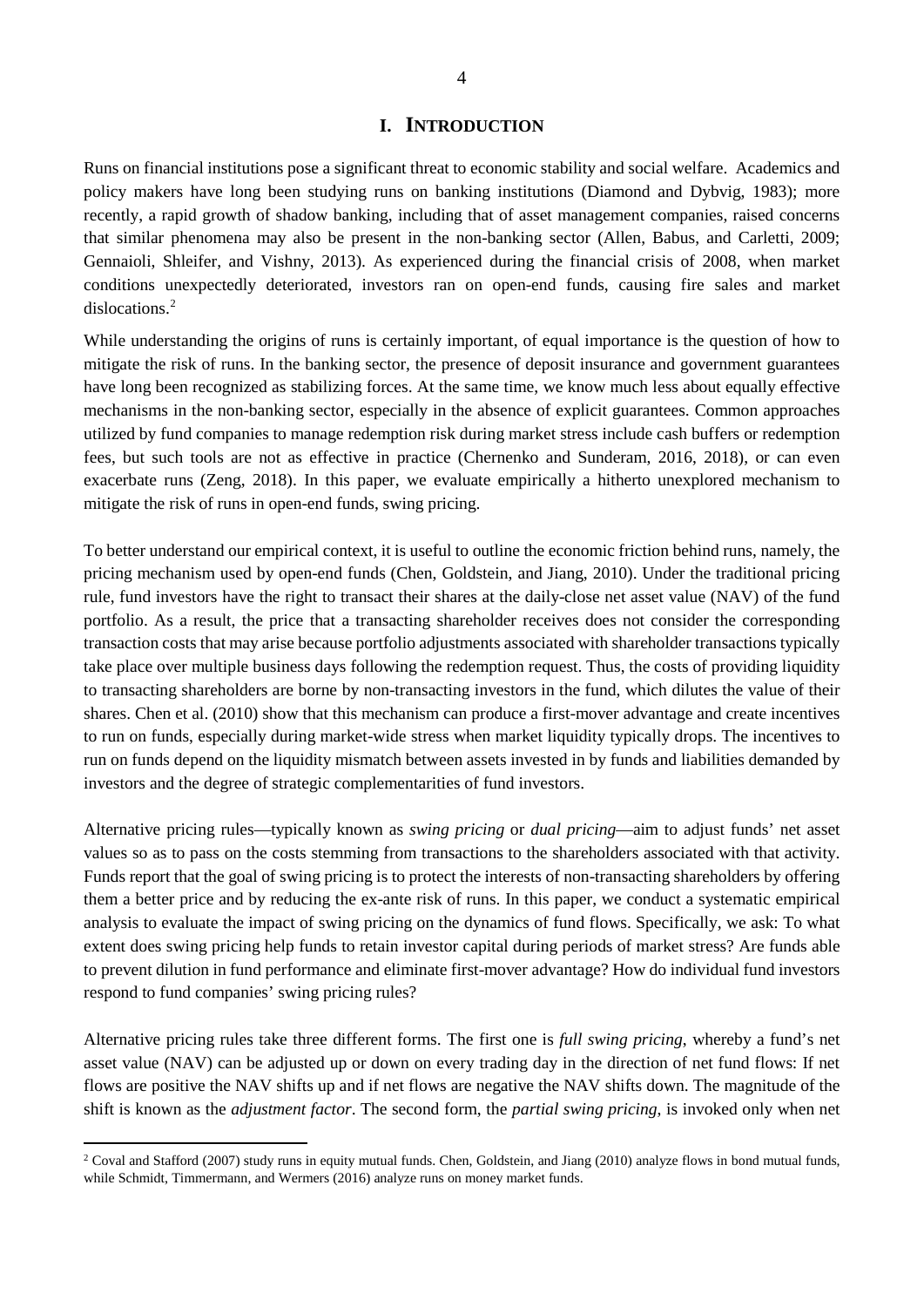# **I. INTRODUCTION**

Runs on financial institutions pose a significant threat to economic stability and social welfare. Academics and policy makers have long been studying runs on banking institutions (Diamond and Dybvig, 1983); more recently, a rapid growth of shadow banking, including that of asset management companies, raised concerns that similar phenomena may also be present in the non-banking sector (Allen, Babus, and Carletti, 2009; Gennaioli, Shleifer, and Vishny, 2013). As experienced during the financial crisis of 2008, when market conditions unexpectedly deteriorated, investors ran on open-end funds, causing fire sales and market dislocations.<sup>[2](#page-3-0)</sup>

While understanding the origins of runs is certainly important, of equal importance is the question of how to mitigate the risk of runs. In the banking sector, the presence of deposit insurance and government guarantees have long been recognized as stabilizing forces. At the same time, we know much less about equally effective mechanisms in the non-banking sector, especially in the absence of explicit guarantees. Common approaches utilized by fund companies to manage redemption risk during market stress include cash buffers or redemption fees, but such tools are not as effective in practice (Chernenko and Sunderam, 2016, 2018), or can even exacerbate runs (Zeng, 2018). In this paper, we evaluate empirically a hitherto unexplored mechanism to mitigate the risk of runs in open-end funds, swing pricing.

To better understand our empirical context, it is useful to outline the economic friction behind runs, namely, the pricing mechanism used by open-end funds (Chen, Goldstein, and Jiang, 2010). Under the traditional pricing rule, fund investors have the right to transact their shares at the daily-close net asset value (NAV) of the fund portfolio. As a result, the price that a transacting shareholder receives does not consider the corresponding transaction costs that may arise because portfolio adjustments associated with shareholder transactions typically take place over multiple business days following the redemption request. Thus, the costs of providing liquidity to transacting shareholders are borne by non-transacting investors in the fund, which dilutes the value of their shares. Chen et al. (2010) show that this mechanism can produce a first-mover advantage and create incentives to run on funds, especially during market-wide stress when market liquidity typically drops. The incentives to run on funds depend on the liquidity mismatch between assets invested in by funds and liabilities demanded by investors and the degree of strategic complementarities of fund investors.

Alternative pricing rules—typically known as *swing pricing* or *dual pricing*—aim to adjust funds' net asset values so as to pass on the costs stemming from transactions to the shareholders associated with that activity. Funds report that the goal of swing pricing is to protect the interests of non-transacting shareholders by offering them a better price and by reducing the ex-ante risk of runs. In this paper, we conduct a systematic empirical analysis to evaluate the impact of swing pricing on the dynamics of fund flows. Specifically, we ask: To what extent does swing pricing help funds to retain investor capital during periods of market stress? Are funds able to prevent dilution in fund performance and eliminate first-mover advantage? How do individual fund investors respond to fund companies' swing pricing rules?

Alternative pricing rules take three different forms. The first one is *full swing pricing*, whereby a fund's net asset value (NAV) can be adjusted up or down on every trading day in the direction of net fund flows: If net flows are positive the NAV shifts up and if net flows are negative the NAV shifts down. The magnitude of the shift is known as the *adjustment factor*. The second form, the *partial swing pricing*, is invoked only when net

<span id="page-3-0"></span> $2$  Coval and Stafford (2007) study runs in equity mutual funds. Chen, Goldstein, and Jiang (2010) analyze flows in bond mutual funds, while Schmidt, Timmermann, and Wermers (2016) analyze runs on money market funds.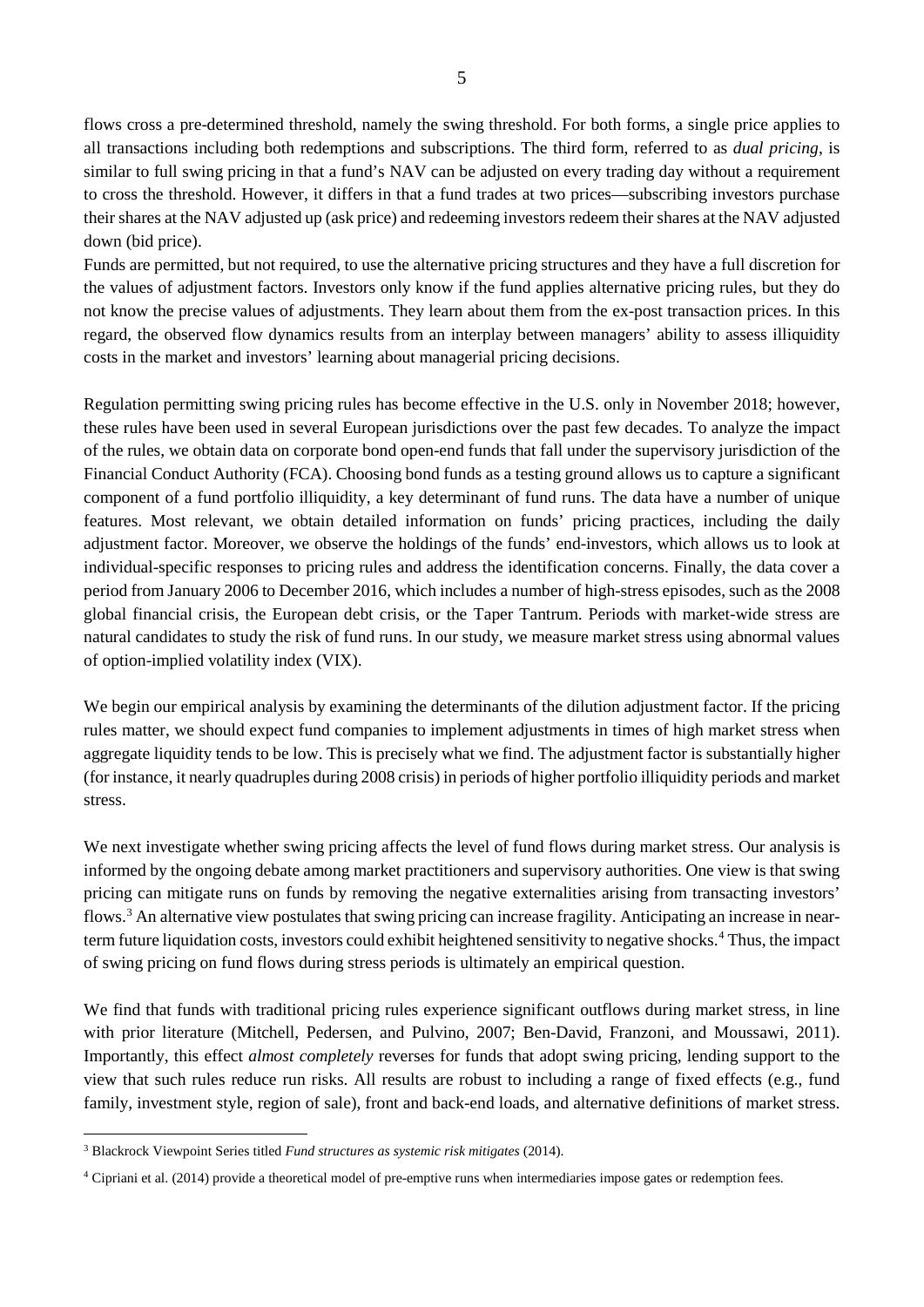flows cross a pre-determined threshold, namely the swing threshold. For both forms, a single price applies to all transactions including both redemptions and subscriptions. The third form, referred to as *dual pricing*, is similar to full swing pricing in that a fund's NAV can be adjusted on every trading day without a requirement to cross the threshold. However, it differs in that a fund trades at two prices—subscribing investors purchase their shares at the NAV adjusted up (ask price) and redeeming investors redeem their shares at the NAV adjusted down (bid price).

Funds are permitted, but not required, to use the alternative pricing structures and they have a full discretion for the values of adjustment factors. Investors only know if the fund applies alternative pricing rules, but they do not know the precise values of adjustments. They learn about them from the ex-post transaction prices. In this regard, the observed flow dynamics results from an interplay between managers' ability to assess illiquidity costs in the market and investors' learning about managerial pricing decisions.

Regulation permitting swing pricing rules has become effective in the U.S. only in November 2018; however, these rules have been used in several European jurisdictions over the past few decades. To analyze the impact of the rules, we obtain data on corporate bond open-end funds that fall under the supervisory jurisdiction of the Financial Conduct Authority (FCA). Choosing bond funds as a testing ground allows us to capture a significant component of a fund portfolio illiquidity, a key determinant of fund runs. The data have a number of unique features. Most relevant, we obtain detailed information on funds' pricing practices, including the daily adjustment factor. Moreover, we observe the holdings of the funds' end-investors, which allows us to look at individual-specific responses to pricing rules and address the identification concerns. Finally, the data cover a period from January 2006 to December 2016, which includes a number of high-stress episodes, such as the 2008 global financial crisis, the European debt crisis, or the Taper Tantrum. Periods with market-wide stress are natural candidates to study the risk of fund runs. In our study, we measure market stress using abnormal values of option-implied volatility index (VIX).

We begin our empirical analysis by examining the determinants of the dilution adjustment factor. If the pricing rules matter, we should expect fund companies to implement adjustments in times of high market stress when aggregate liquidity tends to be low. This is precisely what we find. The adjustment factor is substantially higher (for instance, it nearly quadruples during 2008 crisis) in periods of higher portfolio illiquidity periods and market stress.

We next investigate whether swing pricing affects the level of fund flows during market stress. Our analysis is informed by the ongoing debate among market practitioners and supervisory authorities. One view is that swing pricing can mitigate runs on funds by removing the negative externalities arising from transacting investors' flows.[3](#page-4-0) An alternative view postulates that swing pricing can increase fragility. Anticipating an increase in nearterm future liquidation costs, investors could exhibit heightened sensitivity to negative shocks.[4](#page-4-1) Thus, the impact of swing pricing on fund flows during stress periods is ultimately an empirical question.

We find that funds with traditional pricing rules experience significant outflows during market stress, in line with prior literature (Mitchell, Pedersen, and Pulvino, 2007; Ben-David, Franzoni, and Moussawi, 2011). Importantly, this effect *almost completely* reverses for funds that adopt swing pricing, lending support to the view that such rules reduce run risks. All results are robust to including a range of fixed effects (e.g., fund family, investment style, region of sale), front and back-end loads, and alternative definitions of market stress.

<span id="page-4-0"></span> <sup>3</sup> Blackrock Viewpoint Series titled *Fund structures as systemic risk mitigates* (2014).

<span id="page-4-1"></span><sup>4</sup> Cipriani et al. (2014) provide a theoretical model of pre-emptive runs when intermediaries impose gates or redemption fees.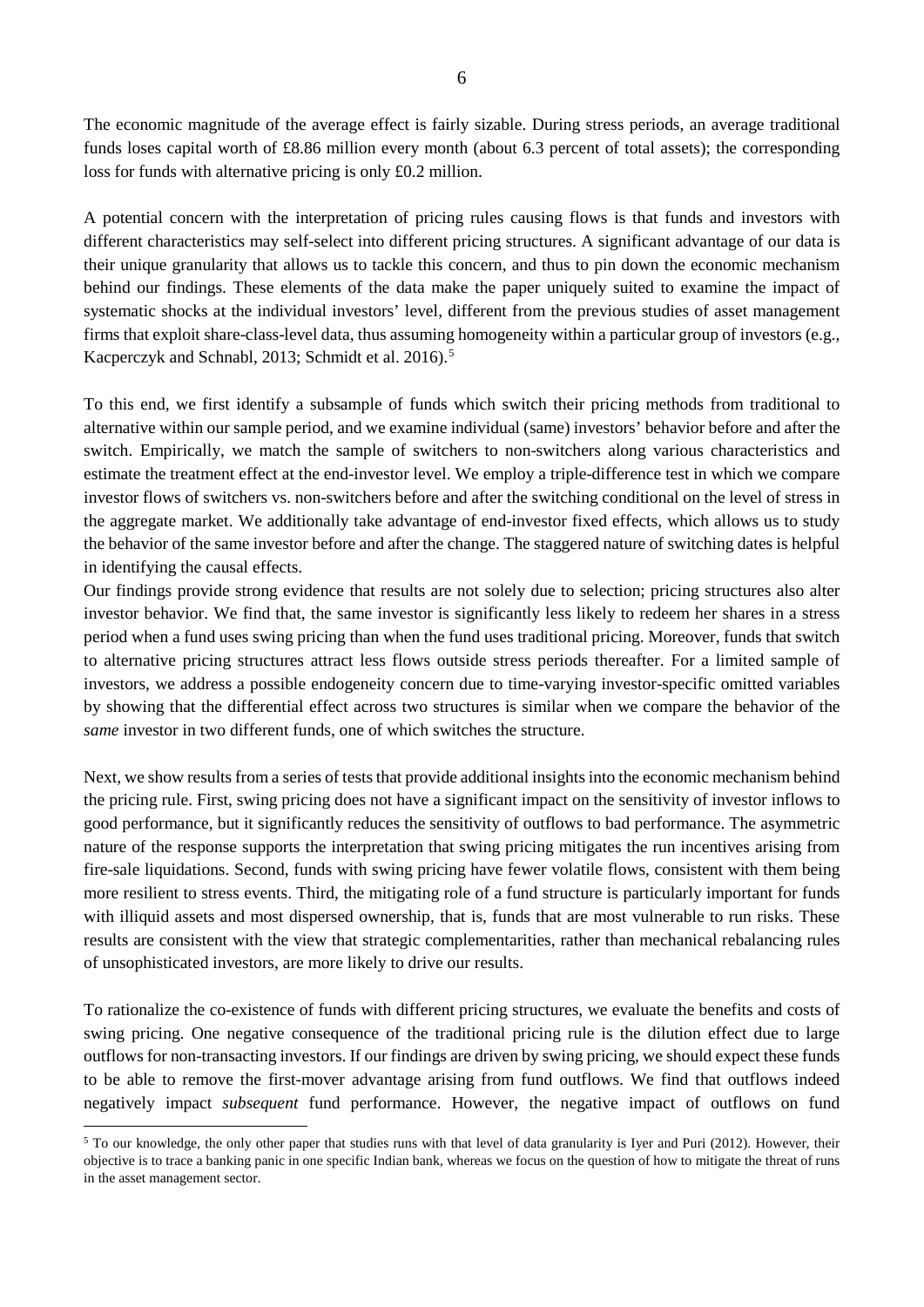The economic magnitude of the average effect is fairly sizable. During stress periods, an average traditional funds loses capital worth of £8.86 million every month (about 6.3 percent of total assets); the corresponding loss for funds with alternative pricing is only £0.2 million.

A potential concern with the interpretation of pricing rules causing flows is that funds and investors with different characteristics may self-select into different pricing structures. A significant advantage of our data is their unique granularity that allows us to tackle this concern, and thus to pin down the economic mechanism behind our findings. These elements of the data make the paper uniquely suited to examine the impact of systematic shocks at the individual investors' level, different from the previous studies of asset management firms that exploit share-class-level data, thus assuming homogeneity within a particular group of investors (e.g., Kacperczyk and Schnabl, 2013; Schmidt et al. 2016).<sup>[5](#page-5-0)</sup>

To this end, we first identify a subsample of funds which switch their pricing methods from traditional to alternative within our sample period, and we examine individual (same) investors' behavior before and after the switch. Empirically, we match the sample of switchers to non-switchers along various characteristics and estimate the treatment effect at the end-investor level. We employ a triple-difference test in which we compare investor flows of switchers vs. non-switchers before and after the switching conditional on the level of stress in the aggregate market. We additionally take advantage of end-investor fixed effects, which allows us to study the behavior of the same investor before and after the change. The staggered nature of switching dates is helpful in identifying the causal effects.

Our findings provide strong evidence that results are not solely due to selection; pricing structures also alter investor behavior. We find that, the same investor is significantly less likely to redeem her shares in a stress period when a fund uses swing pricing than when the fund uses traditional pricing. Moreover, funds that switch to alternative pricing structures attract less flows outside stress periods thereafter. For a limited sample of investors, we address a possible endogeneity concern due to time-varying investor-specific omitted variables by showing that the differential effect across two structures is similar when we compare the behavior of the *same* investor in two different funds, one of which switches the structure.

Next, we show results from a series of tests that provide additional insights into the economic mechanism behind the pricing rule. First, swing pricing does not have a significant impact on the sensitivity of investor inflows to good performance, but it significantly reduces the sensitivity of outflows to bad performance. The asymmetric nature of the response supports the interpretation that swing pricing mitigates the run incentives arising from fire-sale liquidations. Second, funds with swing pricing have fewer volatile flows, consistent with them being more resilient to stress events. Third, the mitigating role of a fund structure is particularly important for funds with illiquid assets and most dispersed ownership, that is, funds that are most vulnerable to run risks. These results are consistent with the view that strategic complementarities, rather than mechanical rebalancing rules of unsophisticated investors, are more likely to drive our results.

To rationalize the co-existence of funds with different pricing structures, we evaluate the benefits and costs of swing pricing. One negative consequence of the traditional pricing rule is the dilution effect due to large outflows for non-transacting investors. If our findings are driven by swing pricing, we should expect these funds to be able to remove the first-mover advantage arising from fund outflows. We find that outflows indeed negatively impact *subsequent* fund performance. However, the negative impact of outflows on fund

<span id="page-5-0"></span><sup>&</sup>lt;sup>5</sup> To our knowledge, the only other paper that studies runs with that level of data granularity is Iyer and Puri (2012). However, their objective is to trace a banking panic in one specific Indian bank, whereas we focus on the question of how to mitigate the threat of runs in the asset management sector.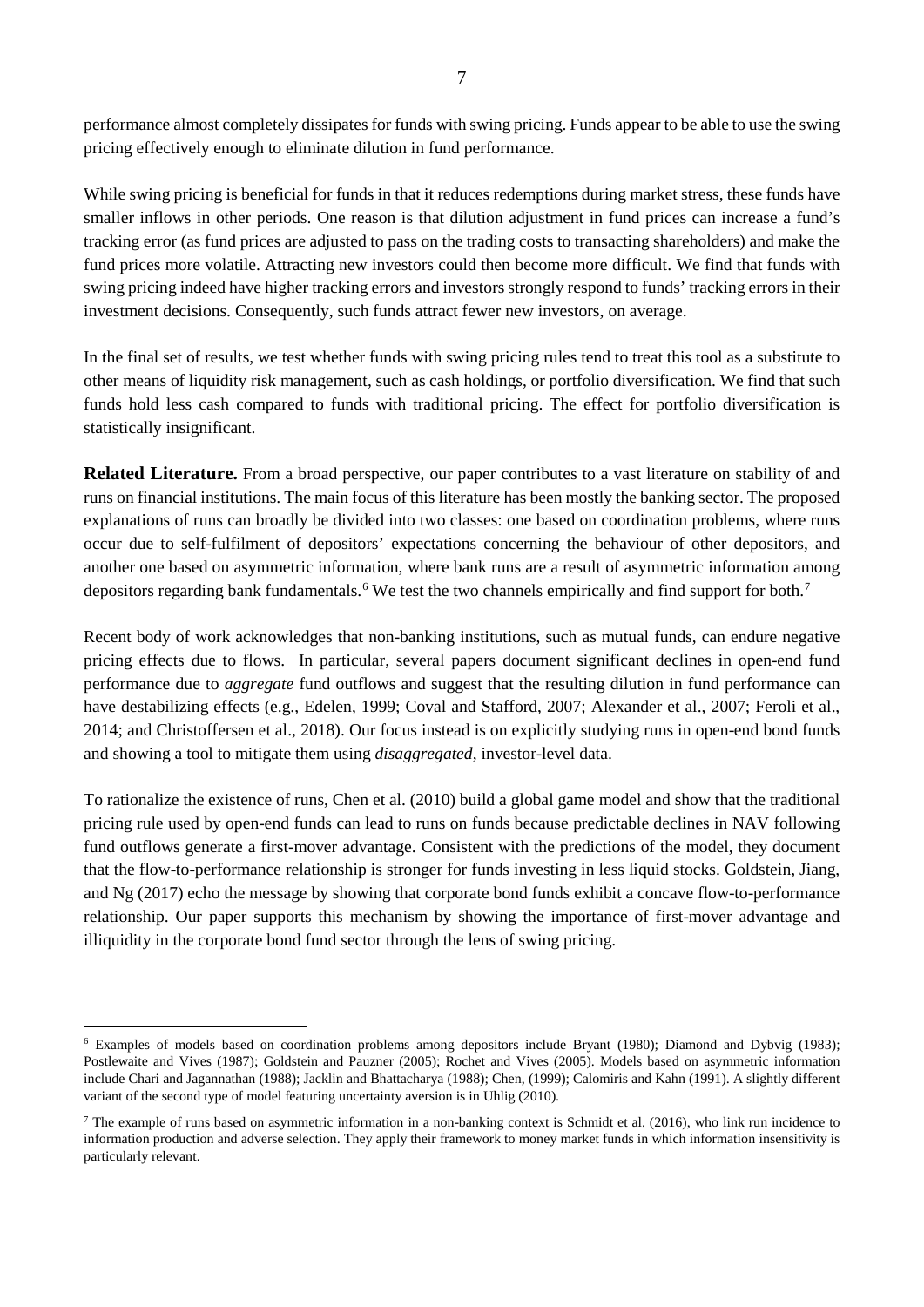performance almost completely dissipates for funds with swing pricing. Funds appear to be able to use the swing pricing effectively enough to eliminate dilution in fund performance.

While swing pricing is beneficial for funds in that it reduces redemptions during market stress, these funds have smaller inflows in other periods. One reason is that dilution adjustment in fund prices can increase a fund's tracking error (as fund prices are adjusted to pass on the trading costs to transacting shareholders) and make the fund prices more volatile. Attracting new investors could then become more difficult. We find that funds with swing pricing indeed have higher tracking errors and investors strongly respond to funds' tracking errors in their investment decisions. Consequently, such funds attract fewer new investors, on average.

In the final set of results, we test whether funds with swing pricing rules tend to treat this tool as a substitute to other means of liquidity risk management, such as cash holdings, or portfolio diversification. We find that such funds hold less cash compared to funds with traditional pricing. The effect for portfolio diversification is statistically insignificant.

**Related Literature.** From a broad perspective, our paper contributes to a vast literature on stability of and runs on financial institutions. The main focus of this literature has been mostly the banking sector. The proposed explanations of runs can broadly be divided into two classes: one based on coordination problems, where runs occur due to self-fulfilment of depositors' expectations concerning the behaviour of other depositors, and another one based on asymmetric information, where bank runs are a result of asymmetric information among depositors regarding bank fundamentals.<sup>[6](#page-6-0)</sup> We test the two channels empirically and find support for both.<sup>[7](#page-6-1)</sup>

Recent body of work acknowledges that non-banking institutions, such as mutual funds, can endure negative pricing effects due to flows. In particular, several papers document significant declines in open-end fund performance due to *aggregate* fund outflows and suggest that the resulting dilution in fund performance can have destabilizing effects (e.g., Edelen, 1999; Coval and Stafford, 2007; Alexander et al., 2007; Feroli et al., 2014; and Christoffersen et al., 2018). Our focus instead is on explicitly studying runs in open-end bond funds and showing a tool to mitigate them using *disaggregated*, investor-level data.

To rationalize the existence of runs, Chen et al. (2010) build a global game model and show that the traditional pricing rule used by open-end funds can lead to runs on funds because predictable declines in NAV following fund outflows generate a first-mover advantage. Consistent with the predictions of the model, they document that the flow-to-performance relationship is stronger for funds investing in less liquid stocks. Goldstein, Jiang, and Ng (2017) echo the message by showing that corporate bond funds exhibit a concave flow-to-performance relationship. Our paper supports this mechanism by showing the importance of first-mover advantage and illiquidity in the corporate bond fund sector through the lens of swing pricing.

<span id="page-6-0"></span> <sup>6</sup> Examples of models based on coordination problems among depositors include Bryant (1980); Diamond and Dybvig (1983); Postlewaite and Vives (1987); Goldstein and Pauzner (2005); Rochet and Vives (2005). Models based on asymmetric information include Chari and Jagannathan (1988); Jacklin and Bhattacharya (1988); Chen, (1999); Calomiris and Kahn (1991). A slightly different variant of the second type of model featuring uncertainty aversion is in Uhlig (2010).

<span id="page-6-1"></span> $^7$  The example of runs based on asymmetric information in a non-banking context is Schmidt et al. (2016), who link run incidence to information production and adverse selection. They apply their framework to money market funds in which information insensitivity is particularly relevant.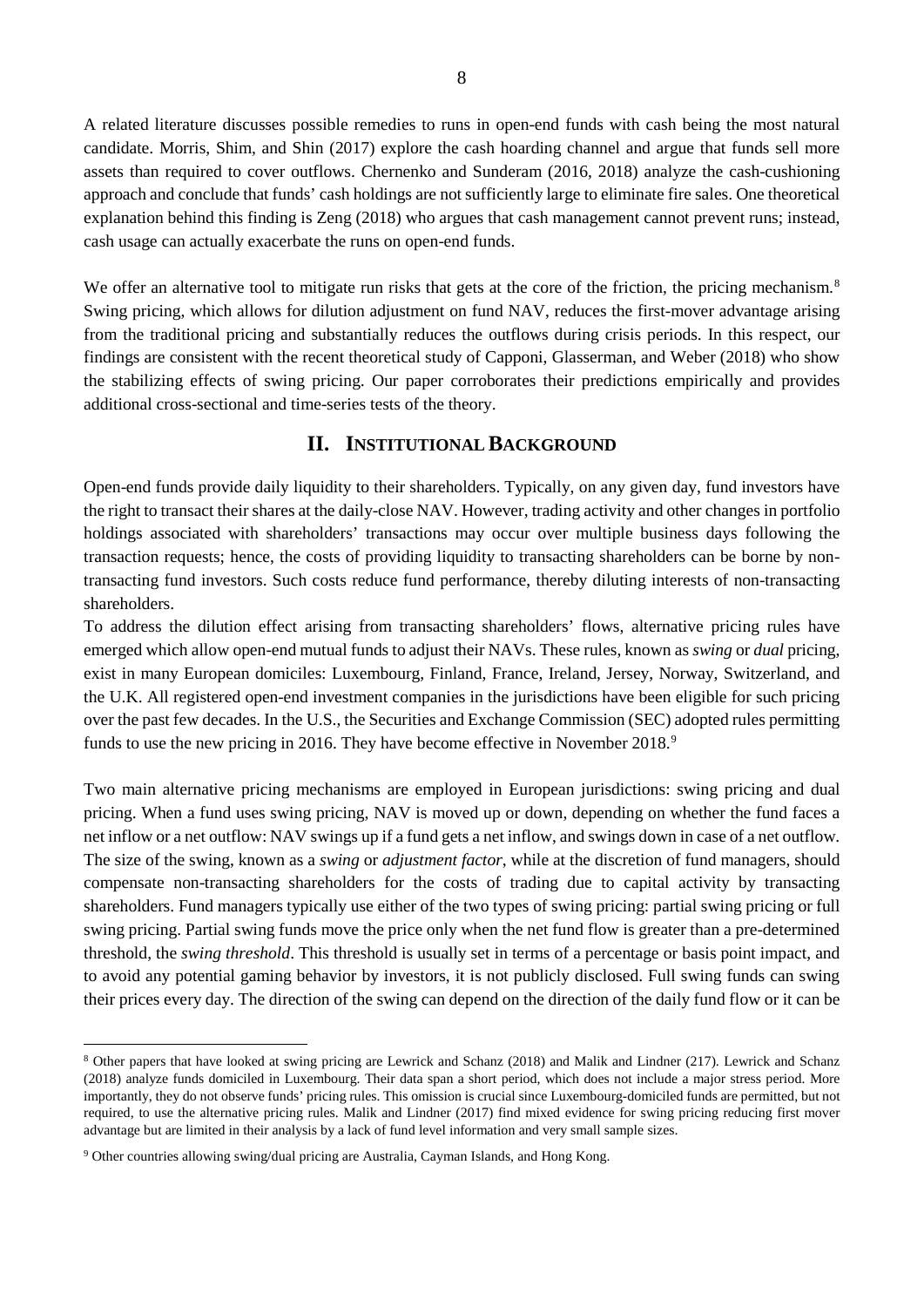A related literature discusses possible remedies to runs in open-end funds with cash being the most natural candidate. Morris, Shim, and Shin (2017) explore the cash hoarding channel and argue that funds sell more assets than required to cover outflows. Chernenko and Sunderam (2016, 2018) analyze the cash-cushioning approach and conclude that funds' cash holdings are not sufficiently large to eliminate fire sales. One theoretical explanation behind this finding is Zeng (2018) who argues that cash management cannot prevent runs; instead, cash usage can actually exacerbate the runs on open-end funds.

We offer an alternative tool to mitigate run risks that gets at the core of the friction, the pricing mechanism.<sup>[8](#page-7-0)</sup> Swing pricing, which allows for dilution adjustment on fund NAV, reduces the first-mover advantage arising from the traditional pricing and substantially reduces the outflows during crisis periods. In this respect, our findings are consistent with the recent theoretical study of Capponi, Glasserman, and Weber (2018) who show the stabilizing effects of swing pricing. Our paper corroborates their predictions empirically and provides additional cross-sectional and time-series tests of the theory.

# **II. INSTITUTIONAL BACKGROUND**

Open-end funds provide daily liquidity to their shareholders. Typically, on any given day, fund investors have the right to transact their shares at the daily-close NAV. However, trading activity and other changes in portfolio holdings associated with shareholders' transactions may occur over multiple business days following the transaction requests; hence, the costs of providing liquidity to transacting shareholders can be borne by nontransacting fund investors. Such costs reduce fund performance, thereby diluting interests of non-transacting shareholders.

To address the dilution effect arising from transacting shareholders' flows, alternative pricing rules have emerged which allow open-end mutual funds to adjust their NAVs. These rules, known as *swing* or *dual* pricing, exist in many European domiciles: Luxembourg, Finland, France, Ireland, Jersey, Norway, Switzerland, and the U.K. All registered open-end investment companies in the jurisdictions have been eligible for such pricing over the past few decades. In the U.S., the Securities and Exchange Commission (SEC) adopted rules permitting funds to use the new pricing in 2016. They have become effective in November 2018.<sup>[9](#page-7-1)</sup>

Two main alternative pricing mechanisms are employed in European jurisdictions: swing pricing and dual pricing. When a fund uses swing pricing, NAV is moved up or down, depending on whether the fund faces a net inflow or a net outflow: NAV swings up if a fund gets a net inflow, and swings down in case of a net outflow. The size of the swing, known as a *swing* or *adjustment factor*, while at the discretion of fund managers, should compensate non-transacting shareholders for the costs of trading due to capital activity by transacting shareholders. Fund managers typically use either of the two types of swing pricing: partial swing pricing or full swing pricing. Partial swing funds move the price only when the net fund flow is greater than a pre-determined threshold, the *swing threshold*. This threshold is usually set in terms of a percentage or basis point impact, and to avoid any potential gaming behavior by investors, it is not publicly disclosed. Full swing funds can swing their prices every day. The direction of the swing can depend on the direction of the daily fund flow or it can be

<span id="page-7-0"></span> <sup>8</sup> Other papers that have looked at swing pricing are Lewrick and Schanz (2018) and Malik and Lindner (217). Lewrick and Schanz (2018) analyze funds domiciled in Luxembourg. Their data span a short period, which does not include a major stress period. More importantly, they do not observe funds' pricing rules. This omission is crucial since Luxembourg-domiciled funds are permitted, but not required, to use the alternative pricing rules. Malik and Lindner (2017) find mixed evidence for swing pricing reducing first mover advantage but are limited in their analysis by a lack of fund level information and very small sample sizes.

<span id="page-7-1"></span><sup>9</sup> Other countries allowing swing/dual pricing are Australia, Cayman Islands, and Hong Kong.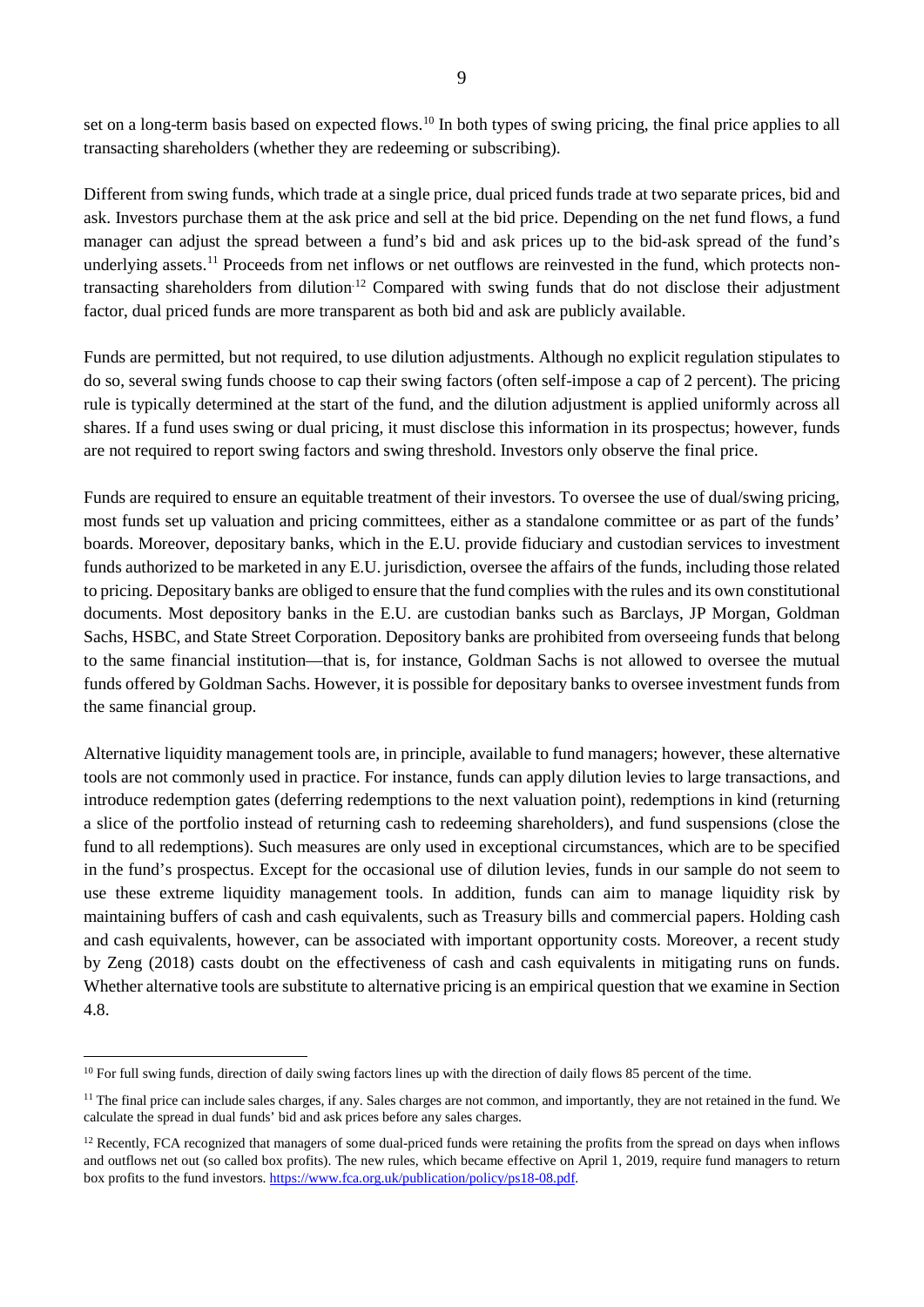set on a long-term basis based on expected flows.<sup>[10](#page-8-0)</sup> In both types of swing pricing, the final price applies to all transacting shareholders (whether they are redeeming or subscribing).

Different from swing funds, which trade at a single price, dual priced funds trade at two separate prices, bid and ask. Investors purchase them at the ask price and sell at the bid price. Depending on the net fund flows, a fund manager can adjust the spread between a fund's bid and ask prices up to the bid-ask spread of the fund's underlying assets.<sup>[11](#page-8-1)</sup> Proceeds from net inflows or net outflows are reinvested in the fund, which protects nontransacting shareholders from dilution.[12](#page-8-2) Compared with swing funds that do not disclose their adjustment factor, dual priced funds are more transparent as both bid and ask are publicly available.

Funds are permitted, but not required, to use dilution adjustments. Although no explicit regulation stipulates to do so, several swing funds choose to cap their swing factors (often self-impose a cap of 2 percent). The pricing rule is typically determined at the start of the fund, and the dilution adjustment is applied uniformly across all shares. If a fund uses swing or dual pricing, it must disclose this information in its prospectus; however, funds are not required to report swing factors and swing threshold. Investors only observe the final price.

Funds are required to ensure an equitable treatment of their investors. To oversee the use of dual/swing pricing, most funds set up valuation and pricing committees, either as a standalone committee or as part of the funds' boards. Moreover, depositary banks, which in the E.U. provide fiduciary and custodian services to investment funds authorized to be marketed in any E.U. jurisdiction, oversee the affairs of the funds, including those related to pricing. Depositary banks are obliged to ensure that the fund complies with the rules and its own constitutional documents. Most depository banks in the E.U. are custodian banks such as Barclays, JP Morgan, Goldman Sachs, HSBC, and State Street Corporation. Depository banks are prohibited from overseeing funds that belong to the same financial institution—that is, for instance, Goldman Sachs is not allowed to oversee the mutual funds offered by Goldman Sachs. However, it is possible for depositary banks to oversee investment funds from the same financial group.

Alternative liquidity management tools are, in principle, available to fund managers; however, these alternative tools are not commonly used in practice. For instance, funds can apply dilution levies to large transactions, and introduce redemption gates (deferring redemptions to the next valuation point), redemptions in kind (returning a slice of the portfolio instead of returning cash to redeeming shareholders), and fund suspensions (close the fund to all redemptions). Such measures are only used in exceptional circumstances, which are to be specified in the fund's prospectus. Except for the occasional use of dilution levies, funds in our sample do not seem to use these extreme liquidity management tools. In addition, funds can aim to manage liquidity risk by maintaining buffers of cash and cash equivalents, such as Treasury bills and commercial papers. Holding cash and cash equivalents, however, can be associated with important opportunity costs. Moreover, a recent study by Zeng (2018) casts doubt on the effectiveness of cash and cash equivalents in mitigating runs on funds. Whether alternative tools are substitute to alternative pricing is an empirical question that we examine in Section 4.8.

<span id="page-8-0"></span><sup>&</sup>lt;sup>10</sup> For full swing funds, direction of daily swing factors lines up with the direction of daily flows 85 percent of the time.

<span id="page-8-1"></span> $11$  The final price can include sales charges, if any. Sales charges are not common, and importantly, they are not retained in the fund. We calculate the spread in dual funds' bid and ask prices before any sales charges.

<span id="page-8-2"></span><sup>&</sup>lt;sup>12</sup> Recently, FCA recognized that managers of some dual-priced funds were retaining the profits from the spread on days when inflows and outflows net out (so called box profits). The new rules, which became effective on April 1, 2019, require fund managers to return box profits to the fund investors. [https://www.fca.org.uk/publication/policy/ps18-08.pdf.](https://www.fca.org.uk/publication/policy/ps18-08.pdf)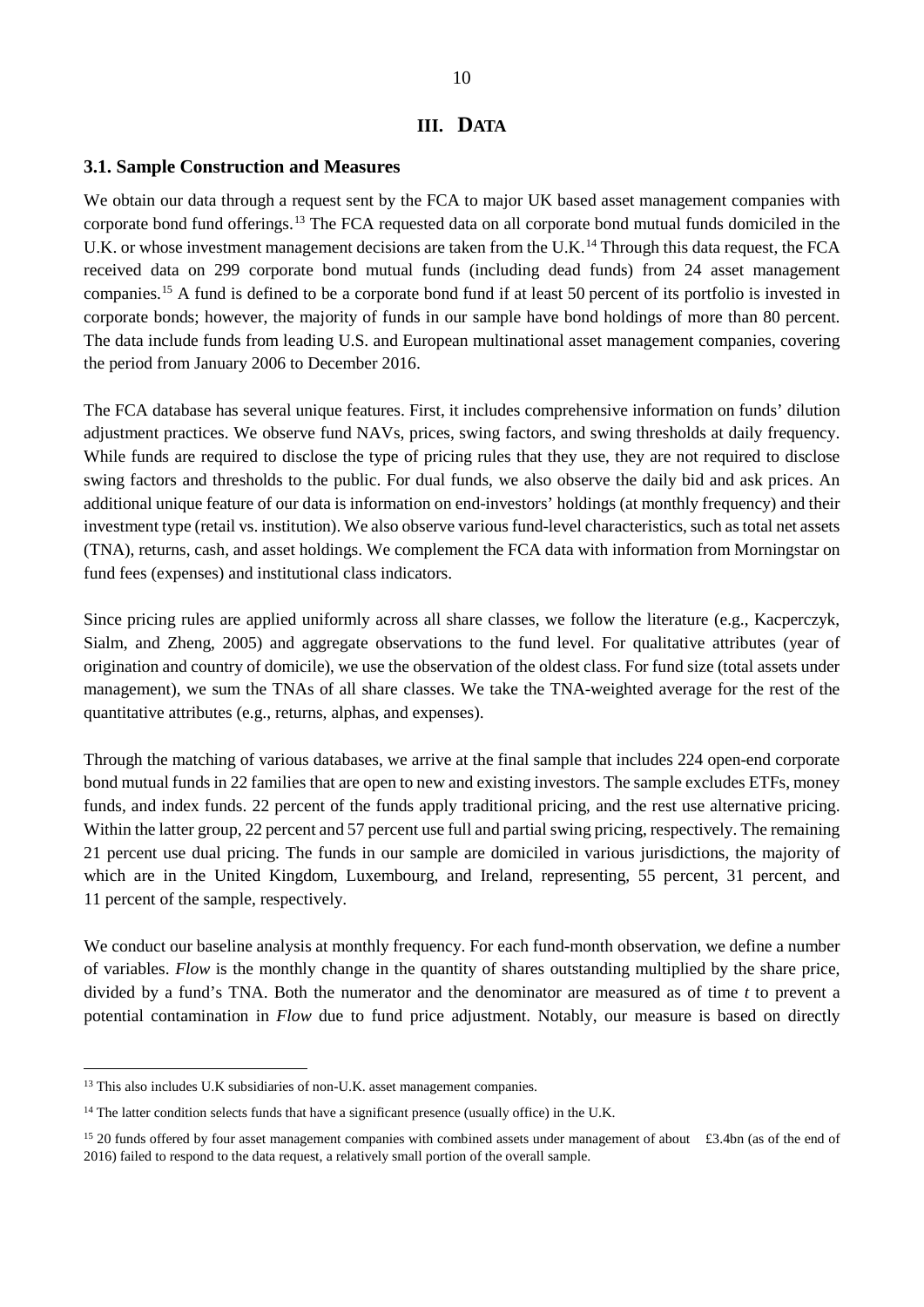#### **III. DATA**

#### **3.1. Sample Construction and Measures**

We obtain our data through a request sent by the FCA to major UK based asset management companies with corporate bond fund offerings.[13](#page-9-0) The FCA requested data on all corporate bond mutual funds domiciled in the U.K. or whose investment management decisions are taken from the U.K.<sup>[14](#page-9-1)</sup> Through this data request, the FCA received data on 299 corporate bond mutual funds (including dead funds) from 24 asset management companies.[15](#page-9-2) A fund is defined to be a corporate bond fund if at least 50 percent of its portfolio is invested in corporate bonds; however, the majority of funds in our sample have bond holdings of more than 80 percent. The data include funds from leading U.S. and European multinational asset management companies, covering the period from January 2006 to December 2016.

The FCA database has several unique features. First, it includes comprehensive information on funds' dilution adjustment practices. We observe fund NAVs, prices, swing factors, and swing thresholds at daily frequency. While funds are required to disclose the type of pricing rules that they use, they are not required to disclose swing factors and thresholds to the public. For dual funds, we also observe the daily bid and ask prices. An additional unique feature of our data is information on end-investors' holdings (at monthly frequency) and their investment type (retail vs. institution). We also observe various fund-level characteristics, such as total net assets (TNA), returns, cash, and asset holdings. We complement the FCA data with information from Morningstar on fund fees (expenses) and institutional class indicators.

Since pricing rules are applied uniformly across all share classes, we follow the literature (e.g., Kacperczyk, Sialm, and Zheng, 2005) and aggregate observations to the fund level. For qualitative attributes (year of origination and country of domicile), we use the observation of the oldest class. For fund size (total assets under management), we sum the TNAs of all share classes. We take the TNA-weighted average for the rest of the quantitative attributes (e.g., returns, alphas, and expenses).

Through the matching of various databases, we arrive at the final sample that includes 224 open-end corporate bond mutual funds in 22 families that are open to new and existing investors. The sample excludes ETFs, money funds, and index funds. 22 percent of the funds apply traditional pricing, and the rest use alternative pricing. Within the latter group, 22 percent and 57 percent use full and partial swing pricing, respectively. The remaining 21 percent use dual pricing. The funds in our sample are domiciled in various jurisdictions, the majority of which are in the United Kingdom, Luxembourg, and Ireland, representing, 55 percent, 31 percent, and 11 percent of the sample, respectively.

We conduct our baseline analysis at monthly frequency. For each fund-month observation, we define a number of variables. *Flow* is the monthly change in the quantity of shares outstanding multiplied by the share price, divided by a fund's TNA. Both the numerator and the denominator are measured as of time *t* to prevent a potential contamination in *Flow* due to fund price adjustment. Notably, our measure is based on directly

<span id="page-9-0"></span><sup>&</sup>lt;sup>13</sup> This also includes U.K subsidiaries of non-U.K. asset management companies.

<span id="page-9-1"></span> $14$  The latter condition selects funds that have a significant presence (usually office) in the U.K.

<span id="page-9-2"></span> $15$  20 funds offered by four asset management companies with combined assets under management of about £3.4bn (as of the end of 2016) failed to respond to the data request, a relatively small portion of the overall sample.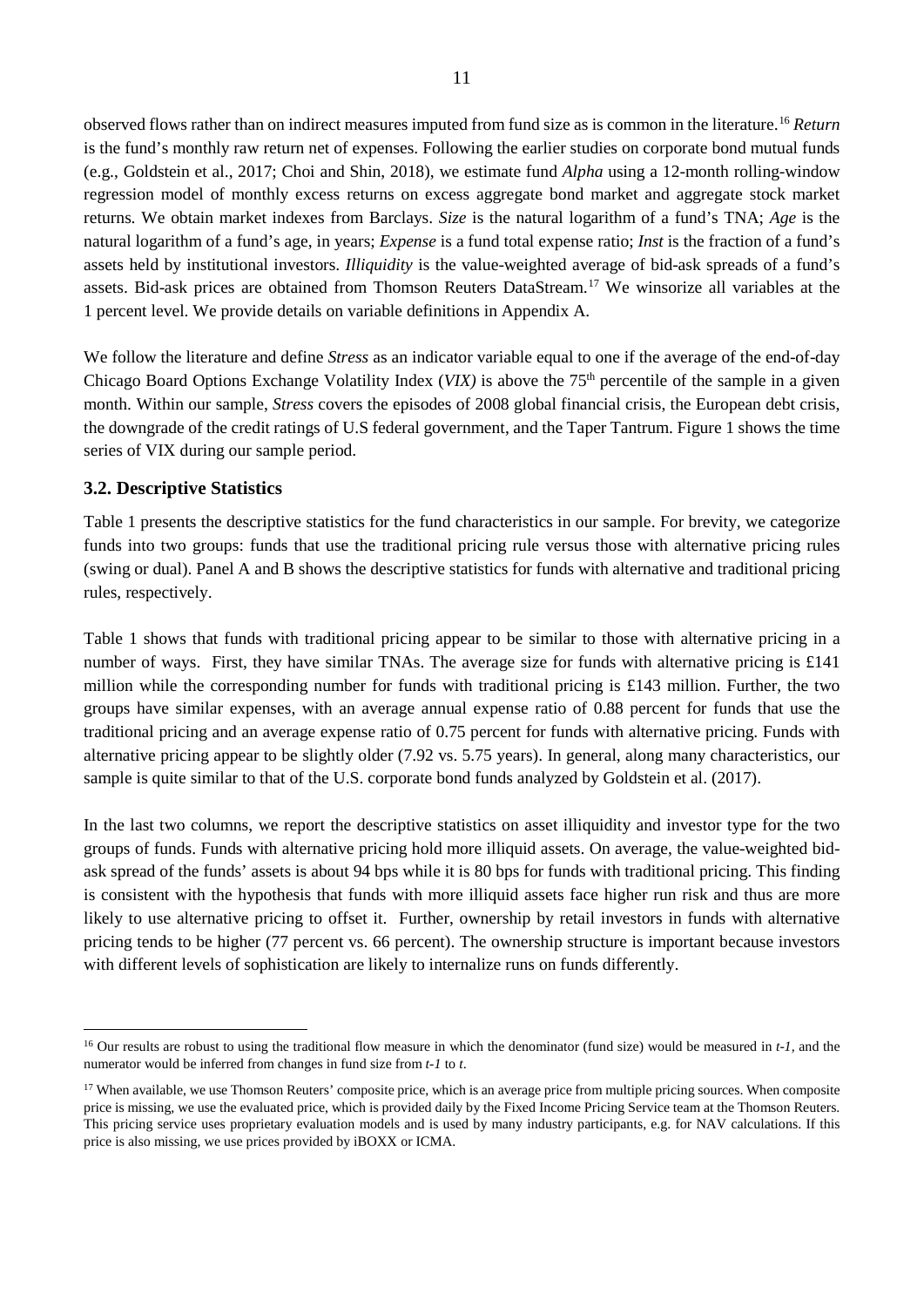observed flows rather than on indirect measures imputed from fund size as is common in the literature.[16](#page-10-0) *Return* is the fund's monthly raw return net of expenses. Following the earlier studies on corporate bond mutual funds (e.g., Goldstein et al., 2017; Choi and Shin, 2018), we estimate fund *Alpha* using a 12-month rolling-window regression model of monthly excess returns on excess aggregate bond market and aggregate stock market returns. We obtain market indexes from Barclays. *Size* is the natural logarithm of a fund's TNA; *Age* is the natural logarithm of a fund's age, in years; *Expense* is a fund total expense ratio; *Inst* is the fraction of a fund's assets held by institutional investors. *Illiquidity* is the value-weighted average of bid-ask spreads of a fund's assets. Bid-ask prices are obtained from Thomson Reuters DataStream. [17](#page-10-1) We winsorize all variables at the 1 percent level. We provide details on variable definitions in Appendix A.

We follow the literature and define *Stress* as an indicator variable equal to one if the average of the end-of-day Chicago Board Options Exchange Volatility Index (*VIX*) is above the 75<sup>th</sup> percentile of the sample in a given month. Within our sample, *Stress* covers the episodes of 2008 global financial crisis, the European debt crisis, the downgrade of the credit ratings of U.S federal government, and the Taper Tantrum. Figure 1 shows the time series of VIX during our sample period.

#### **3.2. Descriptive Statistics**

Table 1 presents the descriptive statistics for the fund characteristics in our sample. For brevity, we categorize funds into two groups: funds that use the traditional pricing rule versus those with alternative pricing rules (swing or dual). Panel A and B shows the descriptive statistics for funds with alternative and traditional pricing rules, respectively.

Table 1 shows that funds with traditional pricing appear to be similar to those with alternative pricing in a number of ways. First, they have similar TNAs. The average size for funds with alternative pricing is £141 million while the corresponding number for funds with traditional pricing is £143 million. Further, the two groups have similar expenses, with an average annual expense ratio of 0.88 percent for funds that use the traditional pricing and an average expense ratio of 0.75 percent for funds with alternative pricing. Funds with alternative pricing appear to be slightly older (7.92 vs. 5.75 years). In general, along many characteristics, our sample is quite similar to that of the U.S. corporate bond funds analyzed by Goldstein et al. (2017).

In the last two columns, we report the descriptive statistics on asset illiquidity and investor type for the two groups of funds. Funds with alternative pricing hold more illiquid assets. On average, the value-weighted bidask spread of the funds' assets is about 94 bps while it is 80 bps for funds with traditional pricing. This finding is consistent with the hypothesis that funds with more illiquid assets face higher run risk and thus are more likely to use alternative pricing to offset it. Further, ownership by retail investors in funds with alternative pricing tends to be higher (77 percent vs. 66 percent). The ownership structure is important because investors with different levels of sophistication are likely to internalize runs on funds differently.

<span id="page-10-0"></span> <sup>16</sup> Our results are robust to using the traditional flow measure in which the denominator (fund size) would be measured in *t-1,* and the numerator would be inferred from changes in fund size from *t-1* to *t*.

<span id="page-10-1"></span><sup>&</sup>lt;sup>17</sup> When available, we use Thomson Reuters' composite price, which is an average price from multiple pricing sources. When composite price is missing, we use the evaluated price, which is provided daily by the Fixed Income Pricing Service team at the Thomson Reuters. This pricing service uses proprietary evaluation models and is used by many industry participants, e.g. for NAV calculations. If this price is also missing, we use prices provided by iBOXX or ICMA.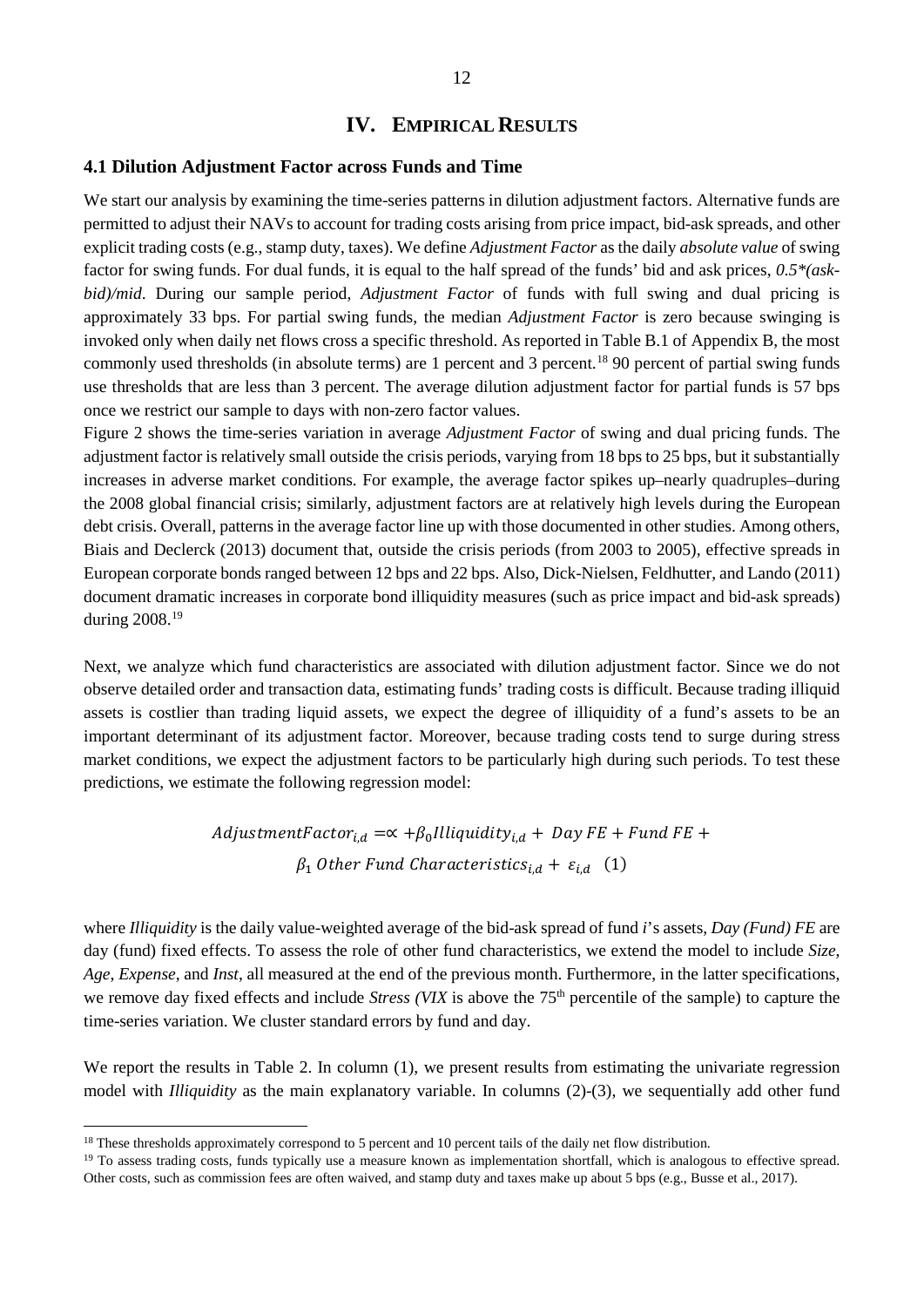# **IV. EMPIRICAL RESULTS**

#### **4.1 Dilution Adjustment Factor across Funds and Time**

We start our analysis by examining the time-series patterns in dilution adjustment factors. Alternative funds are permitted to adjust their NAVs to account for trading costs arising from price impact, bid-ask spreads, and other explicit trading costs (e.g., stamp duty, taxes). We define *Adjustment Factor* as the daily *absolute value* of swing factor for swing funds. For dual funds, it is equal to the half spread of the funds' bid and ask prices, *0.5\*(askbid)/mid*. During our sample period, *Adjustment Factor* of funds with full swing and dual pricing is approximately 33 bps. For partial swing funds, the median *Adjustment Factor* is zero because swinging is invoked only when daily net flows cross a specific threshold. As reported in Table B.1 of Appendix B, the most commonly used thresholds (in absolute terms) are 1 percent and 3 percent. [18](#page-11-0) 90 percent of partial swing funds use thresholds that are less than 3 percent. The average dilution adjustment factor for partial funds is 57 bps once we restrict our sample to days with non-zero factor values.

Figure 2 shows the time-series variation in average *Adjustment Factor* of swing and dual pricing funds. The adjustment factor is relatively small outside the crisis periods, varying from 18 bps to 25 bps, but it substantially increases in adverse market conditions. For example, the average factor spikes up–nearly quadruples–during the 2008 global financial crisis; similarly, adjustment factors are at relatively high levels during the European debt crisis. Overall, patterns in the average factor line up with those documented in other studies. Among others, Biais and Declerck (2013) document that, outside the crisis periods (from 2003 to 2005), effective spreads in European corporate bonds ranged between 12 bps and 22 bps. Also, Dick-Nielsen, Feldhutter, and Lando (2011) document dramatic increases in corporate bond illiquidity measures (such as price impact and bid-ask spreads) during 2008.[19](#page-11-1)

Next, we analyze which fund characteristics are associated with dilution adjustment factor. Since we do not observe detailed order and transaction data, estimating funds' trading costs is difficult. Because trading illiquid assets is costlier than trading liquid assets, we expect the degree of illiquidity of a fund's assets to be an important determinant of its adjustment factor. Moreover, because trading costs tend to surge during stress market conditions, we expect the adjustment factors to be particularly high during such periods. To test these predictions, we estimate the following regression model:

> $AdjustmentFactor_{i,d} = \alpha + \beta_0 Illiquality_{i,d} + Day FE + Fund FE +$  $\beta_1$  Other Fund Characteristics<sub>id</sub> +  $\varepsilon_{i,d}$  (1)

where *Illiquidity* is the daily value-weighted average of the bid-ask spread of fund *i*'s assets, *Day (Fund) FE* are day (fund) fixed effects. To assess the role of other fund characteristics, we extend the model to include *Size*, *Age*, *Expense*, and *Inst*, all measured at the end of the previous month. Furthermore, in the latter specifications, we remove day fixed effects and include *Stress (VIX* is above the 75<sup>th</sup> percentile of the sample) to capture the time-series variation. We cluster standard errors by fund and day.

We report the results in Table 2. In column (1), we present results from estimating the univariate regression model with *Illiquidity* as the main explanatory variable. In columns (2)-(3), we sequentially add other fund

<span id="page-11-0"></span><sup>&</sup>lt;sup>18</sup> These thresholds approximately correspond to 5 percent and 10 percent tails of the daily net flow distribution.

<span id="page-11-1"></span><sup>&</sup>lt;sup>19</sup> To assess trading costs, funds typically use a measure known as implementation shortfall, which is analogous to effective spread. Other costs, such as commission fees are often waived, and stamp duty and taxes make up about 5 bps (e.g., Busse et al., 2017).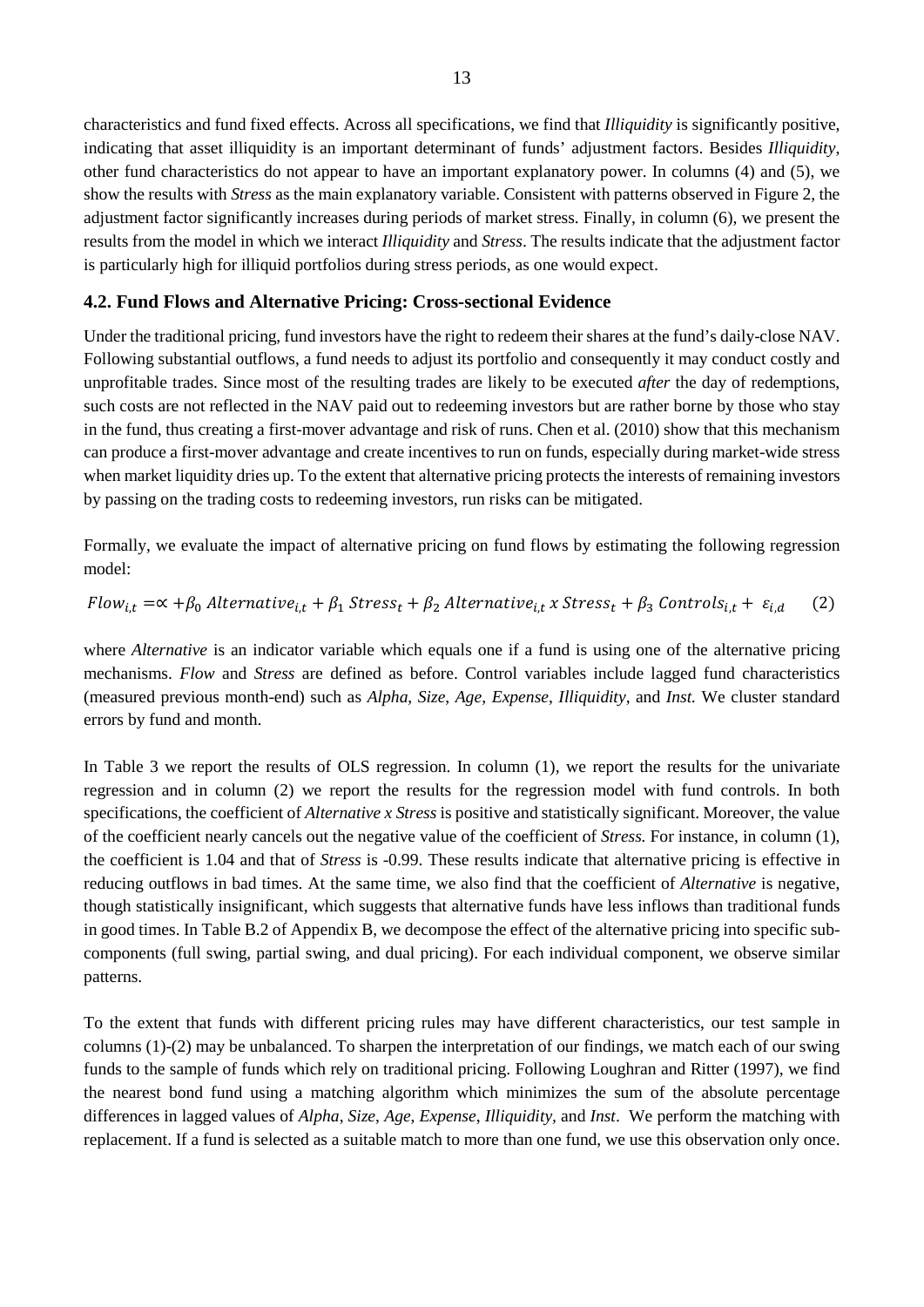characteristics and fund fixed effects. Across all specifications, we find that *Illiquidity* is significantly positive, indicating that asset illiquidity is an important determinant of funds' adjustment factors. Besides *Illiquidity*, other fund characteristics do not appear to have an important explanatory power. In columns (4) and (5), we show the results with *Stress* as the main explanatory variable. Consistent with patterns observed in Figure 2, the adjustment factor significantly increases during periods of market stress. Finally, in column (6), we present the results from the model in which we interact *Illiquidity* and *Stress*. The results indicate that the adjustment factor is particularly high for illiquid portfolios during stress periods, as one would expect.

#### **4.2. Fund Flows and Alternative Pricing: Cross-sectional Evidence**

Under the traditional pricing, fund investors have the right to redeem their shares at the fund's daily-close NAV. Following substantial outflows, a fund needs to adjust its portfolio and consequently it may conduct costly and unprofitable trades. Since most of the resulting trades are likely to be executed *after* the day of redemptions, such costs are not reflected in the NAV paid out to redeeming investors but are rather borne by those who stay in the fund, thus creating a first-mover advantage and risk of runs. Chen et al. (2010) show that this mechanism can produce a first-mover advantage and create incentives to run on funds, especially during market-wide stress when market liquidity dries up. To the extent that alternative pricing protects the interests of remaining investors by passing on the trading costs to redeeming investors, run risks can be mitigated.

Formally, we evaluate the impact of alternative pricing on fund flows by estimating the following regression model:

$$
Flow_{i,t} = \alpha + \beta_0 \text{ Alternative}_{i,t} + \beta_1 \text{Stress}_t + \beta_2 \text{ Alternative}_{i,t} \times \text{Stress}_t + \beta_3 \text{ Controls}_{i,t} + \varepsilon_{i,d} \tag{2}
$$

where *Alternative* is an indicator variable which equals one if a fund is using one of the alternative pricing mechanisms. *Flow* and *Stress* are defined as before. Control variables include lagged fund characteristics (measured previous month-end) such as *Alpha*, *Size*, *Age*, *Expense*, *Illiquidity*, and *Inst.* We cluster standard errors by fund and month.

In Table 3 we report the results of OLS regression. In column (1), we report the results for the univariate regression and in column (2) we report the results for the regression model with fund controls. In both specifications, the coefficient of *Alternative x Stress* is positive and statistically significant. Moreover, the value of the coefficient nearly cancels out the negative value of the coefficient of *Stress.* For instance, in column (1), the coefficient is 1.04 and that of *Stress* is -0.99. These results indicate that alternative pricing is effective in reducing outflows in bad times. At the same time, we also find that the coefficient of *Alternative* is negative, though statistically insignificant, which suggests that alternative funds have less inflows than traditional funds in good times. In Table B.2 of Appendix B, we decompose the effect of the alternative pricing into specific subcomponents (full swing, partial swing, and dual pricing). For each individual component, we observe similar patterns.

To the extent that funds with different pricing rules may have different characteristics, our test sample in columns (1)-(2) may be unbalanced. To sharpen the interpretation of our findings, we match each of our swing funds to the sample of funds which rely on traditional pricing. Following Loughran and Ritter (1997), we find the nearest bond fund using a matching algorithm which minimizes the sum of the absolute percentage differences in lagged values of *Alpha*, *Size*, *Age*, *Expense*, *Illiquidity,* and *Inst*. We perform the matching with replacement. If a fund is selected as a suitable match to more than one fund, we use this observation only once.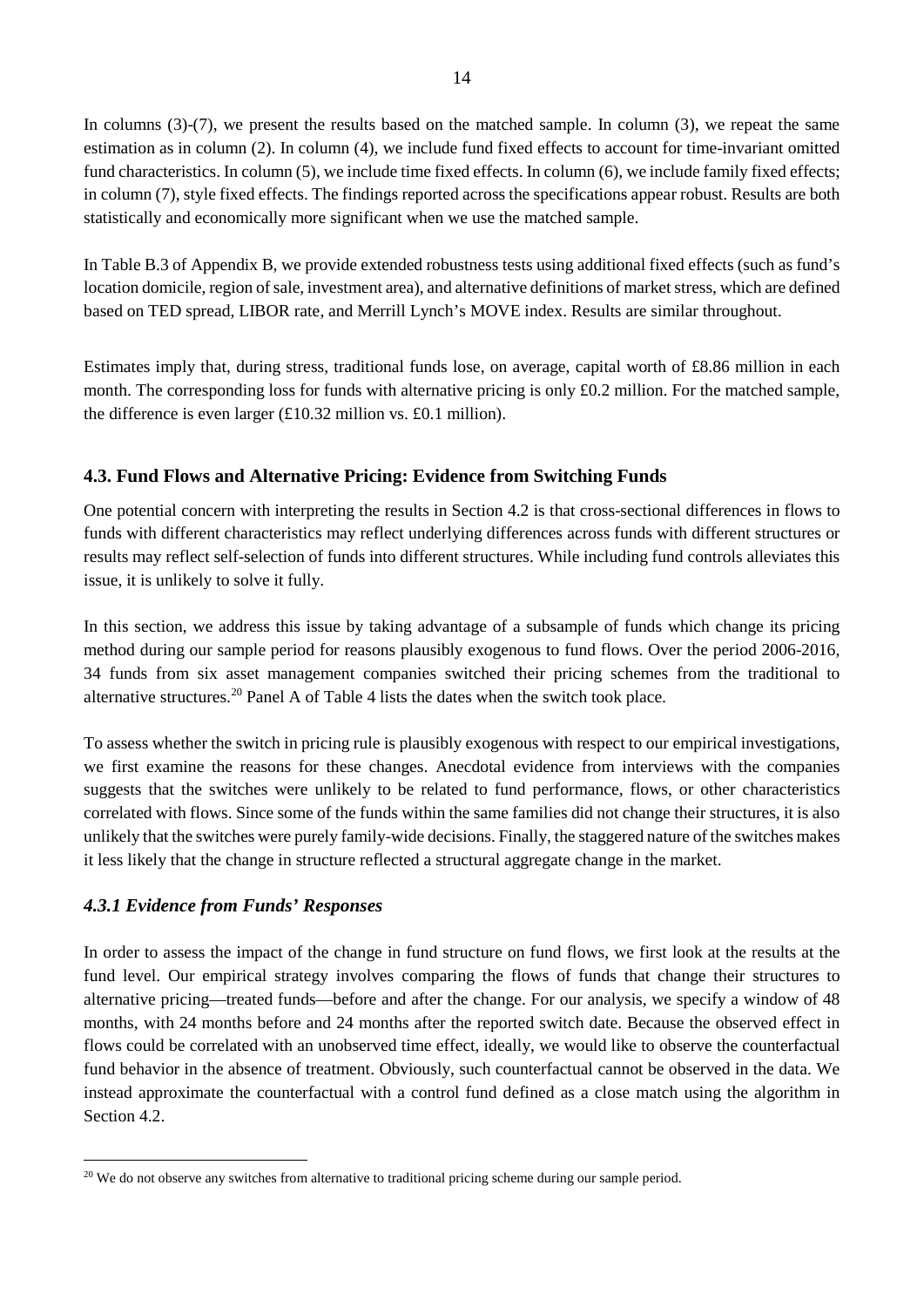In columns (3)-(7), we present the results based on the matched sample. In column (3), we repeat the same estimation as in column (2). In column (4), we include fund fixed effects to account for time-invariant omitted fund characteristics. In column (5), we include time fixed effects. In column (6), we include family fixed effects; in column (7), style fixed effects. The findings reported across the specifications appear robust. Results are both statistically and economically more significant when we use the matched sample.

In Table B.3 of Appendix B, we provide extended robustness tests using additional fixed effects (such as fund's location domicile, region of sale, investment area), and alternative definitions of market stress, which are defined based on TED spread, LIBOR rate, and Merrill Lynch's MOVE index. Results are similar throughout.

Estimates imply that, during stress, traditional funds lose, on average, capital worth of £8.86 million in each month. The corresponding loss for funds with alternative pricing is only £0.2 million. For the matched sample, the difference is even larger  $(\text{\textsterling}10.32 \text{ million vs. } \text{\textsterling}0.1 \text{ million}).$ 

# **4.3. Fund Flows and Alternative Pricing: Evidence from Switching Funds**

One potential concern with interpreting the results in Section 4.2 is that cross-sectional differences in flows to funds with different characteristics may reflect underlying differences across funds with different structures or results may reflect self-selection of funds into different structures. While including fund controls alleviates this issue, it is unlikely to solve it fully.

In this section, we address this issue by taking advantage of a subsample of funds which change its pricing method during our sample period for reasons plausibly exogenous to fund flows. Over the period 2006-2016, 34 funds from six asset management companies switched their pricing schemes from the traditional to alternative structures.[20](#page-13-0) Panel A of Table 4 lists the dates when the switch took place.

To assess whether the switch in pricing rule is plausibly exogenous with respect to our empirical investigations, we first examine the reasons for these changes. Anecdotal evidence from interviews with the companies suggests that the switches were unlikely to be related to fund performance, flows, or other characteristics correlated with flows. Since some of the funds within the same families did not change their structures, it is also unlikely that the switches were purely family-wide decisions. Finally, the staggered nature of the switches makes it less likely that the change in structure reflected a structural aggregate change in the market.

# *4.3.1 Evidence from Funds' Responses*

In order to assess the impact of the change in fund structure on fund flows, we first look at the results at the fund level. Our empirical strategy involves comparing the flows of funds that change their structures to alternative pricing—treated funds—before and after the change. For our analysis, we specify a window of 48 months, with 24 months before and 24 months after the reported switch date. Because the observed effect in flows could be correlated with an unobserved time effect, ideally, we would like to observe the counterfactual fund behavior in the absence of treatment. Obviously, such counterfactual cannot be observed in the data. We instead approximate the counterfactual with a control fund defined as a close match using the algorithm in Section 4.2.

<span id="page-13-0"></span><sup>&</sup>lt;sup>20</sup> We do not observe any switches from alternative to traditional pricing scheme during our sample period.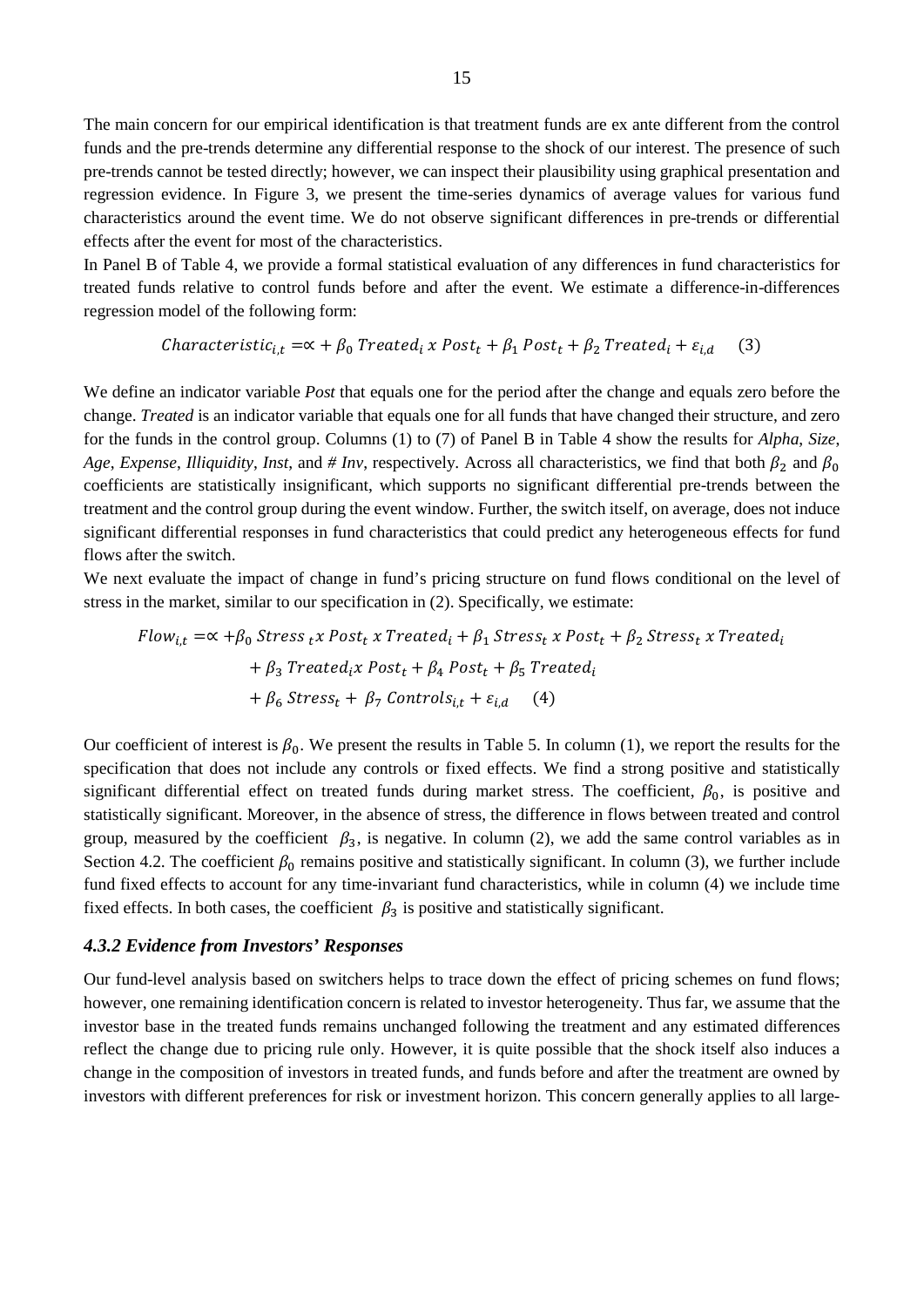The main concern for our empirical identification is that treatment funds are ex ante different from the control funds and the pre-trends determine any differential response to the shock of our interest. The presence of such pre-trends cannot be tested directly; however, we can inspect their plausibility using graphical presentation and regression evidence. In Figure 3, we present the time-series dynamics of average values for various fund characteristics around the event time. We do not observe significant differences in pre-trends or differential effects after the event for most of the characteristics.

In Panel B of Table 4, we provide a formal statistical evaluation of any differences in fund characteristics for treated funds relative to control funds before and after the event. We estimate a difference-in-differences regression model of the following form:

$$
Characteristic_{i,t} = \alpha + \beta_0 \text{Treated}_i \times \text{Post}_t + \beta_1 \text{Post}_t + \beta_2 \text{Treated}_i + \varepsilon_{i,d} \tag{3}
$$

We define an indicator variable *Post* that equals one for the period after the change and equals zero before the change. *Treated* is an indicator variable that equals one for all funds that have changed their structure, and zero for the funds in the control group. Columns (1) to (7) of Panel B in Table 4 show the results for *Alpha*, *Size*, *Age*, *Expense*, *Illiquidity*, *Inst*, and # *Inv*, respectively. Across all characteristics, we find that both  $\beta_2$  and  $\beta_0$ coefficients are statistically insignificant, which supports no significant differential pre-trends between the treatment and the control group during the event window. Further, the switch itself, on average, does not induce significant differential responses in fund characteristics that could predict any heterogeneous effects for fund flows after the switch.

We next evaluate the impact of change in fund's pricing structure on fund flows conditional on the level of stress in the market, similar to our specification in (2). Specifically, we estimate:

$$
Flow_{i,t} = \alpha + \beta_0 \text{Stress}_{t} \times Post_{t} \times Treated_i + \beta_1 \text{Stress}_{t} \times Post_{t} + \beta_2 \text{Stress}_{t} \times Treated_i
$$

$$
+ \beta_3 \text{Treated}_{i} \times Post_{t} + \beta_4 \text{Post}_{t} + \beta_5 \text{Treated}_{i}
$$

$$
+ \beta_6 \text{Stress}_{t} + \beta_7 \text{Controls}_{i,t} + \varepsilon_{i,d} \qquad (4)
$$

Our coefficient of interest is  $\beta_0$ . We present the results in Table 5. In column (1), we report the results for the specification that does not include any controls or fixed effects. We find a strong positive and statistically significant differential effect on treated funds during market stress. The coefficient,  $\beta_0$ , is positive and statistically significant. Moreover, in the absence of stress, the difference in flows between treated and control group, measured by the coefficient  $\beta_3$ , is negative. In column (2), we add the same control variables as in Section 4.2. The coefficient  $\beta_0$  remains positive and statistically significant. In column (3), we further include fund fixed effects to account for any time-invariant fund characteristics, while in column (4) we include time fixed effects. In both cases, the coefficient  $\beta_3$  is positive and statistically significant.

#### *4.3.2 Evidence from Investors' Responses*

Our fund-level analysis based on switchers helps to trace down the effect of pricing schemes on fund flows; however, one remaining identification concern is related to investor heterogeneity. Thus far, we assume that the investor base in the treated funds remains unchanged following the treatment and any estimated differences reflect the change due to pricing rule only. However, it is quite possible that the shock itself also induces a change in the composition of investors in treated funds, and funds before and after the treatment are owned by investors with different preferences for risk or investment horizon. This concern generally applies to all large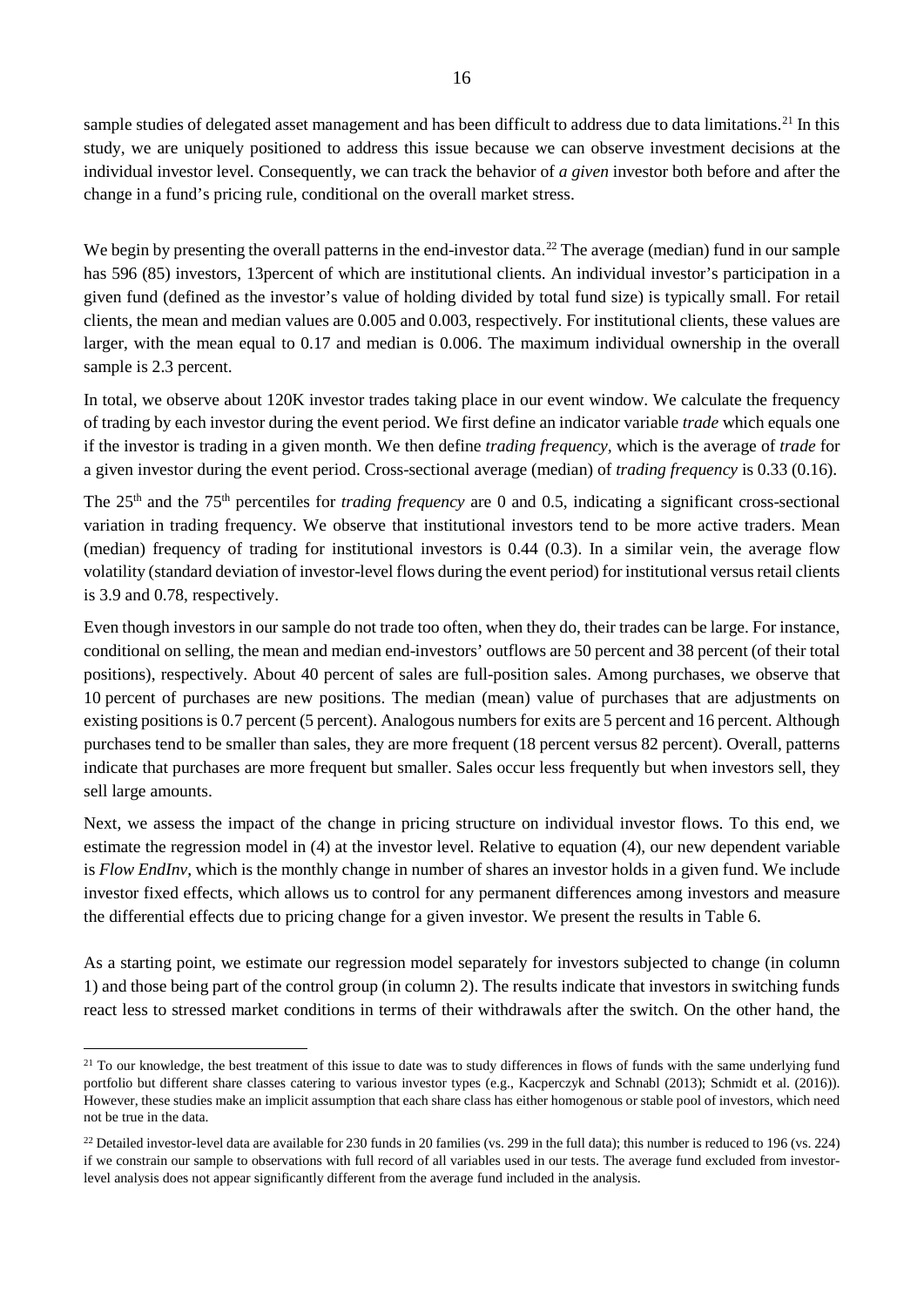sample studies of delegated asset management and has been difficult to address due to data limitations.<sup>[21](#page-15-0)</sup> In this study, we are uniquely positioned to address this issue because we can observe investment decisions at the individual investor level. Consequently, we can track the behavior of *a given* investor both before and after the change in a fund's pricing rule, conditional on the overall market stress.

We begin by presenting the overall patterns in the end-investor data.<sup>[22](#page-15-1)</sup> The average (median) fund in our sample has 596 (85) investors, 13percent of which are institutional clients. An individual investor's participation in a given fund (defined as the investor's value of holding divided by total fund size) is typically small. For retail clients, the mean and median values are 0.005 and 0.003, respectively. For institutional clients, these values are larger, with the mean equal to 0.17 and median is 0.006. The maximum individual ownership in the overall sample is 2.3 percent.

In total, we observe about 120K investor trades taking place in our event window. We calculate the frequency of trading by each investor during the event period. We first define an indicator variable *trade* which equals one if the investor is trading in a given month. We then define *trading frequency,* which is the average of *trade* for a given investor during the event period. Cross-sectional average (median) of *trading frequency* is 0.33 (0.16).

The 25<sup>th</sup> and the 75<sup>th</sup> percentiles for *trading frequency* are 0 and 0.5, indicating a significant cross-sectional variation in trading frequency. We observe that institutional investors tend to be more active traders. Mean (median) frequency of trading for institutional investors is 0.44 (0.3). In a similar vein, the average flow volatility (standard deviation of investor-level flows during the event period) for institutional versus retail clients is 3.9 and 0.78, respectively.

Even though investors in our sample do not trade too often, when they do, their trades can be large. For instance, conditional on selling, the mean and median end-investors' outflows are 50 percent and 38 percent (of their total positions), respectively. About 40 percent of sales are full-position sales. Among purchases, we observe that 10 percent of purchases are new positions. The median (mean) value of purchases that are adjustments on existing positions is 0.7 percent (5 percent). Analogous numbers for exits are 5 percent and 16 percent. Although purchases tend to be smaller than sales, they are more frequent (18 percent versus 82 percent). Overall, patterns indicate that purchases are more frequent but smaller. Sales occur less frequently but when investors sell, they sell large amounts.

Next, we assess the impact of the change in pricing structure on individual investor flows. To this end, we estimate the regression model in (4) at the investor level. Relative to equation (4), our new dependent variable is *Flow EndInv*, which is the monthly change in number of shares an investor holds in a given fund. We include investor fixed effects, which allows us to control for any permanent differences among investors and measure the differential effects due to pricing change for a given investor. We present the results in Table 6.

As a starting point, we estimate our regression model separately for investors subjected to change (in column 1) and those being part of the control group (in column 2). The results indicate that investors in switching funds react less to stressed market conditions in terms of their withdrawals after the switch. On the other hand, the

<span id="page-15-0"></span><sup>&</sup>lt;sup>21</sup> To our knowledge, the best treatment of this issue to date was to study differences in flows of funds with the same underlying fund portfolio but different share classes catering to various investor types (e.g., Kacperczyk and Schnabl (2013); Schmidt et al. (2016)). However, these studies make an implicit assumption that each share class has either homogenous or stable pool of investors, which need not be true in the data.

<span id="page-15-1"></span><sup>&</sup>lt;sup>22</sup> Detailed investor-level data are available for 230 funds in 20 families (vs. 299 in the full data); this number is reduced to 196 (vs. 224) if we constrain our sample to observations with full record of all variables used in our tests. The average fund excluded from investorlevel analysis does not appear significantly different from the average fund included in the analysis.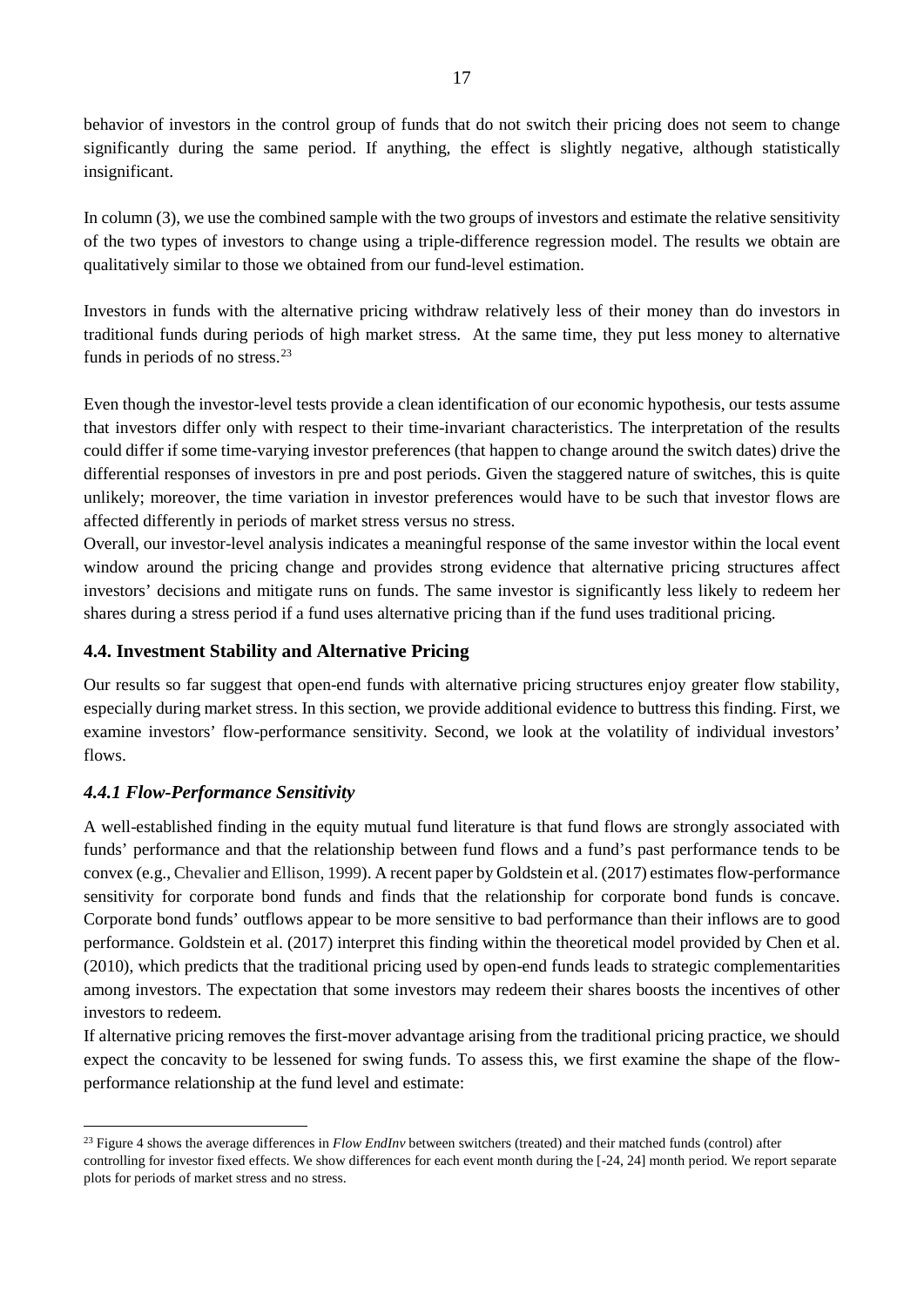behavior of investors in the control group of funds that do not switch their pricing does not seem to change significantly during the same period. If anything, the effect is slightly negative, although statistically insignificant.

In column (3), we use the combined sample with the two groups of investors and estimate the relative sensitivity of the two types of investors to change using a triple-difference regression model. The results we obtain are qualitatively similar to those we obtained from our fund-level estimation.

Investors in funds with the alternative pricing withdraw relatively less of their money than do investors in traditional funds during periods of high market stress. At the same time, they put less money to alternative funds in periods of no stress.<sup>[23](#page-16-0)</sup>

Even though the investor-level tests provide a clean identification of our economic hypothesis, our tests assume that investors differ only with respect to their time-invariant characteristics. The interpretation of the results could differ if some time-varying investor preferences (that happen to change around the switch dates) drive the differential responses of investors in pre and post periods. Given the staggered nature of switches, this is quite unlikely; moreover, the time variation in investor preferences would have to be such that investor flows are affected differently in periods of market stress versus no stress.

Overall, our investor-level analysis indicates a meaningful response of the same investor within the local event window around the pricing change and provides strong evidence that alternative pricing structures affect investors' decisions and mitigate runs on funds. The same investor is significantly less likely to redeem her shares during a stress period if a fund uses alternative pricing than if the fund uses traditional pricing.

# **4.4. Investment Stability and Alternative Pricing**

Our results so far suggest that open-end funds with alternative pricing structures enjoy greater flow stability, especially during market stress. In this section, we provide additional evidence to buttress this finding. First, we examine investors' flow-performance sensitivity. Second, we look at the volatility of individual investors' flows.

# *4.4.1 Flow-Performance Sensitivity*

A well-established finding in the equity mutual fund literature is that fund flows are strongly associated with funds' performance and that the relationship between fund flows and a fund's past performance tends to be convex (e.g., Chevalier and Ellison, 1999). A recent paper by Goldstein et al. (2017) estimates flow-performance sensitivity for corporate bond funds and finds that the relationship for corporate bond funds is concave. Corporate bond funds' outflows appear to be more sensitive to bad performance than their inflows are to good performance. Goldstein et al. (2017) interpret this finding within the theoretical model provided by Chen et al. (2010), which predicts that the traditional pricing used by open-end funds leads to strategic complementarities among investors. The expectation that some investors may redeem their shares boosts the incentives of other investors to redeem.

If alternative pricing removes the first-mover advantage arising from the traditional pricing practice, we should expect the concavity to be lessened for swing funds. To assess this, we first examine the shape of the flowperformance relationship at the fund level and estimate:

<span id="page-16-0"></span><sup>&</sup>lt;sup>23</sup> Figure 4 shows the average differences in *Flow EndInv* between switchers (treated) and their matched funds (control) after controlling for investor fixed effects. We show differences for each event month during the [-24, 24] month period. We report separate plots for periods of market stress and no stress.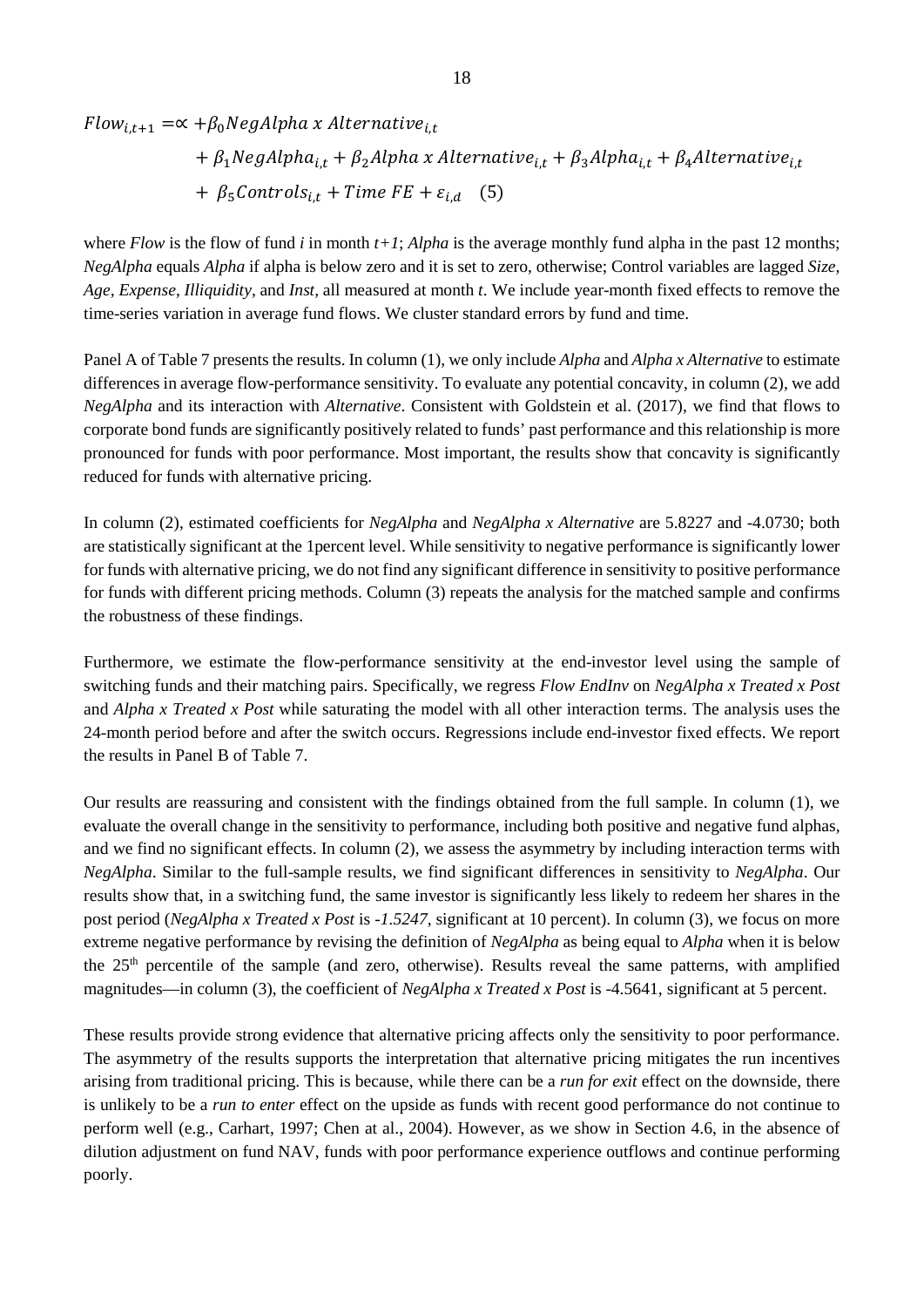$Flow_{i,t+1} = \propto +\beta_0 NegAlpha \times Alternative_{i,t}$ 

+ 
$$
\beta_1
$$
NegAlpha<sub>i,t</sub> +  $\beta_2$ Alpha *x* Alternative<sub>i,t</sub> +  $\beta_3$ Alpha<sub>i,t</sub> +  $\beta_4$ Alternative<sub>i,t</sub>  
+  $\beta_5$ Control<sub>i,t</sub> + Time FE +  $\varepsilon_{i,d}$  (5)

where  $Flow$  is the flow of fund *i* in month  $t+1$ ; *Alpha* is the average monthly fund alpha in the past 12 months; *NegAlpha* equals *Alpha* if alpha is below zero and it is set to zero, otherwise; Control variables are lagged *Size, Age, Expense, Illiquidity*, and *Inst,* all measured at month *t*. We include year-month fixed effects to remove the time-series variation in average fund flows. We cluster standard errors by fund and time.

Panel A of Table 7 presents the results. In column (1), we only include *Alpha* and *Alpha x Alternative* to estimate differences in average flow-performance sensitivity. To evaluate any potential concavity, in column (2), we add *NegAlpha* and its interaction with *Alternative*. Consistent with Goldstein et al. (2017), we find that flows to corporate bond funds are significantly positively related to funds' past performance and this relationship is more pronounced for funds with poor performance. Most important, the results show that concavity is significantly reduced for funds with alternative pricing.

In column (2), estimated coefficients for *NegAlpha* and *NegAlpha x Alternative* are 5.8227 and -4.0730; both are statistically significant at the 1percent level. While sensitivity to negative performance is significantly lower for funds with alternative pricing, we do not find any significant difference in sensitivity to positive performance for funds with different pricing methods. Column (3) repeats the analysis for the matched sample and confirms the robustness of these findings.

Furthermore, we estimate the flow-performance sensitivity at the end-investor level using the sample of switching funds and their matching pairs. Specifically, we regress *Flow EndInv* on *NegAlpha x Treated x Post* and *Alpha x Treated x Post* while saturating the model with all other interaction terms. The analysis uses the 24-month period before and after the switch occurs. Regressions include end-investor fixed effects. We report the results in Panel B of Table 7.

Our results are reassuring and consistent with the findings obtained from the full sample. In column (1), we evaluate the overall change in the sensitivity to performance, including both positive and negative fund alphas, and we find no significant effects. In column (2), we assess the asymmetry by including interaction terms with *NegAlpha*. Similar to the full-sample results, we find significant differences in sensitivity to *NegAlpha*. Our results show that, in a switching fund, the same investor is significantly less likely to redeem her shares in the post period (*NegAlpha x Treated x Post* is *-1.5247*, significant at 10 percent). In column (3), we focus on more extreme negative performance by revising the definition of *NegAlpha* as being equal to *Alpha* when it is below the 25th percentile of the sample (and zero, otherwise). Results reveal the same patterns, with amplified magnitudes—in column (3), the coefficient of *NegAlpha x Treated x Post* is -4.5641, significant at 5 percent.

These results provide strong evidence that alternative pricing affects only the sensitivity to poor performance. The asymmetry of the results supports the interpretation that alternative pricing mitigates the run incentives arising from traditional pricing. This is because, while there can be a *run for exit* effect on the downside, there is unlikely to be a *run to enter* effect on the upside as funds with recent good performance do not continue to perform well (e.g., Carhart, 1997; Chen at al., 2004). However, as we show in Section 4.6, in the absence of dilution adjustment on fund NAV, funds with poor performance experience outflows and continue performing poorly.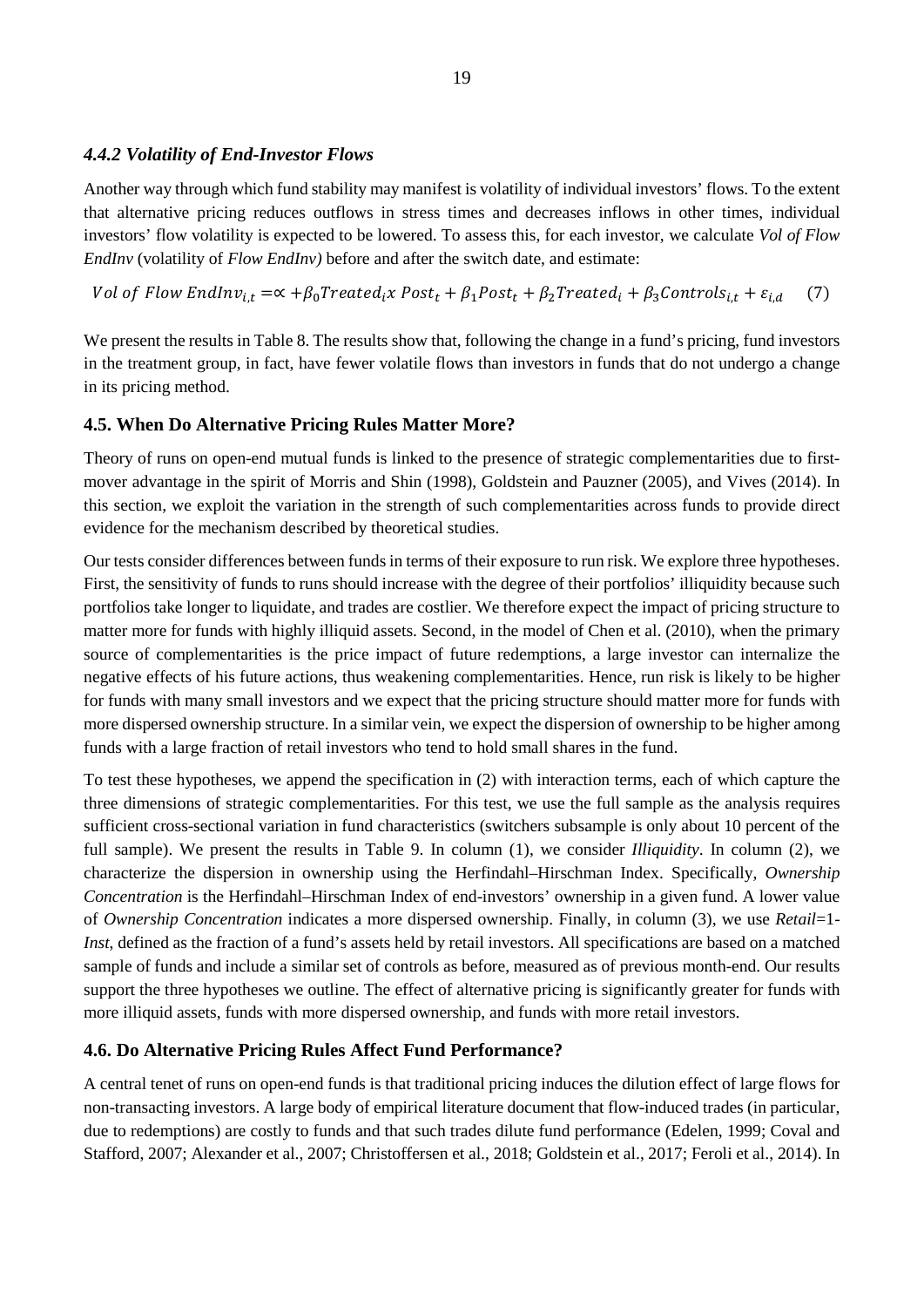# *4.4.2 Volatility of End-Investor Flows*

Another way through which fund stability may manifest is volatility of individual investors' flows. To the extent that alternative pricing reduces outflows in stress times and decreases inflows in other times, individual investors' flow volatility is expected to be lowered. To assess this, for each investor, we calculate *Vol of Flow EndInv* (volatility of *Flow EndInv*) before and after the switch date, and estimate:

Vol of Flow EndIn $v_{i,t} = \alpha + \beta_0 T$ reated<sub>i</sub>x Post<sub>t</sub> +  $\beta_1$ Post<sub>t</sub> +  $\beta_2 T$ reated<sub>i</sub> +  $\beta_3$ Controls<sub>it</sub> +  $\varepsilon_{i,d}$  (7)

We present the results in Table 8. The results show that, following the change in a fund's pricing, fund investors in the treatment group, in fact, have fewer volatile flows than investors in funds that do not undergo a change in its pricing method.

# **4.5. When Do Alternative Pricing Rules Matter More?**

Theory of runs on open-end mutual funds is linked to the presence of strategic complementarities due to firstmover advantage in the spirit of Morris and Shin (1998), Goldstein and Pauzner (2005), and Vives (2014). In this section, we exploit the variation in the strength of such complementarities across funds to provide direct evidence for the mechanism described by theoretical studies.

Our tests consider differences between funds in terms of their exposure to run risk. We explore three hypotheses. First, the sensitivity of funds to runs should increase with the degree of their portfolios' illiquidity because such portfolios take longer to liquidate, and trades are costlier. We therefore expect the impact of pricing structure to matter more for funds with highly illiquid assets. Second, in the model of Chen et al. (2010), when the primary source of complementarities is the price impact of future redemptions, a large investor can internalize the negative effects of his future actions, thus weakening complementarities. Hence, run risk is likely to be higher for funds with many small investors and we expect that the pricing structure should matter more for funds with more dispersed ownership structure. In a similar vein, we expect the dispersion of ownership to be higher among funds with a large fraction of retail investors who tend to hold small shares in the fund.

To test these hypotheses, we append the specification in (2) with interaction terms, each of which capture the three dimensions of strategic complementarities. For this test, we use the full sample as the analysis requires sufficient cross-sectional variation in fund characteristics (switchers subsample is only about 10 percent of the full sample). We present the results in Table 9. In column (1), we consider *Illiquidity*. In column (2), we characterize the dispersion in ownership using the Herfindahl–Hirschman Index. Specifically, *Ownership Concentration* is the Herfindahl–Hirschman Index of end-investors' ownership in a given fund. A lower value of *Ownership Concentration* indicates a more dispersed ownership. Finally, in column (3), we use *Retail*=1- *Inst*, defined as the fraction of a fund's assets held by retail investors. All specifications are based on a matched sample of funds and include a similar set of controls as before, measured as of previous month-end. Our results support the three hypotheses we outline. The effect of alternative pricing is significantly greater for funds with more illiquid assets, funds with more dispersed ownership, and funds with more retail investors.

# **4.6. Do Alternative Pricing Rules Affect Fund Performance?**

A central tenet of runs on open-end funds is that traditional pricing induces the dilution effect of large flows for non-transacting investors. A large body of empirical literature document that flow-induced trades (in particular, due to redemptions) are costly to funds and that such trades dilute fund performance (Edelen, 1999; Coval and Stafford, 2007; Alexander et al., 2007; Christoffersen et al., 2018; Goldstein et al., 2017; Feroli et al., 2014). In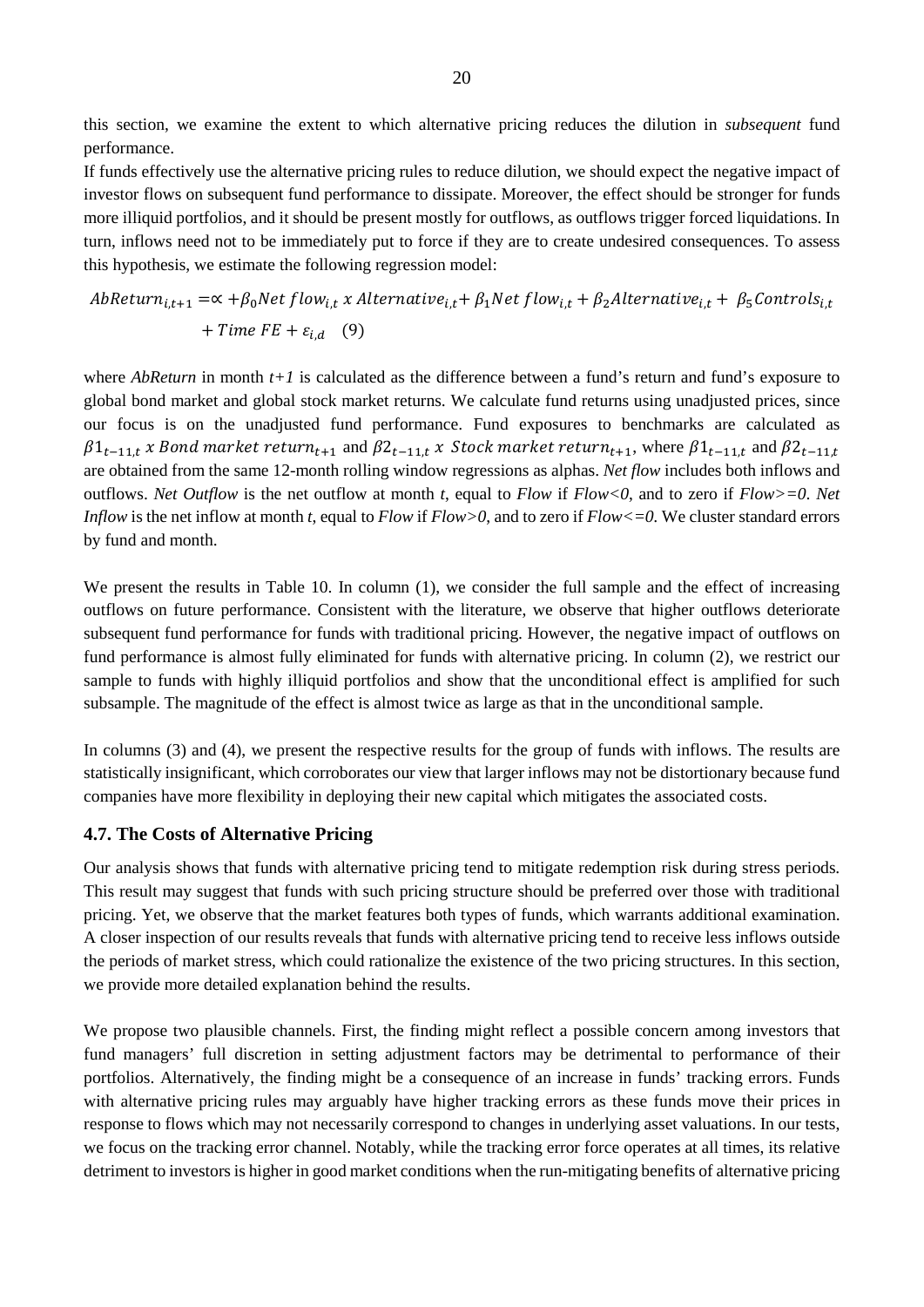this section, we examine the extent to which alternative pricing reduces the dilution in *subsequent* fund performance.

If funds effectively use the alternative pricing rules to reduce dilution, we should expect the negative impact of investor flows on subsequent fund performance to dissipate. Moreover, the effect should be stronger for funds more illiquid portfolios, and it should be present mostly for outflows, as outflows trigger forced liquidations. In turn, inflows need not to be immediately put to force if they are to create undesired consequences. To assess this hypothesis, we estimate the following regression model:

$$
AbReturn_{i,t+1} = \alpha + \beta_0 Net flow_{i,t} \times Alternative_{i,t} + \beta_1 Net flow_{i,t} + \beta_2 Alternative_{i,t} + \beta_5 Contents_{i,t} + Time FE + \varepsilon_{i,d} \quad (9)
$$

where *AbReturn* in month  $t+1$  is calculated as the difference between a fund's return and fund's exposure to global bond market and global stock market returns. We calculate fund returns using unadjusted prices, since our focus is on the unadjusted fund performance. Fund exposures to benchmarks are calculated as  $\beta1_{t-11,t}$  x Bond market return<sub>t+1</sub> and  $\beta2_{t-11,t}$  x Stock market return<sub>t+1</sub>, where  $\beta1_{t-11,t}$  and  $\beta2_{t-11,t}$ are obtained from the same 12-month rolling window regressions as alphas. *Net flow* includes both inflows and outflows. *Net Outflow* is the net outflow at month *t*, equal to *Flow* if *Flow<0*, and to zero if *Flow>=0*. *Net Inflow* is the net inflow at month *t*, equal to *Flow* if *Flow>0*, and to zero if *Flow<=0.* We cluster standard errors by fund and month.

We present the results in Table 10. In column (1), we consider the full sample and the effect of increasing outflows on future performance. Consistent with the literature, we observe that higher outflows deteriorate subsequent fund performance for funds with traditional pricing. However, the negative impact of outflows on fund performance is almost fully eliminated for funds with alternative pricing. In column (2), we restrict our sample to funds with highly illiquid portfolios and show that the unconditional effect is amplified for such subsample. The magnitude of the effect is almost twice as large as that in the unconditional sample.

In columns (3) and (4), we present the respective results for the group of funds with inflows. The results are statistically insignificant, which corroborates our view that larger inflows may not be distortionary because fund companies have more flexibility in deploying their new capital which mitigates the associated costs.

#### **4.7. The Costs of Alternative Pricing**

Our analysis shows that funds with alternative pricing tend to mitigate redemption risk during stress periods. This result may suggest that funds with such pricing structure should be preferred over those with traditional pricing. Yet, we observe that the market features both types of funds, which warrants additional examination. A closer inspection of our results reveals that funds with alternative pricing tend to receive less inflows outside the periods of market stress, which could rationalize the existence of the two pricing structures. In this section, we provide more detailed explanation behind the results.

We propose two plausible channels. First, the finding might reflect a possible concern among investors that fund managers' full discretion in setting adjustment factors may be detrimental to performance of their portfolios. Alternatively, the finding might be a consequence of an increase in funds' tracking errors. Funds with alternative pricing rules may arguably have higher tracking errors as these funds move their prices in response to flows which may not necessarily correspond to changes in underlying asset valuations. In our tests, we focus on the tracking error channel. Notably, while the tracking error force operates at all times, its relative detriment to investors is higher in good market conditions when the run-mitigating benefits of alternative pricing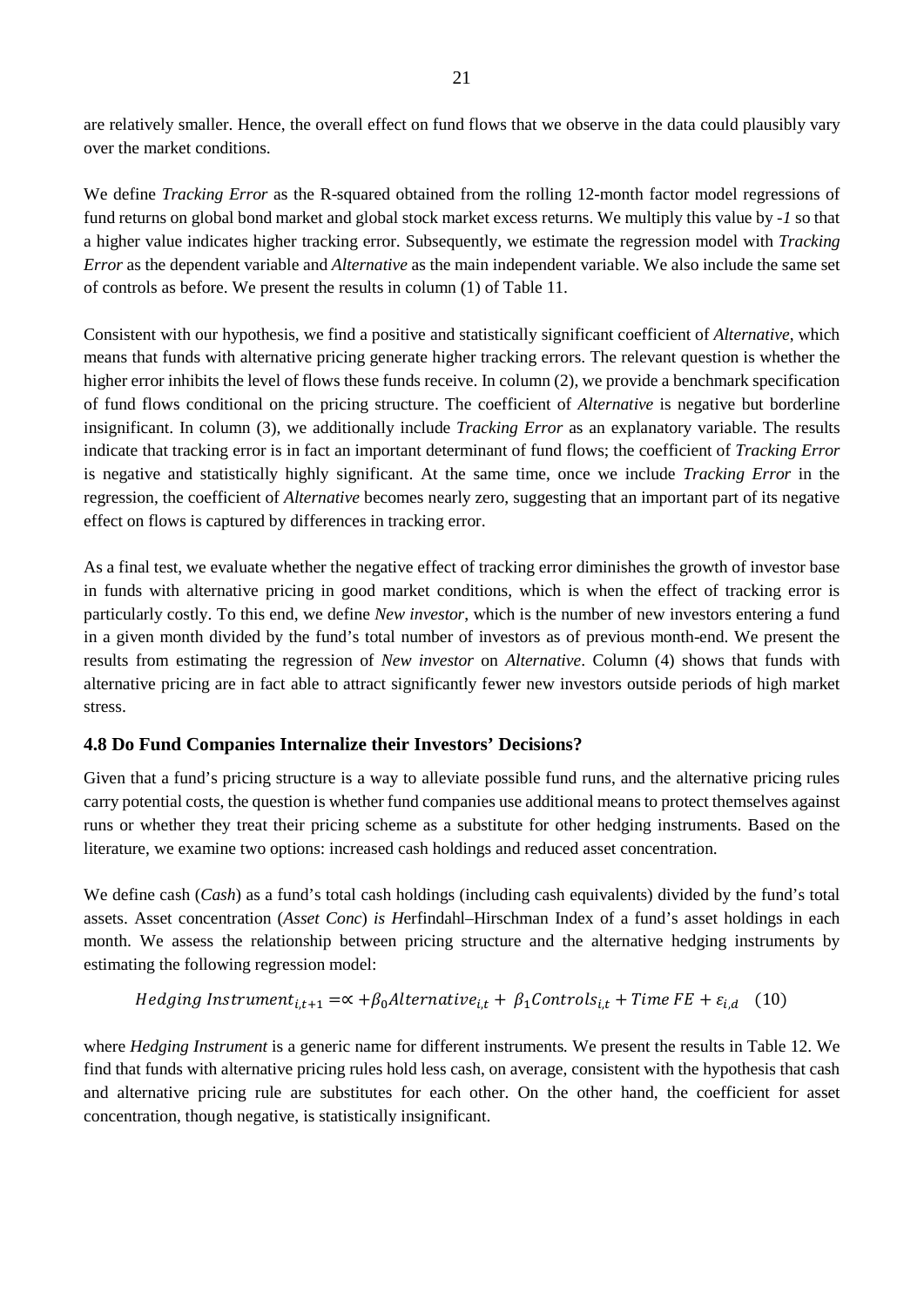are relatively smaller. Hence, the overall effect on fund flows that we observe in the data could plausibly vary over the market conditions.

We define *Tracking Error* as the R-squared obtained from the rolling 12-month factor model regressions of fund returns on global bond market and global stock market excess returns. We multiply this value by *-1* so that a higher value indicates higher tracking error. Subsequently, we estimate the regression model with *Tracking Error* as the dependent variable and *Alternative* as the main independent variable. We also include the same set of controls as before. We present the results in column (1) of Table 11.

Consistent with our hypothesis, we find a positive and statistically significant coefficient of *Alternative*, which means that funds with alternative pricing generate higher tracking errors. The relevant question is whether the higher error inhibits the level of flows these funds receive. In column (2), we provide a benchmark specification of fund flows conditional on the pricing structure. The coefficient of *Alternative* is negative but borderline insignificant. In column (3), we additionally include *Tracking Error* as an explanatory variable. The results indicate that tracking error is in fact an important determinant of fund flows; the coefficient of *Tracking Error*  is negative and statistically highly significant. At the same time, once we include *Tracking Error* in the regression, the coefficient of *Alternative* becomes nearly zero, suggesting that an important part of its negative effect on flows is captured by differences in tracking error.

As a final test, we evaluate whether the negative effect of tracking error diminishes the growth of investor base in funds with alternative pricing in good market conditions, which is when the effect of tracking error is particularly costly. To this end, we define *New investor*, which is the number of new investors entering a fund in a given month divided by the fund's total number of investors as of previous month-end. We present the results from estimating the regression of *New investor* on *Alternative*. Column (4) shows that funds with alternative pricing are in fact able to attract significantly fewer new investors outside periods of high market stress.

# **4.8 Do Fund Companies Internalize their Investors' Decisions?**

Given that a fund's pricing structure is a way to alleviate possible fund runs, and the alternative pricing rules carry potential costs, the question is whether fund companies use additional means to protect themselves against runs or whether they treat their pricing scheme as a substitute for other hedging instruments. Based on the literature, we examine two options: increased cash holdings and reduced asset concentration.

We define cash (*Cash*) as a fund's total cash holdings (including cash equivalents) divided by the fund's total assets. Asset concentration (*Asset Conc*) *is H*erfindahl–Hirschman Index of a fund's asset holdings in each month. We assess the relationship between pricing structure and the alternative hedging instruments by estimating the following regression model:

Hedging Instrument<sub>i,t+1</sub> = 
$$
\propto
$$
 + $\beta_0$ Alternative<sub>i,t</sub> +  $\beta_1$ Controls<sub>i,t</sub> + Time FE +  $\varepsilon_{i,d}$  (10)

where *Hedging Instrument* is a generic name for different instruments*.* We present the results in Table 12. We find that funds with alternative pricing rules hold less cash, on average, consistent with the hypothesis that cash and alternative pricing rule are substitutes for each other. On the other hand, the coefficient for asset concentration, though negative, is statistically insignificant.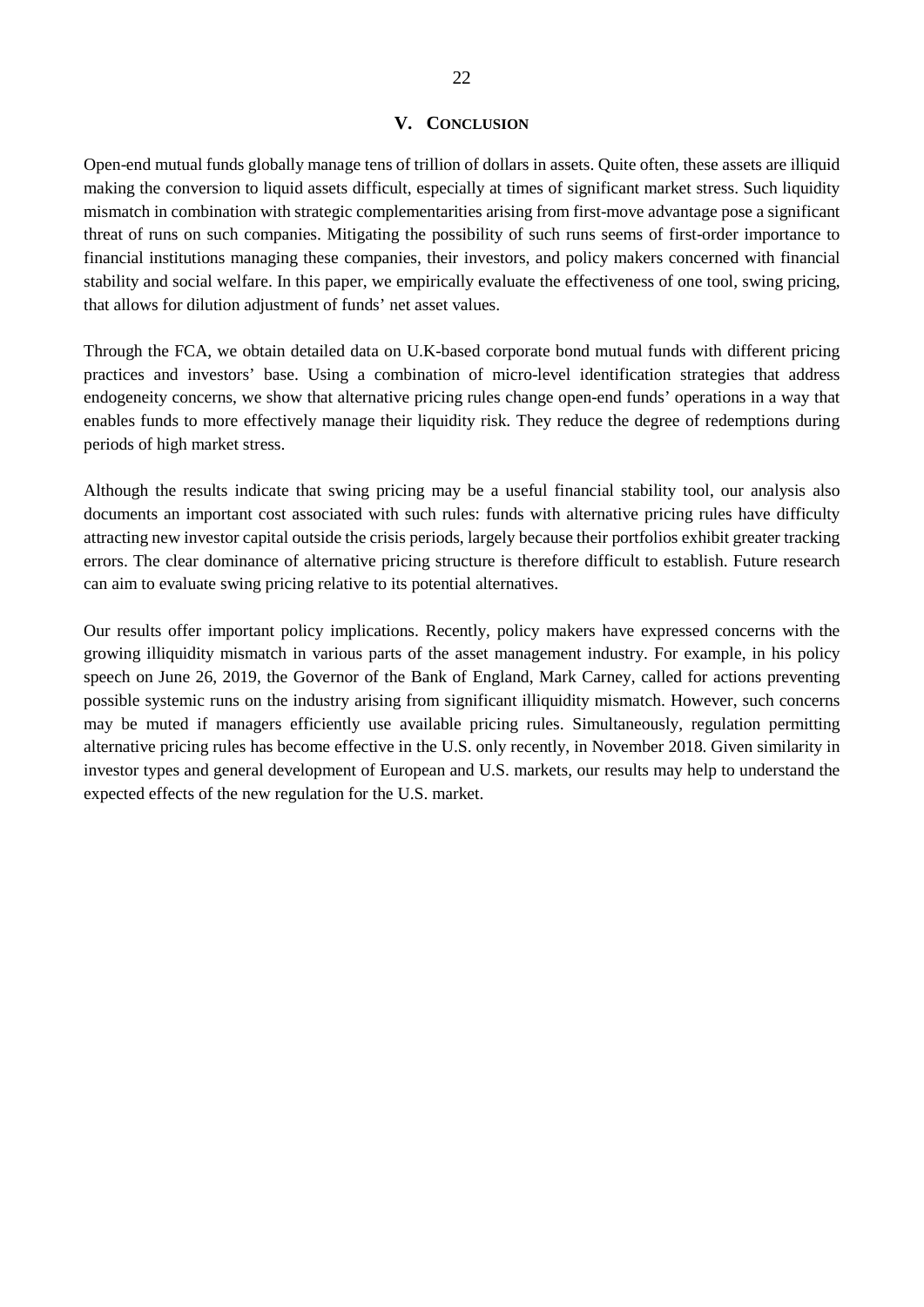#### **V. CONCLUSION**

Open-end mutual funds globally manage tens of trillion of dollars in assets. Quite often, these assets are illiquid making the conversion to liquid assets difficult, especially at times of significant market stress. Such liquidity mismatch in combination with strategic complementarities arising from first-move advantage pose a significant threat of runs on such companies. Mitigating the possibility of such runs seems of first-order importance to financial institutions managing these companies, their investors, and policy makers concerned with financial stability and social welfare. In this paper, we empirically evaluate the effectiveness of one tool, swing pricing, that allows for dilution adjustment of funds' net asset values.

Through the FCA, we obtain detailed data on U.K-based corporate bond mutual funds with different pricing practices and investors' base. Using a combination of micro-level identification strategies that address endogeneity concerns, we show that alternative pricing rules change open-end funds' operations in a way that enables funds to more effectively manage their liquidity risk. They reduce the degree of redemptions during periods of high market stress.

Although the results indicate that swing pricing may be a useful financial stability tool, our analysis also documents an important cost associated with such rules: funds with alternative pricing rules have difficulty attracting new investor capital outside the crisis periods, largely because their portfolios exhibit greater tracking errors. The clear dominance of alternative pricing structure is therefore difficult to establish. Future research can aim to evaluate swing pricing relative to its potential alternatives.

Our results offer important policy implications. Recently, policy makers have expressed concerns with the growing illiquidity mismatch in various parts of the asset management industry. For example, in his policy speech on June 26, 2019, the Governor of the Bank of England, Mark Carney, called for actions preventing possible systemic runs on the industry arising from significant illiquidity mismatch. However, such concerns may be muted if managers efficiently use available pricing rules. Simultaneously, regulation permitting alternative pricing rules has become effective in the U.S. only recently, in November 2018. Given similarity in investor types and general development of European and U.S. markets, our results may help to understand the expected effects of the new regulation for the U.S. market.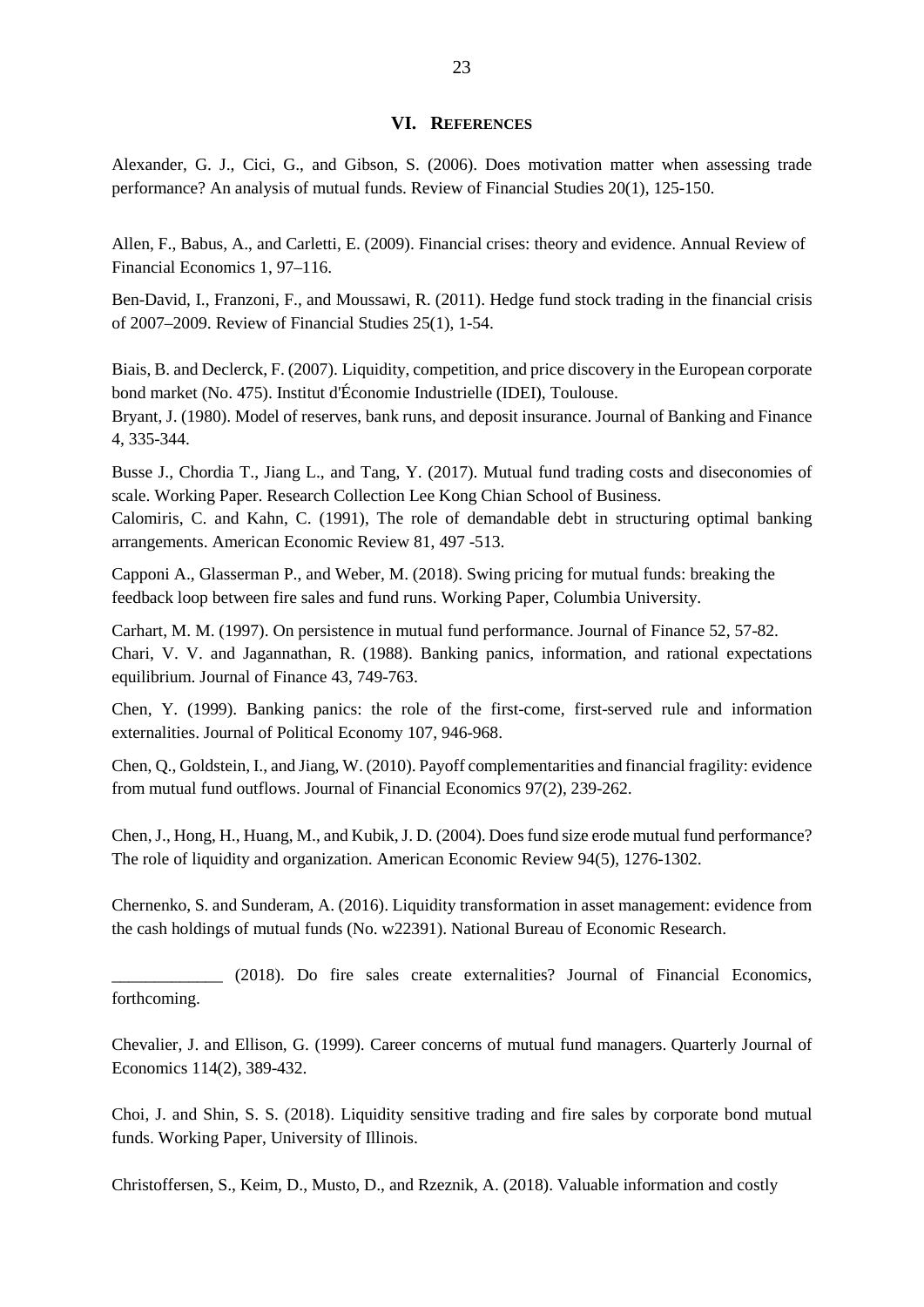#### **VI. REFERENCES**

Alexander, G. J., Cici, G., and Gibson, S. (2006). Does motivation matter when assessing trade performance? An analysis of mutual funds. Review of Financial Studies 20(1), 125-150.

Allen, F., Babus, A., and Carletti, E. (2009). Financial crises: theory and evidence. Annual Review of Financial Economics 1, 97–116.

Ben-David, I., Franzoni, F., and Moussawi, R. (2011). Hedge fund stock trading in the financial crisis of 2007–2009. Review of Financial Studies 25(1), 1-54.

Biais, B. and Declerck, F. (2007). Liquidity, competition, and price discovery in the European corporate bond market (No. 475). Institut d'Économie Industrielle (IDEI), Toulouse. Bryant, J. (1980). Model of reserves, bank runs, and deposit insurance. Journal of Banking and Finance 4, 335-344.

Busse J., Chordia T., Jiang L., and Tang, Y. (2017). Mutual fund trading costs and diseconomies of scale. Working Paper. Research Collection Lee Kong Chian School of Business.

Calomiris, C. and Kahn, C. (1991), The role of demandable debt in structuring optimal banking arrangements. American Economic Review 81, 497 -513.

Capponi A., Glasserman P., and Weber, M. (2018). Swing pricing for mutual funds: breaking the feedback loop between fire sales and fund runs. Working Paper, Columbia University.

Carhart, M. M. (1997). On persistence in mutual fund performance. Journal of Finance 52, 57-82. Chari, V. V. and Jagannathan, R. (1988). Banking panics, information, and rational expectations equilibrium. Journal of Finance 43, 749-763.

Chen, Y. (1999). Banking panics: the role of the first-come, first-served rule and information externalities. Journal of Political Economy 107, 946-968.

Chen, Q., Goldstein, I., and Jiang, W. (2010). Payoff complementarities and financial fragility: evidence from mutual fund outflows. Journal of Financial Economics 97(2), 239-262.

Chen, J., Hong, H., Huang, M., and Kubik, J. D. (2004). Does fund size erode mutual fund performance? The role of liquidity and organization. American Economic Review 94(5), 1276-1302.

Chernenko, S. and Sunderam, A. (2016). Liquidity transformation in asset management: evidence from the cash holdings of mutual funds (No. w22391). National Bureau of Economic Research.

\_\_\_\_\_\_\_\_\_\_\_\_\_ (2018). Do fire sales create externalities? Journal of Financial Economics, forthcoming.

Chevalier, J. and Ellison, G. (1999). Career concerns of mutual fund managers. Quarterly Journal of Economics 114(2), 389-432.

Choi, J. and Shin, S. S. (2018). Liquidity sensitive trading and fire sales by corporate bond mutual funds. Working Paper, University of Illinois.

Christoffersen, S., Keim, D., Musto, D., and Rzeznik, A. (2018). Valuable information and costly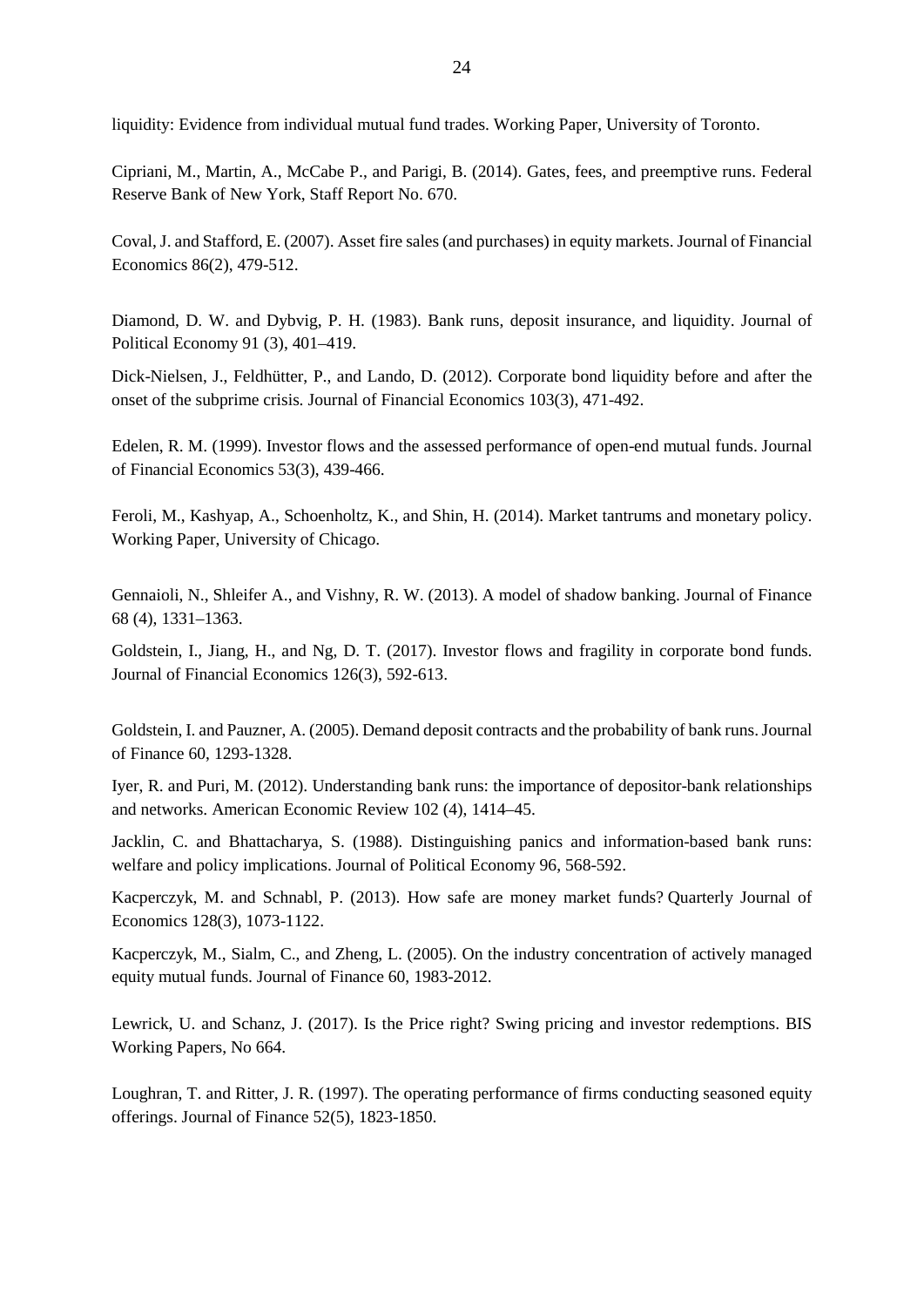liquidity: Evidence from individual mutual fund trades. Working Paper, University of Toronto.

Cipriani, M., Martin, A., McCabe P., and Parigi, B. (2014). Gates, fees, and preemptive runs. Federal Reserve Bank of New York, Staff Report No. 670.

Coval, J. and Stafford, E. (2007). Asset fire sales (and purchases) in equity markets. Journal of Financial Economics 86(2), 479-512.

Diamond, D. W. and Dybvig, P. H. (1983). Bank runs, deposit insurance, and liquidity. Journal of Political Economy 91 (3), 401–419.

Dick-Nielsen, J., Feldhütter, P., and Lando, D. (2012). Corporate bond liquidity before and after the onset of the subprime crisis. Journal of Financial Economics 103(3), 471-492.

Edelen, R. M. (1999). Investor flows and the assessed performance of open-end mutual funds. Journal of Financial Economics 53(3), 439-466.

Feroli, M., Kashyap, A., Schoenholtz, K., and Shin, H. (2014). Market tantrums and monetary policy. Working Paper, University of Chicago.

Gennaioli, N., Shleifer A., and Vishny, R. W. (2013). A model of shadow banking. Journal of Finance 68 (4), 1331–1363.

Goldstein, I., Jiang, H., and Ng, D. T. (2017). Investor flows and fragility in corporate bond funds. Journal of Financial Economics 126(3), 592-613.

Goldstein, I. and Pauzner, A. (2005). Demand deposit contracts and the probability of bank runs. Journal of Finance 60, 1293-1328.

Iyer, R. and Puri, M. (2012). Understanding bank runs: the importance of depositor-bank relationships and networks. American Economic Review 102 (4), 1414–45.

Jacklin, C. and Bhattacharya, S. (1988). Distinguishing panics and information-based bank runs: welfare and policy implications. Journal of Political Economy 96, 568-592.

Kacperczyk, M. and Schnabl, P. (2013). How safe are money market funds? Quarterly Journal of Economics 128(3), 1073-1122.

Kacperczyk, M., Sialm, C., and Zheng, L. (2005). On the industry concentration of actively managed equity mutual funds. Journal of Finance 60, 1983-2012.

Lewrick, U. and Schanz, J. (2017). Is the Price right? Swing pricing and investor redemptions. BIS Working Papers, No 664.

Loughran, T. and Ritter, J. R. (1997). The operating performance of firms conducting seasoned equity offerings. Journal of Finance 52(5), 1823-1850.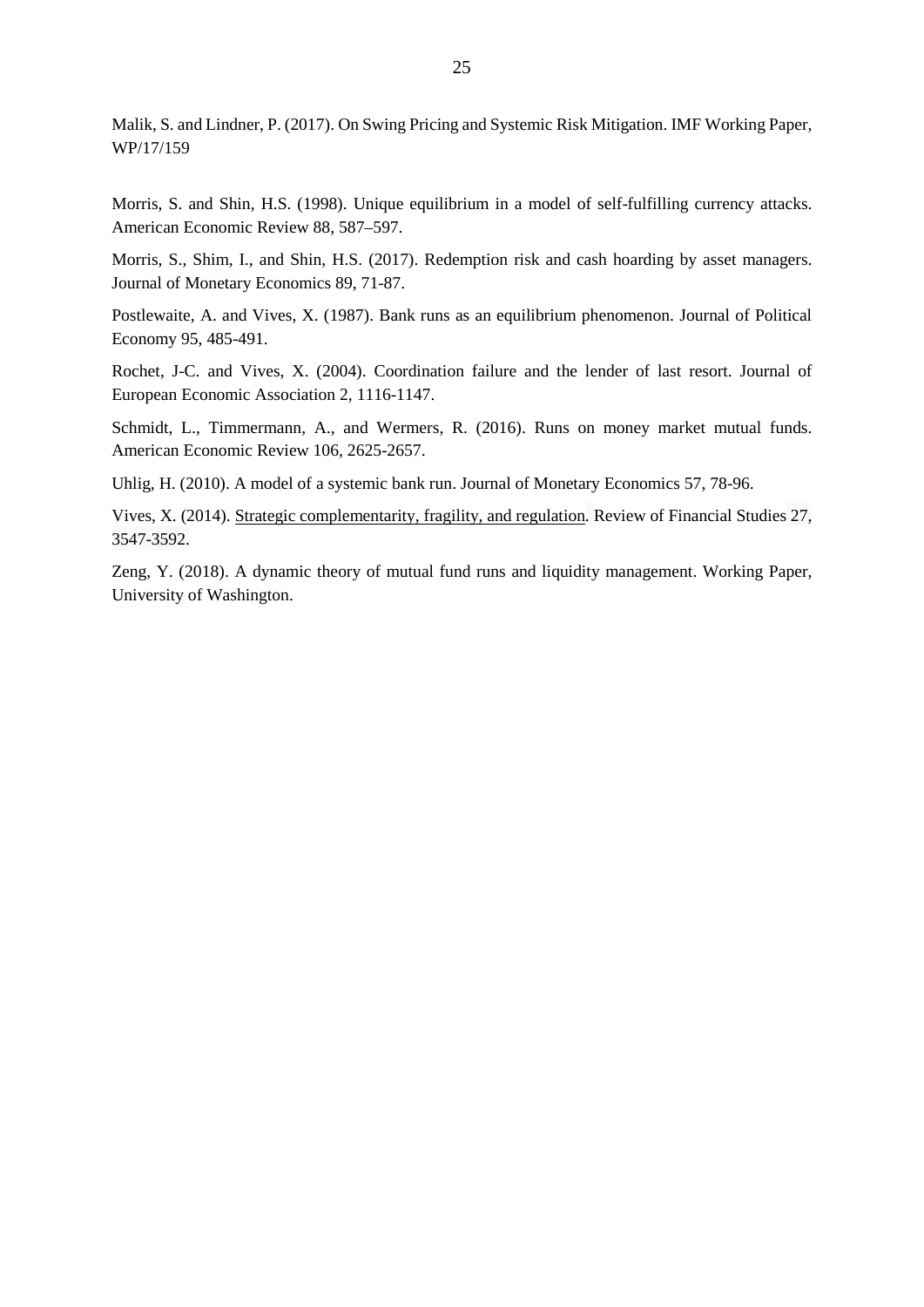Malik, S. and Lindner, P. (2017). On Swing Pricing and Systemic Risk Mitigation. IMF Working Paper, WP/17/159

Morris, S. and Shin, H.S. (1998). Unique equilibrium in a model of self-fulfilling currency attacks. American Economic Review 88, 587–597.

Morris, S., Shim, I., and Shin, H.S. (2017). Redemption risk and cash hoarding by asset managers. Journal of Monetary Economics 89, 71-87.

Postlewaite, A. and Vives, X. (1987). Bank runs as an equilibrium phenomenon. Journal of Political Economy 95, 485-491.

Rochet, J-C. and Vives, X. (2004). Coordination failure and the lender of last resort. Journal of European Economic Association 2, 1116-1147.

Schmidt, L., Timmermann, A., and Wermers, R. (2016). Runs on money market mutual funds. American Economic Review 106, 2625-2657.

Uhlig, H. (2010). A model of a systemic bank run. Journal of Monetary Economics 57, 78-96.

Vives, X. (2014). [Strategic complementarity, fragility, and regulation.](https://academic.oup.com/rfs/article-lookup/doi/10.1093/rfs/hhu064) Review of Financial Studies 27, 3547-3592.

Zeng, Y. (2018). A dynamic theory of mutual fund runs and liquidity management. Working Paper, University of Washington.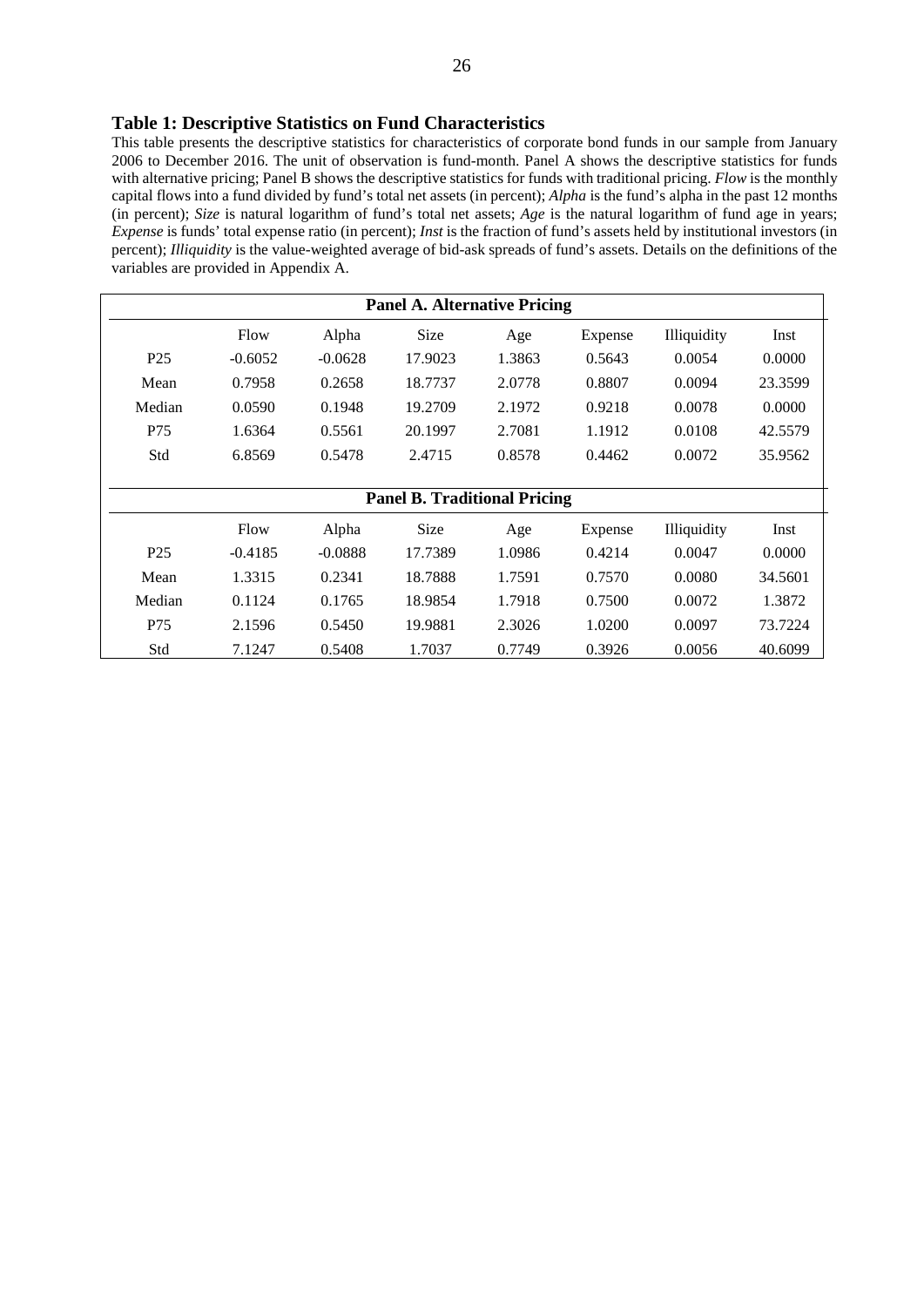#### **Table 1: Descriptive Statistics on Fund Characteristics**

This table presents the descriptive statistics for characteristics of corporate bond funds in our sample from January 2006 to December 2016. The unit of observation is fund-month. Panel A shows the descriptive statistics for funds with alternative pricing; Panel B shows the descriptive statistics for funds with traditional pricing. *Flow* is the monthly capital flows into a fund divided by fund's total net assets (in percent); *Alpha* is the fund's alpha in the past 12 months (in percent); *Size* is natural logarithm of fund's total net assets; *Age* is the natural logarithm of fund age in years; *Expense* is funds' total expense ratio (in percent); *Inst* is the fraction of fund's assets held by institutional investors (in percent); *Illiquidity* is the value-weighted average of bid-ask spreads of fund's assets. Details on the definitions of the variables are provided in Appendix A.

| <b>Panel A. Alternative Pricing</b> |           |           |                                     |        |         |             |         |
|-------------------------------------|-----------|-----------|-------------------------------------|--------|---------|-------------|---------|
|                                     | Flow      | Alpha     | <b>Size</b>                         | Age    | Expense | Illiquidity | Inst    |
| P <sub>25</sub>                     | $-0.6052$ | $-0.0628$ | 17.9023                             | 1.3863 | 0.5643  | 0.0054      | 0.0000  |
| Mean                                | 0.7958    | 0.2658    | 18.7737                             | 2.0778 | 0.8807  | 0.0094      | 23.3599 |
| Median                              | 0.0590    | 0.1948    | 19.2709                             | 2.1972 | 0.9218  | 0.0078      | 0.0000  |
| P75                                 | 1.6364    | 0.5561    | 20.1997                             | 2.7081 | 1.1912  | 0.0108      | 42.5579 |
| Std                                 | 6.8569    | 0.5478    | 2.4715                              | 0.8578 | 0.4462  | 0.0072      | 35.9562 |
|                                     |           |           |                                     |        |         |             |         |
|                                     |           |           | <b>Panel B. Traditional Pricing</b> |        |         |             |         |
|                                     | Flow      | Alpha     | <b>Size</b>                         | Age    | Expense | Illiquidity | Inst    |
| P <sub>25</sub>                     | $-0.4185$ | $-0.0888$ | 17.7389                             | 1.0986 | 0.4214  | 0.0047      | 0.0000  |
| Mean                                | 1.3315    | 0.2341    | 18.7888                             | 1.7591 | 0.7570  | 0.0080      | 34.5601 |
| Median                              | 0.1124    | 0.1765    | 18.9854                             | 1.7918 | 0.7500  | 0.0072      | 1.3872  |
| P75                                 | 2.1596    | 0.5450    | 19.9881                             | 2.3026 | 1.0200  | 0.0097      | 73.7224 |
| Std                                 | 7.1247    | 0.5408    | 1.7037                              | 0.7749 | 0.3926  | 0.0056      | 40.6099 |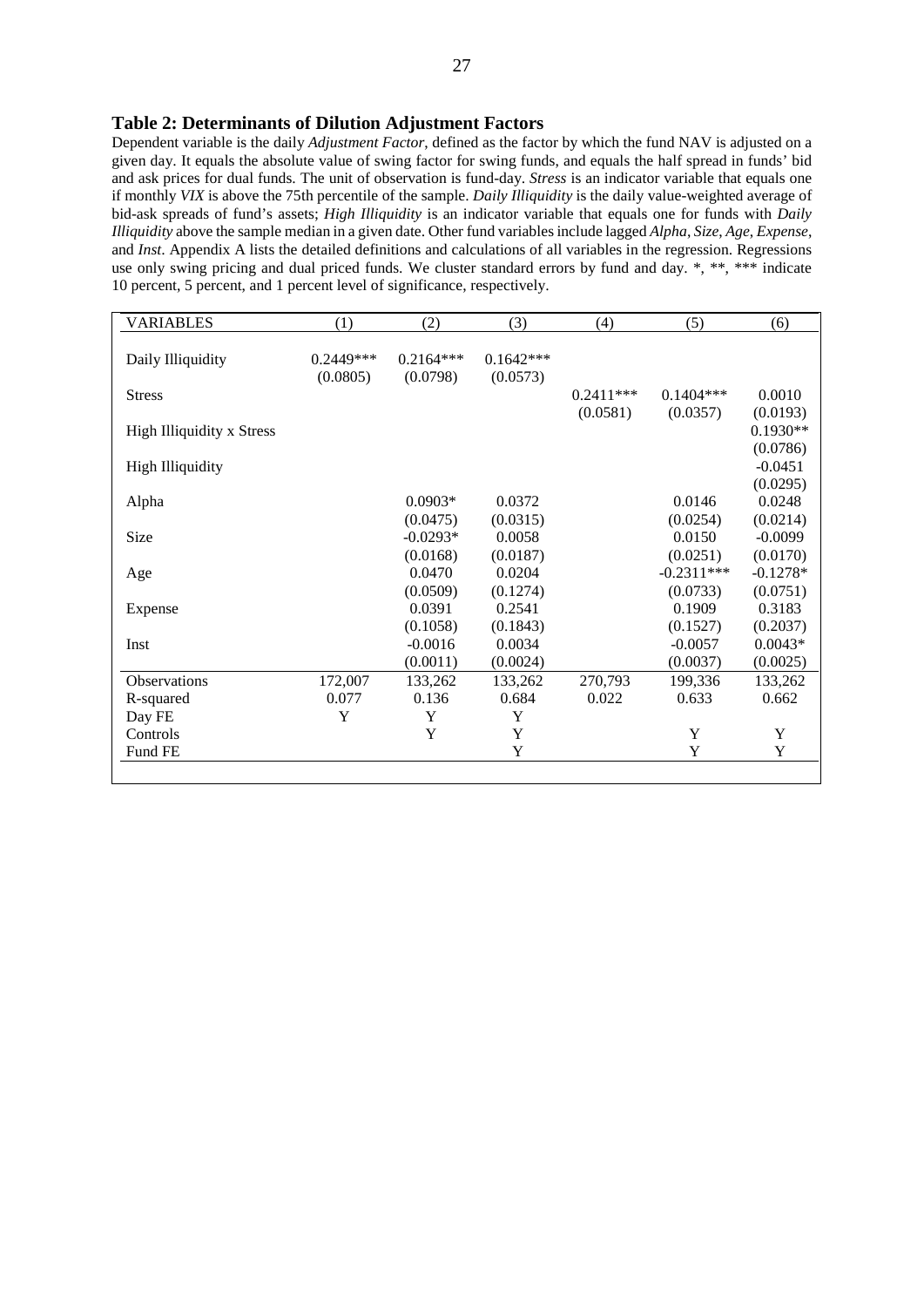#### **Table 2: Determinants of Dilution Adjustment Factors**

Dependent variable is the daily *Adjustment Factor*, defined as the factor by which the fund NAV is adjusted on a given day. It equals the absolute value of swing factor for swing funds, and equals the half spread in funds' bid and ask prices for dual funds. The unit of observation is fund-day. *Stress* is an indicator variable that equals one if monthly *VIX* is above the 75th percentile of the sample. *Daily Illiquidity* is the daily value-weighted average of bid-ask spreads of fund's assets; *High Illiquidity* is an indicator variable that equals one for funds with *Daily Illiquidity* above the sample median in a given date. Other fund variables include lagged *Alpha*, *Size*, *Age*, *Expense*, and *Inst*. Appendix A lists the detailed definitions and calculations of all variables in the regression. Regressions use only swing pricing and dual priced funds. We cluster standard errors by fund and day. \*, \*\*, \*\*\* indicate 10 percent, 5 percent, and 1 percent level of significance, respectively.

| <b>VARIABLES</b>                 | (1)       | (2)         | (3)         | (4)         | (5)          | (6)        |
|----------------------------------|-----------|-------------|-------------|-------------|--------------|------------|
|                                  |           |             |             |             |              |            |
| Daily Illiquidity                | 0.2449*** | $0.2164***$ | $0.1642***$ |             |              |            |
|                                  | (0.0805)  | (0.0798)    | (0.0573)    |             |              |            |
| <b>Stress</b>                    |           |             |             | $0.2411***$ | $0.1404***$  | 0.0010     |
|                                  |           |             |             | (0.0581)    | (0.0357)     | (0.0193)   |
| <b>High Illiquidity x Stress</b> |           |             |             |             |              | $0.1930**$ |
|                                  |           |             |             |             |              | (0.0786)   |
| <b>High Illiquidity</b>          |           |             |             |             |              | $-0.0451$  |
|                                  |           |             |             |             |              | (0.0295)   |
| Alpha                            |           | $0.0903*$   | 0.0372      |             | 0.0146       | 0.0248     |
|                                  |           | (0.0475)    | (0.0315)    |             | (0.0254)     | (0.0214)   |
| Size                             |           | $-0.0293*$  | 0.0058      |             | 0.0150       | $-0.0099$  |
|                                  |           | (0.0168)    | (0.0187)    |             | (0.0251)     | (0.0170)   |
| Age                              |           | 0.0470      | 0.0204      |             | $-0.2311***$ | $-0.1278*$ |
|                                  |           | (0.0509)    | (0.1274)    |             | (0.0733)     | (0.0751)   |
| Expense                          |           | 0.0391      | 0.2541      |             | 0.1909       | 0.3183     |
|                                  |           | (0.1058)    | (0.1843)    |             | (0.1527)     | (0.2037)   |
| Inst                             |           | $-0.0016$   | 0.0034      |             | $-0.0057$    | $0.0043*$  |
|                                  |           | (0.0011)    | (0.0024)    |             | (0.0037)     | (0.0025)   |
| Observations                     | 172,007   | 133,262     | 133,262     | 270,793     | 199,336      | 133,262    |
| R-squared                        | 0.077     | 0.136       | 0.684       | 0.022       | 0.633        | 0.662      |
| Day FE                           | Y         | Y           | Y           |             |              |            |
| Controls                         |           | Y           | Y           |             | Y            | Y          |
| Fund FE                          |           |             | Y           |             | Y            | Y          |
|                                  |           |             |             |             |              |            |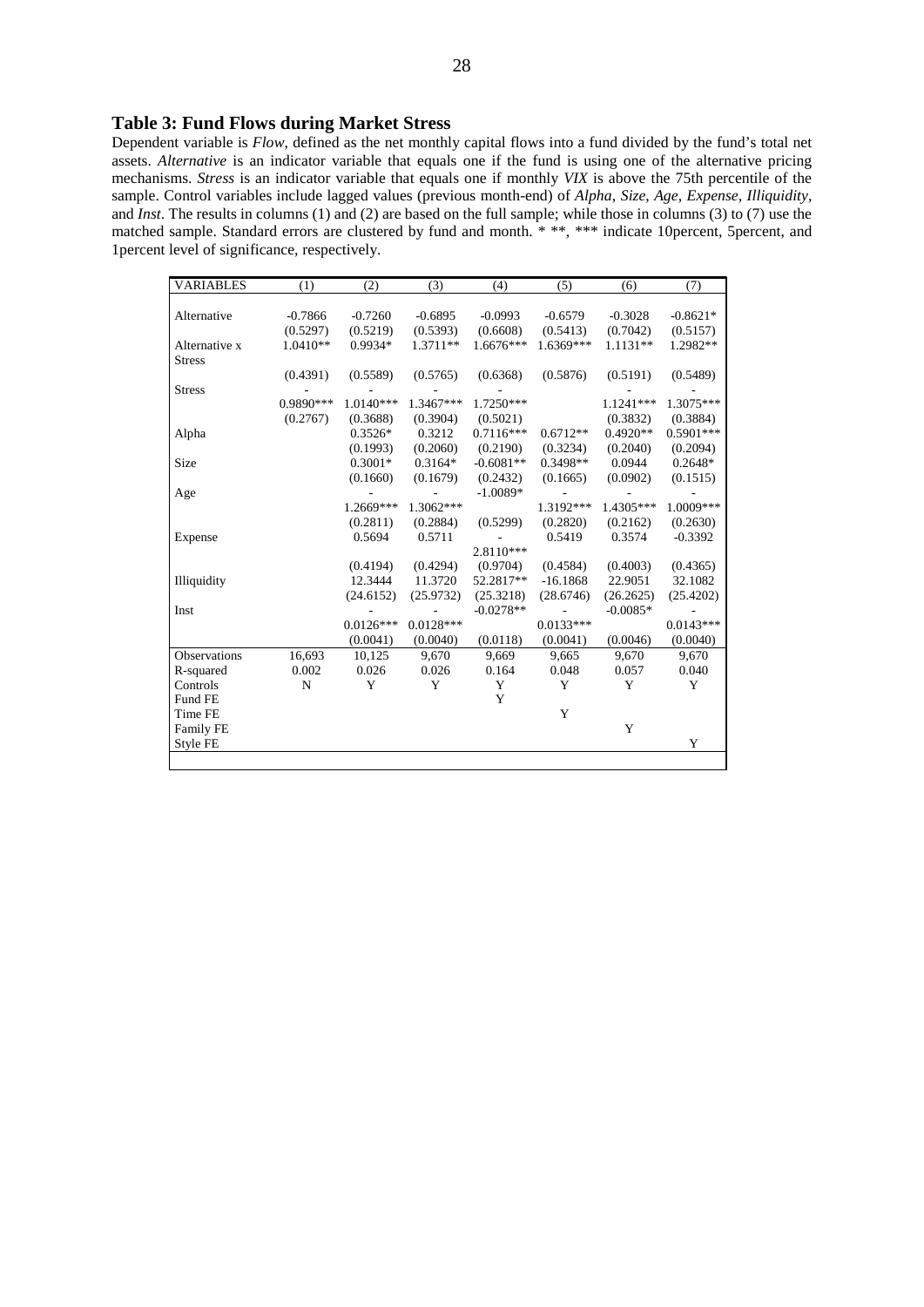#### **Table 3: Fund Flows during Market Stress**

Dependent variable is *Flow*, defined as the net monthly capital flows into a fund divided by the fund's total net assets. *Alternative* is an indicator variable that equals one if the fund is using one of the alternative pricing mechanisms. *Stress* is an indicator variable that equals one if monthly *VIX* is above the 75th percentile of the sample. Control variables include lagged values (previous month-end) of *Alpha*, *Size*, *Age*, *Expense*, *Illiquidity*, and *Inst*. The results in columns (1) and (2) are based on the full sample; while those in columns (3) to (7) use the matched sample. Standard errors are clustered by fund and month. \* \*\*, \*\*\* indicate 10percent, 5percent, and 1percent level of significance, respectively.

| <b>VARIABLES</b> | (1)         | (2)         | (3)         | (4)         | (5)         | (6)        | (7)         |
|------------------|-------------|-------------|-------------|-------------|-------------|------------|-------------|
|                  |             |             |             |             |             |            |             |
| Alternative      | $-0.7866$   | $-0.7260$   | $-0.6895$   | $-0.0993$   | $-0.6579$   | $-0.3028$  | $-0.8621*$  |
|                  | (0.5297)    | (0.5219)    | (0.5393)    | (0.6608)    | (0.5413)    | (0.7042)   | (0.5157)    |
| Alternative x    | 1.0410**    | $0.9934*$   | 1.3711**    | 1.6676***   | 1.6369***   | $1.1131**$ | 1.2982**    |
| <b>Stress</b>    |             |             |             |             |             |            |             |
|                  | (0.4391)    | (0.5589)    | (0.5765)    | (0.6368)    | (0.5876)    | (0.5191)   | (0.5489)    |
| <b>Stress</b>    |             |             |             |             |             |            |             |
|                  | 0.9890***   | 1.0140***   | 1.3467***   | 1.7250***   |             | 1.1241***  | 1.3075***   |
|                  | (0.2767)    | (0.3688)    | (0.3904)    | (0.5021)    |             | (0.3832)   | (0.3884)    |
| Alpha            |             | $0.3526*$   | 0.3212      | $0.7116***$ | $0.6712**$  | $0.4920**$ | $0.5901***$ |
|                  |             | (0.1993)    | (0.2060)    | (0.2190)    | (0.3234)    | (0.2040)   | (0.2094)    |
| Size             |             | $0.3001*$   | $0.3164*$   | $-0.6081**$ | 0.3498**    | 0.0944     | $0.2648*$   |
|                  |             | (0.1660)    | (0.1679)    | (0.2432)    | (0.1665)    | (0.0902)   | (0.1515)    |
| Age              |             |             |             | $-1.0089*$  |             |            |             |
|                  |             | 1.2669***   | 1.3062***   |             | 1.3192***   | 1.4305***  | 1.0009***   |
|                  |             | (0.2811)    | (0.2884)    | (0.5299)    | (0.2820)    | (0.2162)   | (0.2630)    |
| Expense          |             | 0.5694      | 0.5711      |             | 0.5419      | 0.3574     | $-0.3392$   |
|                  |             |             |             | 2.8110***   |             |            |             |
|                  |             | (0.4194)    | (0.4294)    | (0.9704)    | (0.4584)    | (0.4003)   | (0.4365)    |
| Illiquidity      |             | 12.3444     | 11.3720     | 52.2817**   | $-16.1868$  | 22.9051    | 32.1082     |
|                  |             | (24.6152)   | (25.9732)   | (25.3218)   | (28.6746)   | (26.2625)  | (25.4202)   |
| Inst             |             |             |             | $-0.0278**$ |             | $-0.0085*$ |             |
|                  |             | $0.0126***$ | $0.0128***$ |             | $0.0133***$ |            | $0.0143***$ |
|                  |             | (0.0041)    | (0.0040)    | (0.0118)    | (0.0041)    | (0.0046)   | (0.0040)    |
| Observations     | 16,693      | 10,125      | 9,670       | 9.669       | 9.665       | 9,670      | 9.670       |
| R-squared        | 0.002       | 0.026       | 0.026       | 0.164       | 0.048       | 0.057      | 0.040       |
| Controls         | $\mathbf N$ | Y           | Y           | Y           | Y           | Y          | Y           |
| Fund FE          |             |             |             | Y           |             |            |             |
| Time FE          |             |             |             |             | Y           |            |             |
| Family FE        |             |             |             |             |             | Y          |             |
| Style FE         |             |             |             |             |             |            | Y           |
|                  |             |             |             |             |             |            |             |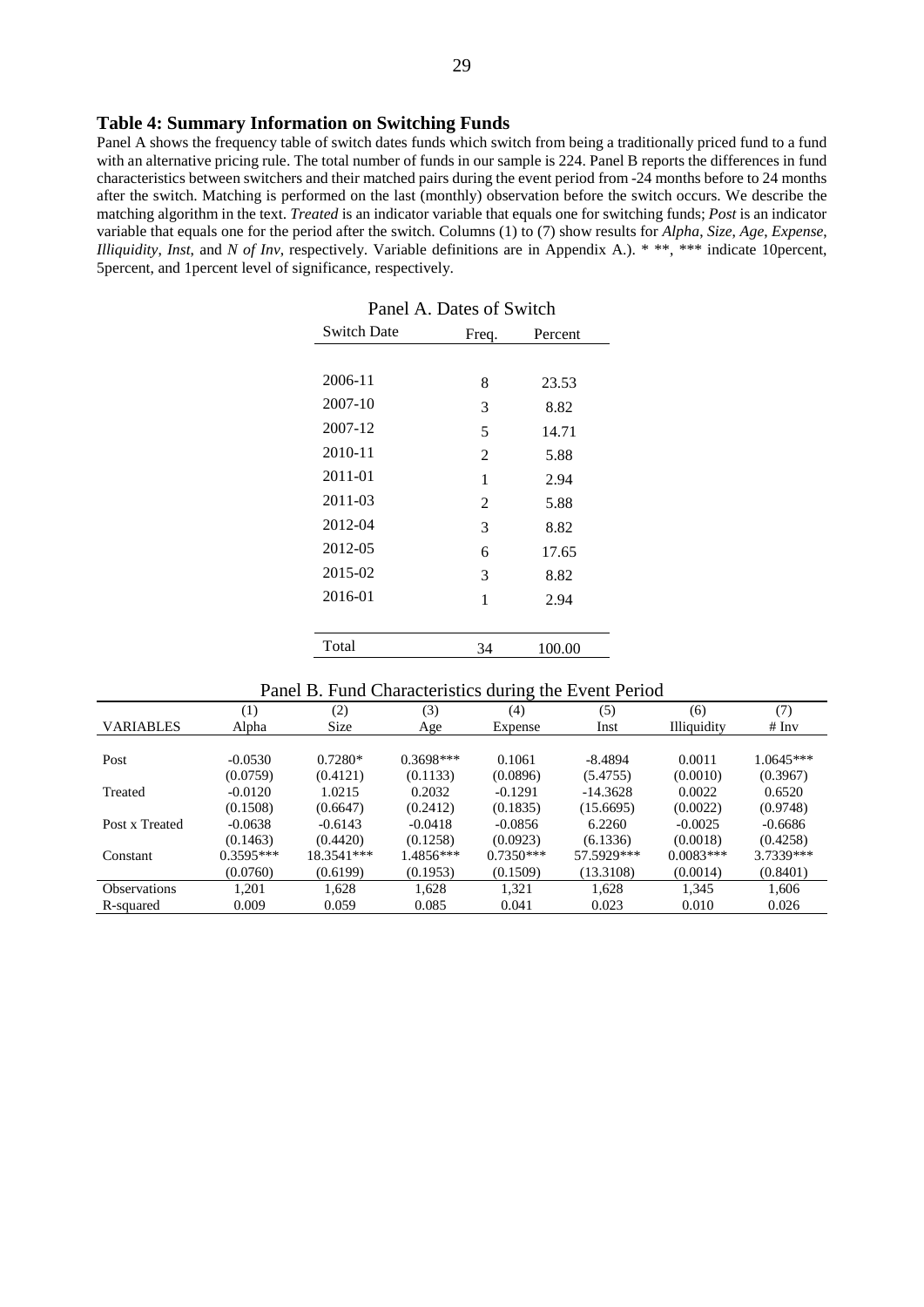#### **Table 4: Summary Information on Switching Funds**

Panel A shows the frequency table of switch dates funds which switch from being a traditionally priced fund to a fund with an alternative pricing rule. The total number of funds in our sample is 224. Panel B reports the differences in fund characteristics between switchers and their matched pairs during the event period from -24 months before to 24 months after the switch. Matching is performed on the last (monthly) observation before the switch occurs. We describe the matching algorithm in the text. *Treated* is an indicator variable that equals one for switching funds; *Post* is an indicator variable that equals one for the period after the switch. Columns (1) to (7) show results for *Alpha*, *Size*, *Age*, *Expense*, *Illiquidity*, *Inst*, and *N of Inv*, respectively. Variable definitions are in Appendix A.). \* \*\*, \*\*\* indicate 10percent, 5percent, and 1percent level of significance, respectively.

| I anci A. Dates of Bwitch |       |         |  |  |  |  |
|---------------------------|-------|---------|--|--|--|--|
| <b>Switch Date</b>        | Freq. | Percent |  |  |  |  |
|                           |       |         |  |  |  |  |
| 2006-11                   | 8     | 23.53   |  |  |  |  |
| 2007-10                   | 3     | 8.82    |  |  |  |  |
| 2007-12                   | 5     | 14.71   |  |  |  |  |
| 2010-11                   | 2     | 5.88    |  |  |  |  |
| 2011-01                   | 1     | 2.94    |  |  |  |  |
| 2011-03                   | 2     | 5.88    |  |  |  |  |
| 2012-04                   | 3     | 8.82    |  |  |  |  |
| 2012-05                   | 6     | 17.65   |  |  |  |  |
| 2015-02                   | 3     | 8.82    |  |  |  |  |
| 2016-01                   | 1     | 2.94    |  |  |  |  |
|                           |       |         |  |  |  |  |
| Total                     | 34    | 100.00  |  |  |  |  |
|                           |       |         |  |  |  |  |

|         | Panel A. Dates of Switch |     |
|---------|--------------------------|-----|
| ch Date | Frea                     | Per |

#### Panel B. Fund Characteristics during the Event Period

|                     | I and D. I and Characteristics daring the Event I criba |             |             |             |            |                    |           |  |
|---------------------|---------------------------------------------------------|-------------|-------------|-------------|------------|--------------------|-----------|--|
|                     | $\left(1\right)$                                        | (2)         | (3)         | (4)         | (5)        | (6)                | (7)       |  |
| <b>VARIABLES</b>    | Alpha                                                   | <b>Size</b> | Age         | Expense     | Inst       | <b>Illiquidity</b> | # Inv     |  |
|                     |                                                         |             |             |             |            |                    |           |  |
| Post                | $-0.0530$                                               | $0.7280*$   | $0.3698***$ | 0.1061      | $-8.4894$  | 0.0011             | 1.0645*** |  |
|                     | (0.0759)                                                | (0.4121)    | (0.1133)    | (0.0896)    | (5.4755)   | (0.0010)           | (0.3967)  |  |
| Treated             | $-0.0120$                                               | 1.0215      | 0.2032      | $-0.1291$   | $-14.3628$ | 0.0022             | 0.6520    |  |
|                     | (0.1508)                                                | (0.6647)    | (0.2412)    | (0.1835)    | (15.6695)  | (0.0022)           | (0.9748)  |  |
| Post x Treated      | $-0.0638$                                               | $-0.6143$   | $-0.0418$   | $-0.0856$   | 6.2260     | $-0.0025$          | $-0.6686$ |  |
|                     | (0.1463)                                                | (0.4420)    | (0.1258)    | (0.0923)    | (6.1336)   | (0.0018)           | (0.4258)  |  |
| Constant            | $0.3595***$                                             | 18.3541***  | 1.4856***   | $0.7350***$ | 57.5929*** | $0.0083***$        | 3.7339*** |  |
|                     | (0.0760)                                                | (0.6199)    | (0.1953)    | (0.1509)    | (13.3108)  | (0.0014)           | (0.8401)  |  |
| <b>Observations</b> | 1.201                                                   | 1.628       | 1.628       | 1.321       | 1.628      | 1.345              | 1.606     |  |
| R-squared           | 0.009                                                   | 0.059       | 0.085       | 0.041       | 0.023      | 0.010              | 0.026     |  |
|                     |                                                         |             |             |             |            |                    |           |  |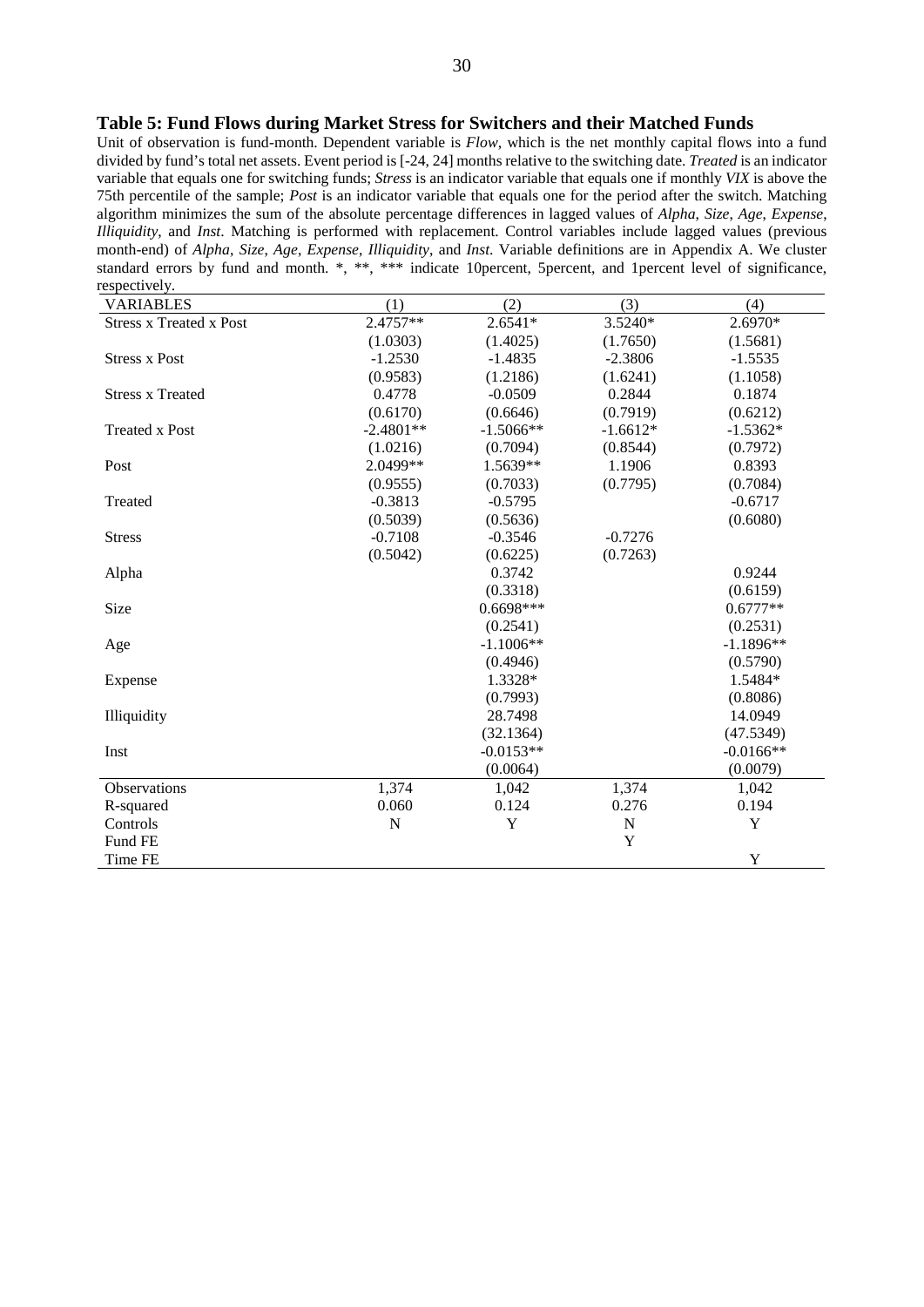#### **Table 5: Fund Flows during Market Stress for Switchers and their Matched Funds**

Unit of observation is fund-month. Dependent variable is *Flow*, which is the net monthly capital flows into a fund divided by fund's total net assets. Event period is [-24, 24] months relative to the switching date. *Treated* is an indicator variable that equals one for switching funds; *Stress* is an indicator variable that equals one if monthly *VIX* is above the 75th percentile of the sample; *Post* is an indicator variable that equals one for the period after the switch. Matching algorithm minimizes the sum of the absolute percentage differences in lagged values of *Alpha*, *Size*, *Age*, *Expense*, *Illiquidity*, and *Inst*. Matching is performed with replacement. Control variables include lagged values (previous month-end) of *Alpha*, *Size*, *Age*, *Expense*, *Illiquidity*, and *Inst*. Variable definitions are in Appendix A. We cluster standard errors by fund and month. \*, \*\*, \*\*\* indicate 10 percent, 5 percent, and 1 percent level of significance, respectively

| $\mathbf{c}$ operations.<br><b>VARIABLES</b> | (1)         | (2)         | (3)         | (4)         |
|----------------------------------------------|-------------|-------------|-------------|-------------|
| <b>Stress x Treated x Post</b>               | 2.4757**    | $2.6541*$   | 3.5240*     | 2.6970*     |
|                                              | (1.0303)    | (1.4025)    | (1.7650)    | (1.5681)    |
| <b>Stress x Post</b>                         | $-1.2530$   | $-1.4835$   | $-2.3806$   | $-1.5535$   |
|                                              | (0.9583)    | (1.2186)    | (1.6241)    | (1.1058)    |
| <b>Stress x Treated</b>                      | 0.4778      | $-0.0509$   | 0.2844      | 0.1874      |
|                                              | (0.6170)    | (0.6646)    | (0.7919)    | (0.6212)    |
| <b>Treated x Post</b>                        | $-2.4801**$ | $-1.5066**$ | $-1.6612*$  | $-1.5362*$  |
|                                              | (1.0216)    | (0.7094)    | (0.8544)    | (0.7972)    |
| Post                                         | 2.0499**    | 1.5639**    | 1.1906      | 0.8393      |
|                                              | (0.9555)    | (0.7033)    | (0.7795)    | (0.7084)    |
| Treated                                      | $-0.3813$   | $-0.5795$   |             | $-0.6717$   |
|                                              | (0.5039)    | (0.5636)    |             | (0.6080)    |
| <b>Stress</b>                                | $-0.7108$   | $-0.3546$   | $-0.7276$   |             |
|                                              | (0.5042)    | (0.6225)    | (0.7263)    |             |
| Alpha                                        |             | 0.3742      |             | 0.9244      |
|                                              |             | (0.3318)    |             | (0.6159)    |
| Size                                         |             | $0.6698***$ |             | $0.6777**$  |
|                                              |             | (0.2541)    |             | (0.2531)    |
| Age                                          |             | $-1.1006**$ |             | $-1.1896**$ |
|                                              |             | (0.4946)    |             | (0.5790)    |
| Expense                                      |             | 1.3328*     |             | 1.5484*     |
|                                              |             | (0.7993)    |             | (0.8086)    |
| Illiquidity                                  |             | 28.7498     |             | 14.0949     |
|                                              |             | (32.1364)   |             | (47.5349)   |
| Inst                                         |             | $-0.0153**$ |             | $-0.0166**$ |
|                                              |             | (0.0064)    |             | (0.0079)    |
| Observations                                 | 1,374       | 1,042       | 1,374       | 1,042       |
| R-squared                                    | 0.060       | 0.124       | 0.276       | 0.194       |
| Controls                                     | $\mathbf N$ | Y           | $\mathbf N$ | Y           |
| Fund FE                                      |             |             | Y           |             |
| Time FE                                      |             |             |             | Y           |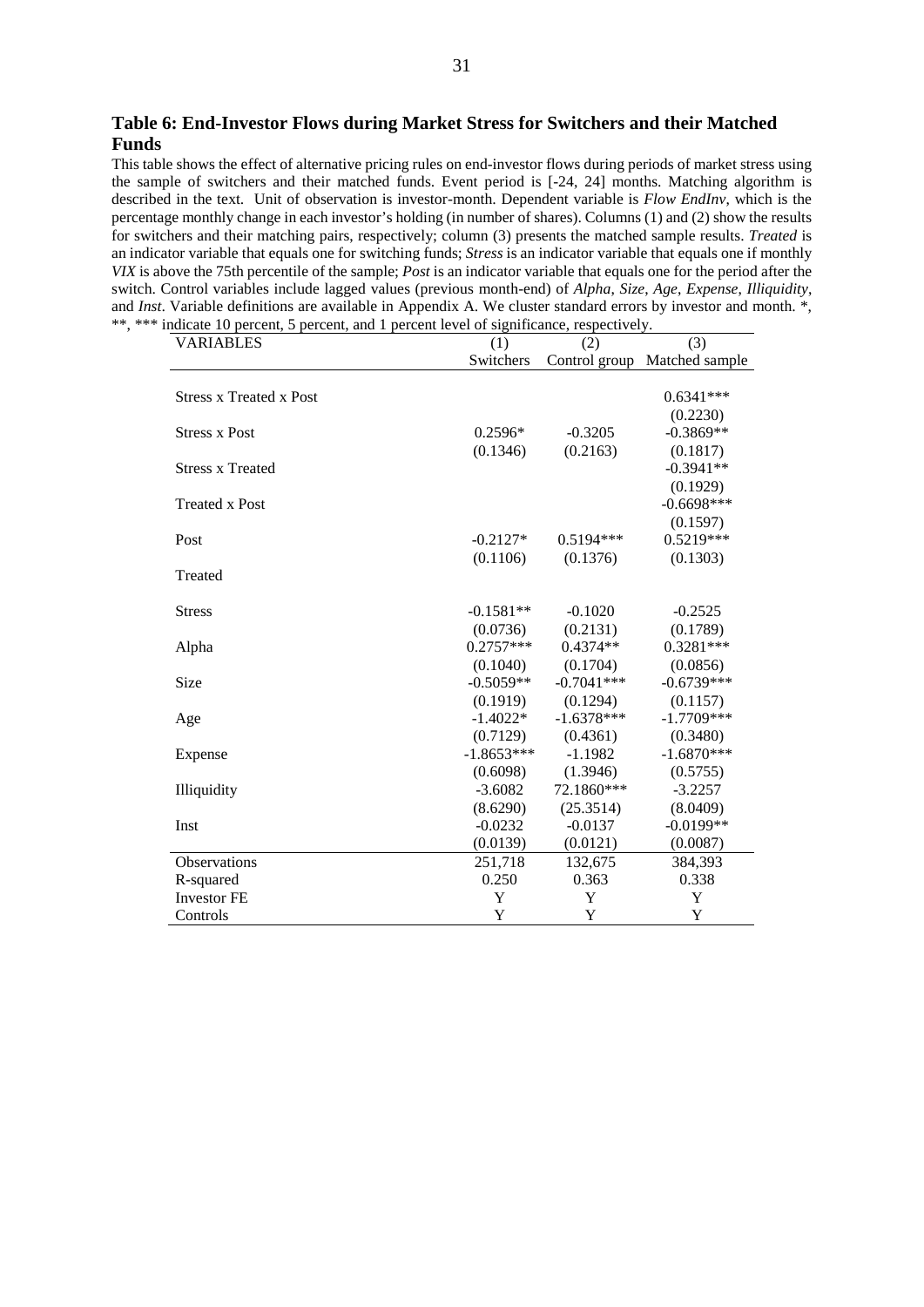**Table 6: End-Investor Flows during Market Stress for Switchers and their Matched Funds**

This table shows the effect of alternative pricing rules on end-investor flows during periods of market stress using the sample of switchers and their matched funds. Event period is [-24, 24] months. Matching algorithm is described in the text. Unit of observation is investor-month. Dependent variable is *Flow EndInv*, which is the percentage monthly change in each investor's holding (in number of shares). Columns (1) and (2) show the results for switchers and their matching pairs, respectively; column (3) presents the matched sample results. *Treated* is an indicator variable that equals one for switching funds; *Stress* is an indicator variable that equals one if monthly *VIX* is above the 75th percentile of the sample; *Post* is an indicator variable that equals one for the period after the switch. Control variables include lagged values (previous month-end) of *Alpha*, *Size*, *Age*, *Expense*, *Illiquidity*, and *Inst*. Variable definitions are available in Appendix A. We cluster standard errors by investor and month.<sup>\*</sup>, \*\*, \*\*\* indicate 10 percent, 5 percent, and 1 percent level of significance, respectively.

| <b>VARIABLES</b>               | (1)          | (2)           | (3)            |
|--------------------------------|--------------|---------------|----------------|
|                                | Switchers    | Control group | Matched sample |
|                                |              |               |                |
| <b>Stress x Treated x Post</b> |              |               | $0.6341***$    |
|                                |              |               | (0.2230)       |
| <b>Stress x Post</b>           | $0.2596*$    | $-0.3205$     | $-0.3869**$    |
|                                | (0.1346)     | (0.2163)      | (0.1817)       |
| <b>Stress x Treated</b>        |              |               | $-0.3941**$    |
|                                |              |               | (0.1929)       |
| <b>Treated x Post</b>          |              |               | $-0.6698***$   |
|                                |              |               | (0.1597)       |
| Post                           | $-0.2127*$   | $0.5194***$   | $0.5219***$    |
|                                | (0.1106)     | (0.1376)      | (0.1303)       |
| Treated                        |              |               |                |
|                                |              |               |                |
| <b>Stress</b>                  | $-0.1581**$  | $-0.1020$     | $-0.2525$      |
|                                | (0.0736)     | (0.2131)      | (0.1789)       |
| Alpha                          | $0.2757***$  | $0.4374**$    | 0.3281***      |
|                                | (0.1040)     | (0.1704)      | (0.0856)       |
| Size                           | $-0.5059**$  | $-0.7041***$  | $-0.6739***$   |
|                                | (0.1919)     | (0.1294)      | (0.1157)       |
| Age                            | $-1.4022*$   | $-1.6378***$  | $-1.7709***$   |
|                                | (0.7129)     | (0.4361)      | (0.3480)       |
| Expense                        | $-1.8653***$ | $-1.1982$     | $-1.6870***$   |
|                                | (0.6098)     | (1.3946)      | (0.5755)       |
| Illiquidity                    | $-3.6082$    | 72.1860***    | $-3.2257$      |
|                                | (8.6290)     | (25.3514)     | (8.0409)       |
| Inst                           | $-0.0232$    | $-0.0137$     | $-0.0199**$    |
|                                | (0.0139)     | (0.0121)      | (0.0087)       |
| Observations                   | 251,718      | 132,675       | 384,393        |
| R-squared                      | 0.250        | 0.363         | 0.338          |
| <b>Investor FE</b>             | Y            | Y             | Y              |
| Controls                       | Y            | Y             | Y              |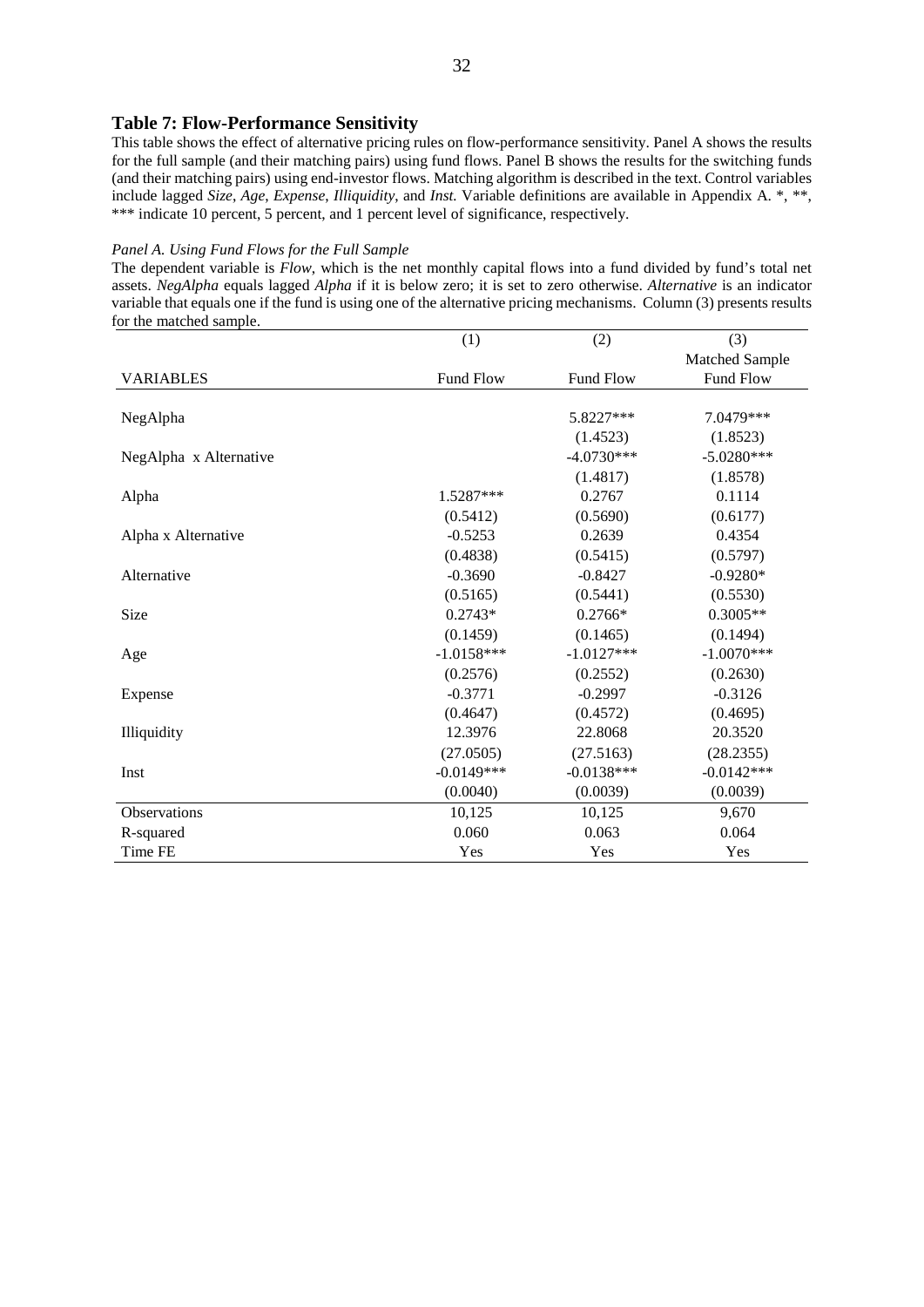#### **Table 7: Flow-Performance Sensitivity**

This table shows the effect of alternative pricing rules on flow-performance sensitivity. Panel A shows the results for the full sample (and their matching pairs) using fund flows. Panel B shows the results for the switching funds (and their matching pairs) using end-investor flows. Matching algorithm is described in the text. Control variables include lagged *Size*, *Age*, *Expense*, *Illiquidity*, and *Inst.* Variable definitions are available in Appendix A. \*, \*\*, \*\*\* indicate 10 percent, 5 percent, and 1 percent level of significance, respectively.

#### *Panel A. Using Fund Flows for the Full Sample*

The dependent variable is *Flow*, which is the net monthly capital flows into a fund divided by fund's total net assets. *NegAlpha* equals lagged *Alpha* if it is below zero; it is set to zero otherwise. *Alternative* is an indicator variable that equals one if the fund is using one of the alternative pricing mechanisms. Column (3) presents results for the matched sample.

|                        | (1)          | (2)          | (3)            |
|------------------------|--------------|--------------|----------------|
|                        |              |              | Matched Sample |
| <b>VARIABLES</b>       | Fund Flow    | Fund Flow    | Fund Flow      |
|                        |              |              |                |
| NegAlpha               |              | 5.8227***    | 7.0479***      |
|                        |              | (1.4523)     | (1.8523)       |
| NegAlpha x Alternative |              | $-4.0730***$ | $-5.0280***$   |
|                        |              | (1.4817)     | (1.8578)       |
| Alpha                  | 1.5287***    | 0.2767       | 0.1114         |
|                        | (0.5412)     | (0.5690)     | (0.6177)       |
| Alpha x Alternative    | $-0.5253$    | 0.2639       | 0.4354         |
|                        | (0.4838)     | (0.5415)     | (0.5797)       |
| Alternative            | $-0.3690$    | $-0.8427$    | $-0.9280*$     |
|                        | (0.5165)     | (0.5441)     | (0.5530)       |
| Size                   | $0.2743*$    | $0.2766*$    | $0.3005**$     |
|                        | (0.1459)     | (0.1465)     | (0.1494)       |
| Age                    | $-1.0158***$ | $-1.0127***$ | $-1.0070***$   |
|                        | (0.2576)     | (0.2552)     | (0.2630)       |
| Expense                | $-0.3771$    | $-0.2997$    | $-0.3126$      |
|                        | (0.4647)     | (0.4572)     | (0.4695)       |
| Illiquidity            | 12.3976      | 22.8068      | 20.3520        |
|                        | (27.0505)    | (27.5163)    | (28.2355)      |
| Inst                   | $-0.0149***$ | $-0.0138***$ | $-0.0142***$   |
|                        | (0.0040)     | (0.0039)     | (0.0039)       |
| Observations           | 10,125       | 10,125       | 9,670          |
| R-squared              | 0.060        | 0.063        | 0.064          |
| Time FE                | Yes          | Yes          | Yes            |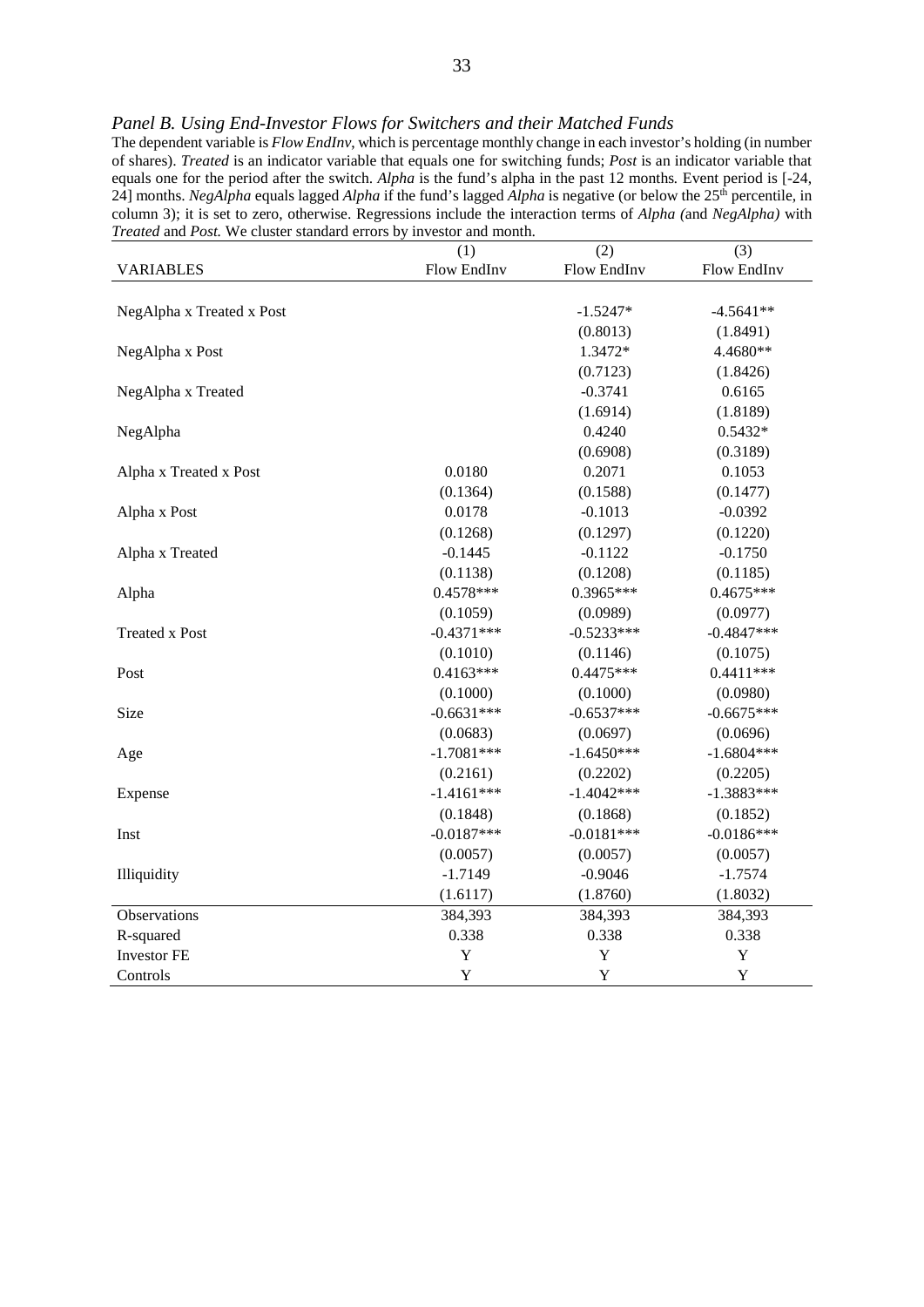|                           | (1)                | (2)                | (3)                |
|---------------------------|--------------------|--------------------|--------------------|
| <b>VARIABLES</b>          | <b>Flow EndInv</b> | <b>Flow EndInv</b> | <b>Flow EndInv</b> |
|                           |                    |                    |                    |
| NegAlpha x Treated x Post |                    | $-1.5247*$         | $-4.5641**$        |
|                           |                    | (0.8013)           | (1.8491)           |
| NegAlpha x Post           |                    | 1.3472*            | 4.4680**           |
|                           |                    | (0.7123)           | (1.8426)           |
| NegAlpha x Treated        |                    | $-0.3741$          | 0.6165             |
|                           |                    | (1.6914)           | (1.8189)           |
| NegAlpha                  |                    | 0.4240             | $0.5432*$          |
|                           |                    | (0.6908)           | (0.3189)           |
| Alpha x Treated x Post    | 0.0180             | 0.2071             | 0.1053             |
|                           | (0.1364)           | (0.1588)           | (0.1477)           |
| Alpha x Post              | 0.0178             | $-0.1013$          | $-0.0392$          |
|                           | (0.1268)           | (0.1297)           | (0.1220)           |
| Alpha x Treated           | $-0.1445$          | $-0.1122$          | $-0.1750$          |
|                           | (0.1138)           | (0.1208)           | (0.1185)           |
| Alpha                     | $0.4578***$        | $0.3965***$        | $0.4675***$        |
|                           | (0.1059)           | (0.0989)           | (0.0977)           |
| <b>Treated x Post</b>     | $-0.4371***$       | $-0.5233***$       | $-0.4847***$       |
|                           | (0.1010)           | (0.1146)           | (0.1075)           |
| Post                      | $0.4163***$        | $0.4475***$        | $0.4411***$        |
|                           | (0.1000)           | (0.1000)           | (0.0980)           |
| Size                      | $-0.6631***$       | $-0.6537***$       | $-0.6675***$       |
|                           | (0.0683)           | (0.0697)           | (0.0696)           |
| Age                       | $-1.7081***$       | $-1.6450***$       | $-1.6804***$       |
|                           | (0.2161)           | (0.2202)           | (0.2205)           |
| Expense                   | $-1.4161***$       | $-1.4042***$       | $-1.3883***$       |
|                           | (0.1848)           | (0.1868)           | (0.1852)           |
| Inst                      | $-0.0187***$       | $-0.0181***$       | $-0.0186***$       |
|                           | (0.0057)           | (0.0057)           | (0.0057)           |
| Illiquidity               | $-1.7149$          | $-0.9046$          | $-1.7574$          |
|                           | (1.6117)           | (1.8760)           | (1.8032)           |
| Observations              | 384,393            | 384,393            | 384,393            |
| R-squared                 | 0.338              | 0.338              | 0.338              |
| <b>Investor FE</b>        | Y                  | Y                  | Y                  |
| Controls                  | Y                  | Y                  | Y                  |

*Panel B. Using End-Investor Flows for Switchers and their Matched Funds*

The dependent variable is *Flow EndInv*, which is percentage monthly change in each investor's holding (in number of shares). *Treated* is an indicator variable that equals one for switching funds; *Post* is an indicator variable that equals one for the period after the switch. *Alpha* is the fund's alpha in the past 12 months*.* Event period is [-24, 24] months. *NegAlpha* equals lagged *Alpha* if the fund's lagged *Alpha* is negative (or below the 25<sup>th</sup> percentile, in column 3); it is set to zero, otherwise. Regressions include the interaction terms of *Alpha (*and *NegAlpha)* with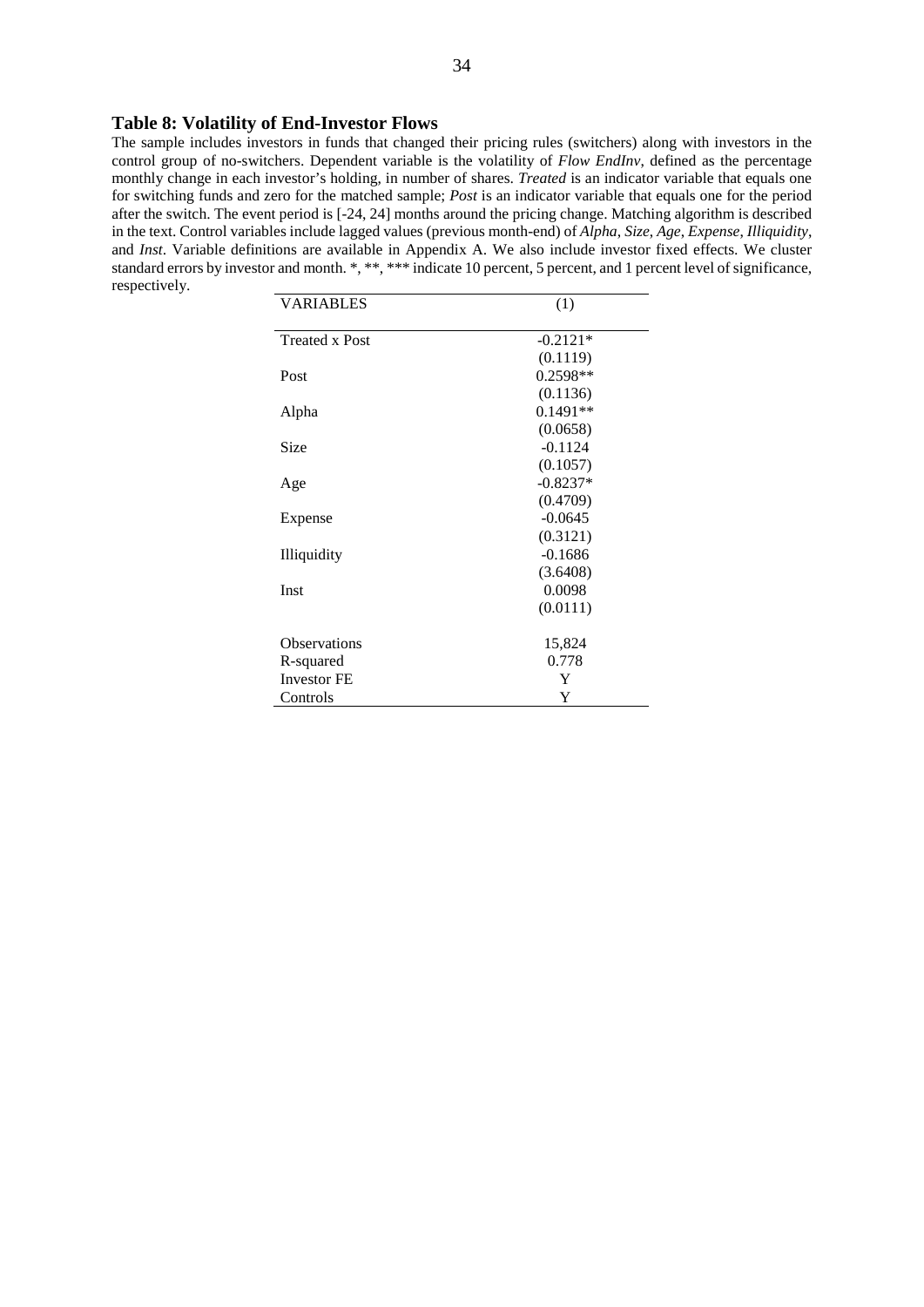#### **Table 8: Volatility of End-Investor Flows**

The sample includes investors in funds that changed their pricing rules (switchers) along with investors in the control group of no-switchers. Dependent variable is the volatility of *Flow EndInv*, defined as the percentage monthly change in each investor's holding, in number of shares. *Treated* is an indicator variable that equals one for switching funds and zero for the matched sample; *Post* is an indicator variable that equals one for the period after the switch. The event period is [-24, 24] months around the pricing change. Matching algorithm is described in the text. Control variables include lagged values (previous month-end) of *Alpha*, *Size*, *Age*, *Expense*, *Illiquidity*, and *Inst*. Variable definitions are available in Appendix A. We also include investor fixed effects. We cluster standard errors by investor and month. \*, \*\*, \*\*\* indicate 10 percent, 5 percent, and 1 percent level of significance, respectively.

| <b>VARIABLES</b>      | (1)        |
|-----------------------|------------|
| <b>Treated x Post</b> | $-0.2121*$ |
|                       | (0.1119)   |
| Post                  | $0.2598**$ |
|                       | (0.1136)   |
| Alpha                 | $0.1491**$ |
|                       | (0.0658)   |
| Size                  | $-0.1124$  |
|                       | (0.1057)   |
| Age                   | $-0.8237*$ |
|                       | (0.4709)   |
| Expense               | $-0.0645$  |
|                       | (0.3121)   |
| Illiquidity           | $-0.1686$  |
|                       | (3.6408)   |
| Inst                  | 0.0098     |
|                       | (0.0111)   |
| Observations          | 15,824     |
| R-squared             | 0.778      |
| <b>Investor FE</b>    | Y          |
| Controls              | Y          |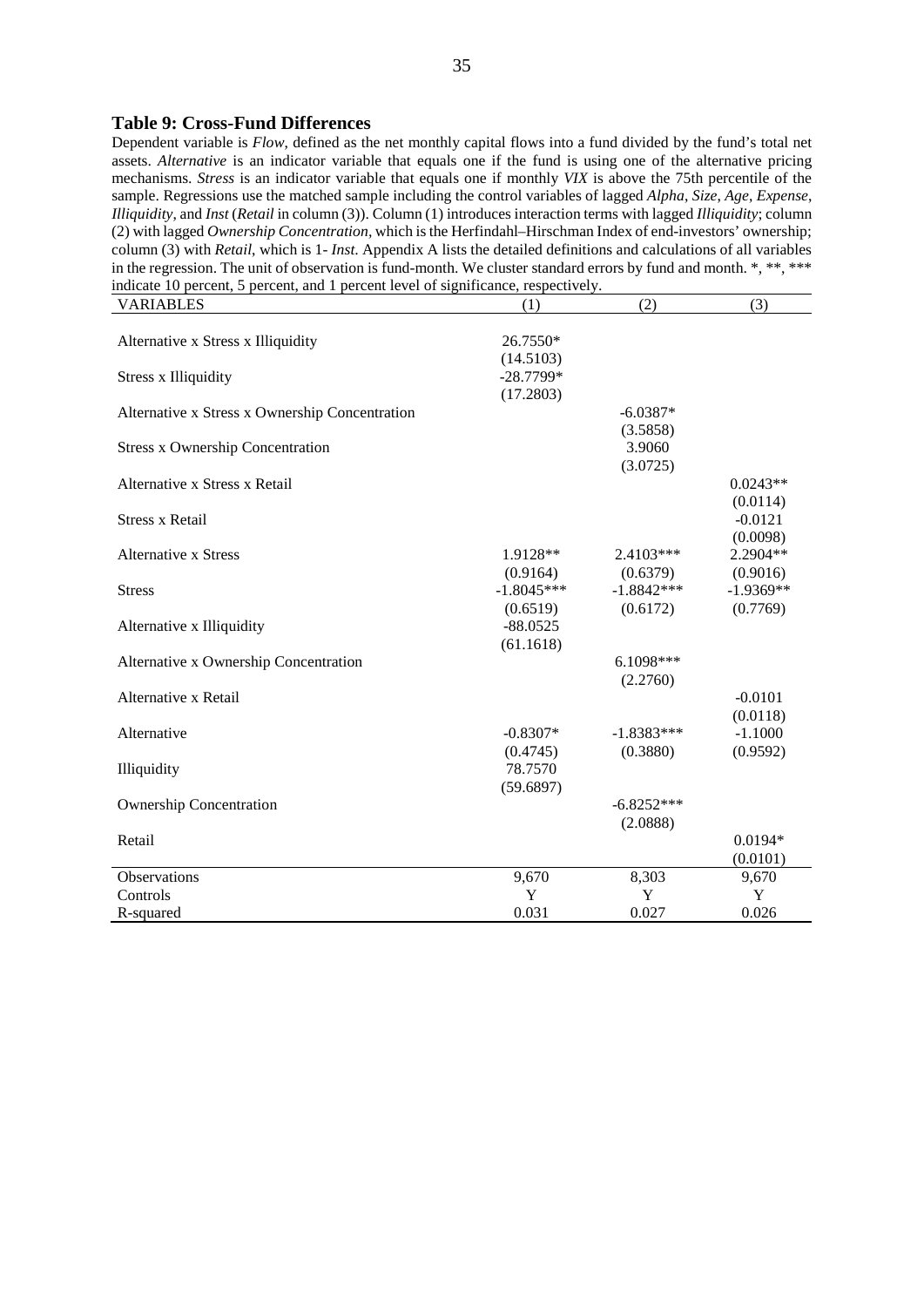#### **Table 9: Cross-Fund Differences**

Dependent variable is *Flow*, defined as the net monthly capital flows into a fund divided by the fund's total net assets. *Alternative* is an indicator variable that equals one if the fund is using one of the alternative pricing mechanisms. *Stress* is an indicator variable that equals one if monthly *VIX* is above the 75th percentile of the sample. Regressions use the matched sample including the control variables of lagged *Alpha*, *Size*, *Age*, *Expense*, *Illiquidity*, and *Inst* (*Retail* in column (3)). Column (1) introduces interaction terms with lagged *Illiquidity*; column (2) with lagged *Ownership Concentration,* which is the Herfindahl–Hirschman Index of end-investors' ownership; column (3) with *Retail*, which is 1- *Inst*. Appendix A lists the detailed definitions and calculations of all variables in the regression. The unit of observation is fund-month. We cluster standard errors by fund and month. \*, \*\*, \*\*\* indicate 10 percent, 5 percent, and 1 percent level of significance, respectively.

| <b>VARIABLES</b>                               | (1)          | (2)          | (3)         |
|------------------------------------------------|--------------|--------------|-------------|
|                                                |              |              |             |
| Alternative x Stress x Illiquidity             | 26.7550*     |              |             |
|                                                | (14.5103)    |              |             |
| <b>Stress x Illiquidity</b>                    | $-28.7799*$  |              |             |
|                                                | (17.2803)    |              |             |
| Alternative x Stress x Ownership Concentration |              | $-6.0387*$   |             |
|                                                |              | (3.5858)     |             |
| <b>Stress x Ownership Concentration</b>        |              | 3.9060       |             |
|                                                |              | (3.0725)     |             |
| Alternative x Stress x Retail                  |              |              | $0.0243**$  |
|                                                |              |              | (0.0114)    |
| <b>Stress x Retail</b>                         |              |              | $-0.0121$   |
|                                                |              |              | (0.0098)    |
| <b>Alternative x Stress</b>                    | 1.9128**     | 2.4103***    | 2.2904**    |
|                                                | (0.9164)     | (0.6379)     | (0.9016)    |
| <b>Stress</b>                                  | $-1.8045***$ | $-1.8842***$ | $-1.9369**$ |
|                                                | (0.6519)     | (0.6172)     | (0.7769)    |
| Alternative x Illiquidity                      | $-88.0525$   |              |             |
|                                                | (61.1618)    |              |             |
| Alternative x Ownership Concentration          |              | $6.1098***$  |             |
|                                                |              | (2.2760)     |             |
| Alternative x Retail                           |              |              | $-0.0101$   |
|                                                |              |              | (0.0118)    |
| Alternative                                    | $-0.8307*$   | $-1.8383***$ | $-1.1000$   |
|                                                | (0.4745)     | (0.3880)     | (0.9592)    |
| Illiquidity                                    | 78.7570      |              |             |
|                                                | (59.6897)    |              |             |
| <b>Ownership Concentration</b>                 |              | $-6.8252***$ |             |
|                                                |              | (2.0888)     |             |
| Retail                                         |              |              | $0.0194*$   |
|                                                |              |              | (0.0101)    |
| Observations                                   | 9,670        | 8,303        | 9,670       |
| Controls                                       | Y            | Y            | Y           |
| R-squared                                      | 0.031        | 0.027        | 0.026       |
|                                                |              |              |             |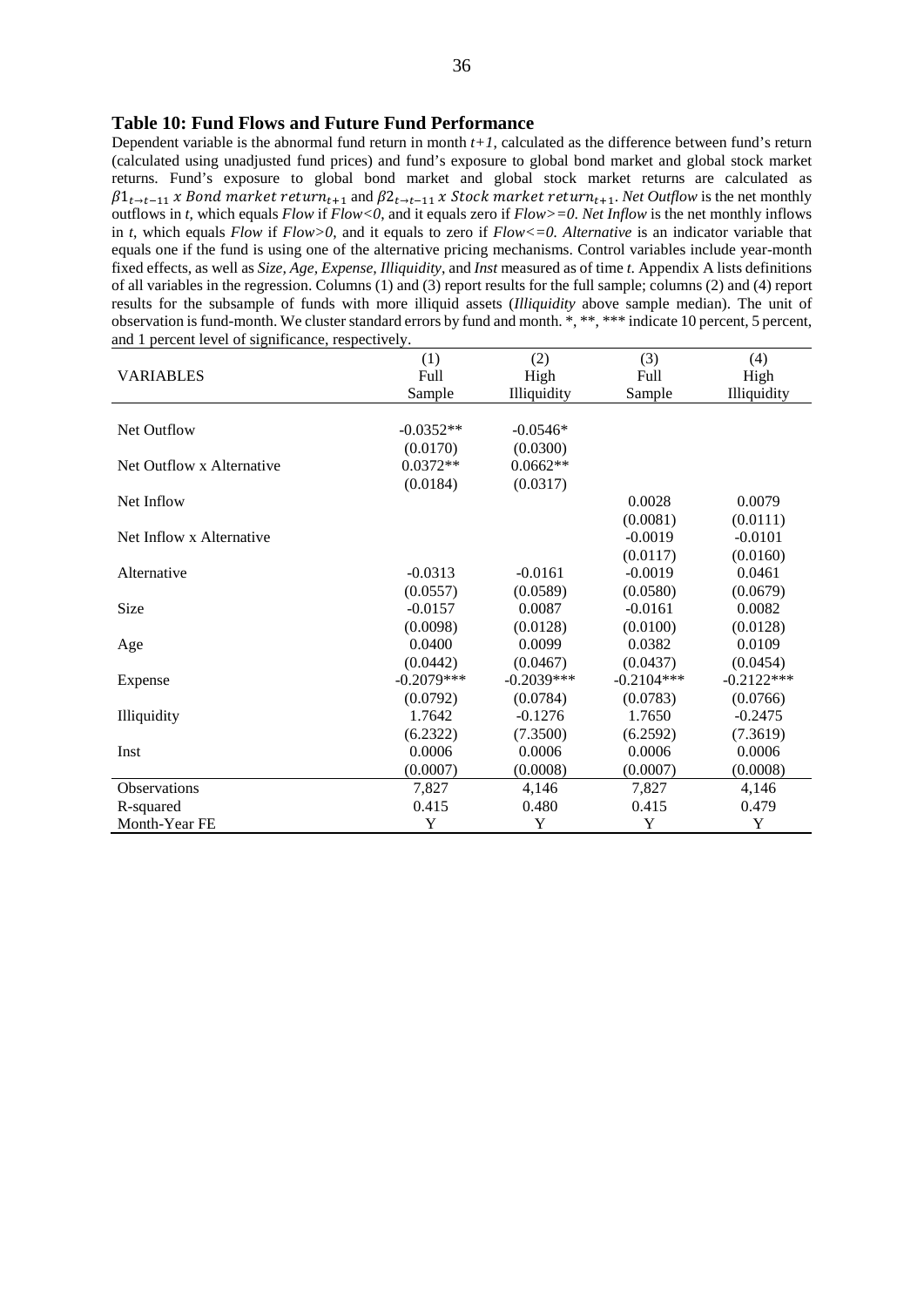#### **Table 10: Fund Flows and Future Fund Performance**

Dependent variable is the abnormal fund return in month  $t+1$ , calculated as the difference between fund's return (calculated using unadjusted fund prices) and fund's exposure to global bond market and global stock market returns. Fund's exposure to global bond market and global stock market returns are calculated as  $\beta1_{t\to t-11}$  *x* Bond market return<sub>t+1</sub> and  $\beta2_{t\to t-11}$  *x* Stock market return<sub>t+1</sub>. Net Outflow is the net monthly outflows in *t*, which equals *Flow* if *Flow<0*, and it equals zero if *Flow>=0*. *Net Inflow* is the net monthly inflows in *t*, which equals *Flow* if *Flow>0*, and it equals to zero if *Flow<=0. Alternative* is an indicator variable that equals one if the fund is using one of the alternative pricing mechanisms. Control variables include year-month fixed effects, as well as *Size*, Age, Expense, Illiquidity, and *Inst* measured as of time *t*. Appendix A lists definitions of all variables in the regression. Columns (1) and (3) report results for the full sample; columns (2) and (4) report results for the subsample of funds with more illiquid assets (*Illiquidity* above sample median). The unit of observation is fund-month. We cluster standard errors by fund and month. \*, \*\*, \*\*\* indicate 10 percent, 5 percent, and 1 percent level of significance, respectively.

|                           | (1)          | (2)          | (3)          | (4)          |
|---------------------------|--------------|--------------|--------------|--------------|
| <b>VARIABLES</b>          | Full         | High         | Full         | High         |
|                           | Sample       | Illiquidity  | Sample       | Illiquidity  |
|                           |              |              |              |              |
| <b>Net Outflow</b>        | $-0.0352**$  | $-0.0546*$   |              |              |
|                           | (0.0170)     | (0.0300)     |              |              |
| Net Outflow x Alternative | $0.0372**$   | $0.0662**$   |              |              |
|                           | (0.0184)     | (0.0317)     |              |              |
| Net Inflow                |              |              | 0.0028       | 0.0079       |
|                           |              |              | (0.0081)     | (0.0111)     |
| Net Inflow x Alternative  |              |              | $-0.0019$    | $-0.0101$    |
|                           |              |              | (0.0117)     | (0.0160)     |
| Alternative               | $-0.0313$    | $-0.0161$    | $-0.0019$    | 0.0461       |
|                           | (0.0557)     | (0.0589)     | (0.0580)     | (0.0679)     |
| Size                      | $-0.0157$    | 0.0087       | $-0.0161$    | 0.0082       |
|                           | (0.0098)     | (0.0128)     | (0.0100)     | (0.0128)     |
| Age                       | 0.0400       | 0.0099       | 0.0382       | 0.0109       |
|                           | (0.0442)     | (0.0467)     | (0.0437)     | (0.0454)     |
| Expense                   | $-0.2079***$ | $-0.2039***$ | $-0.2104***$ | $-0.2122***$ |
|                           | (0.0792)     | (0.0784)     | (0.0783)     | (0.0766)     |
| Illiquidity               | 1.7642       | $-0.1276$    | 1.7650       | $-0.2475$    |
|                           | (6.2322)     | (7.3500)     | (6.2592)     | (7.3619)     |
| Inst                      | 0.0006       | 0.0006       | 0.0006       | 0.0006       |
|                           | (0.0007)     | (0.0008)     | (0.0007)     | (0.0008)     |
| Observations              | 7,827        | 4,146        | 7,827        | 4,146        |
| R-squared                 | 0.415        | 0.480        | 0.415        | 0.479        |
| Month-Year FE             | Y            | Y            | Y            | Y            |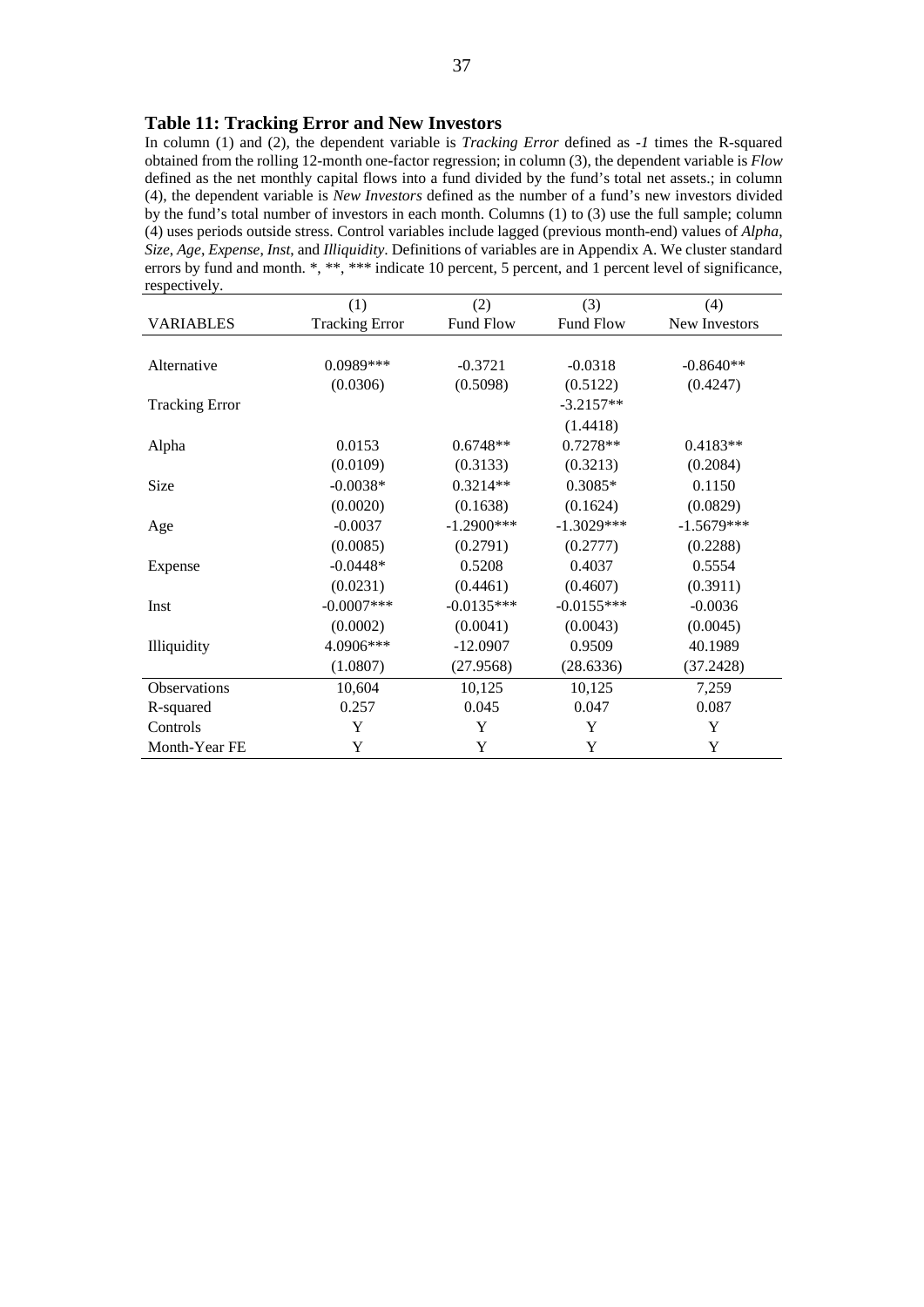#### **Table 11: Tracking Error and New Investors**

In column (1) and (2), the dependent variable is *Tracking Error* defined as *-1* times the R-squared obtained from the rolling 12-month one-factor regression; in column (3), the dependent variable is *Flow* defined as the net monthly capital flows into a fund divided by the fund's total net assets.; in column (4), the dependent variable is *New Investors* defined as the number of a fund's new investors divided by the fund's total number of investors in each month. Columns (1) to (3) use the full sample; column (4) uses periods outside stress. Control variables include lagged (previous month-end) values of *Alpha*, *Size*, *Age*, *Expense*, *Inst*, and *Illiquidity*. Definitions of variables are in Appendix A. We cluster standard errors by fund and month. \*, \*\*, \*\*\* indicate 10 percent, 5 percent, and 1 percent level of significance, respectively.

|                       | (1)                   | (2)          | (3)          | (4)           |
|-----------------------|-----------------------|--------------|--------------|---------------|
| <b>VARIABLES</b>      | <b>Tracking Error</b> | Fund Flow    | Fund Flow    | New Investors |
|                       |                       |              |              |               |
| Alternative           | 0.0989***             | $-0.3721$    | $-0.0318$    | $-0.8640**$   |
|                       | (0.0306)              | (0.5098)     | (0.5122)     | (0.4247)      |
| <b>Tracking Error</b> |                       |              | $-3.2157**$  |               |
|                       |                       |              | (1.4418)     |               |
| Alpha                 | 0.0153                | $0.6748**$   | $0.7278**$   | $0.4183**$    |
|                       | (0.0109)              | (0.3133)     | (0.3213)     | (0.2084)      |
| Size                  | $-0.0038*$            | $0.3214**$   | $0.3085*$    | 0.1150        |
|                       | (0.0020)              | (0.1638)     | (0.1624)     | (0.0829)      |
| Age                   | $-0.0037$             | $-1.2900***$ | $-1.3029***$ | $-1.5679***$  |
|                       | (0.0085)              | (0.2791)     | (0.2777)     | (0.2288)      |
| Expense               | $-0.0448*$            | 0.5208       | 0.4037       | 0.5554        |
|                       | (0.0231)              | (0.4461)     | (0.4607)     | (0.3911)      |
| Inst                  | $-0.0007$ ***         | $-0.0135***$ | $-0.0155***$ | $-0.0036$     |
|                       | (0.0002)              | (0.0041)     | (0.0043)     | (0.0045)      |
| Illiquidity           | 4.0906***             | $-12.0907$   | 0.9509       | 40.1989       |
|                       | (1.0807)              | (27.9568)    | (28.6336)    | (37.2428)     |
| Observations          | 10,604                | 10,125       | 10,125       | 7,259         |
| R-squared             | 0.257                 | 0.045        | 0.047        | 0.087         |
| Controls              | Y                     | Y            | Y            | Y             |
| Month-Year FE         | Y                     | Y            | Y            | Y             |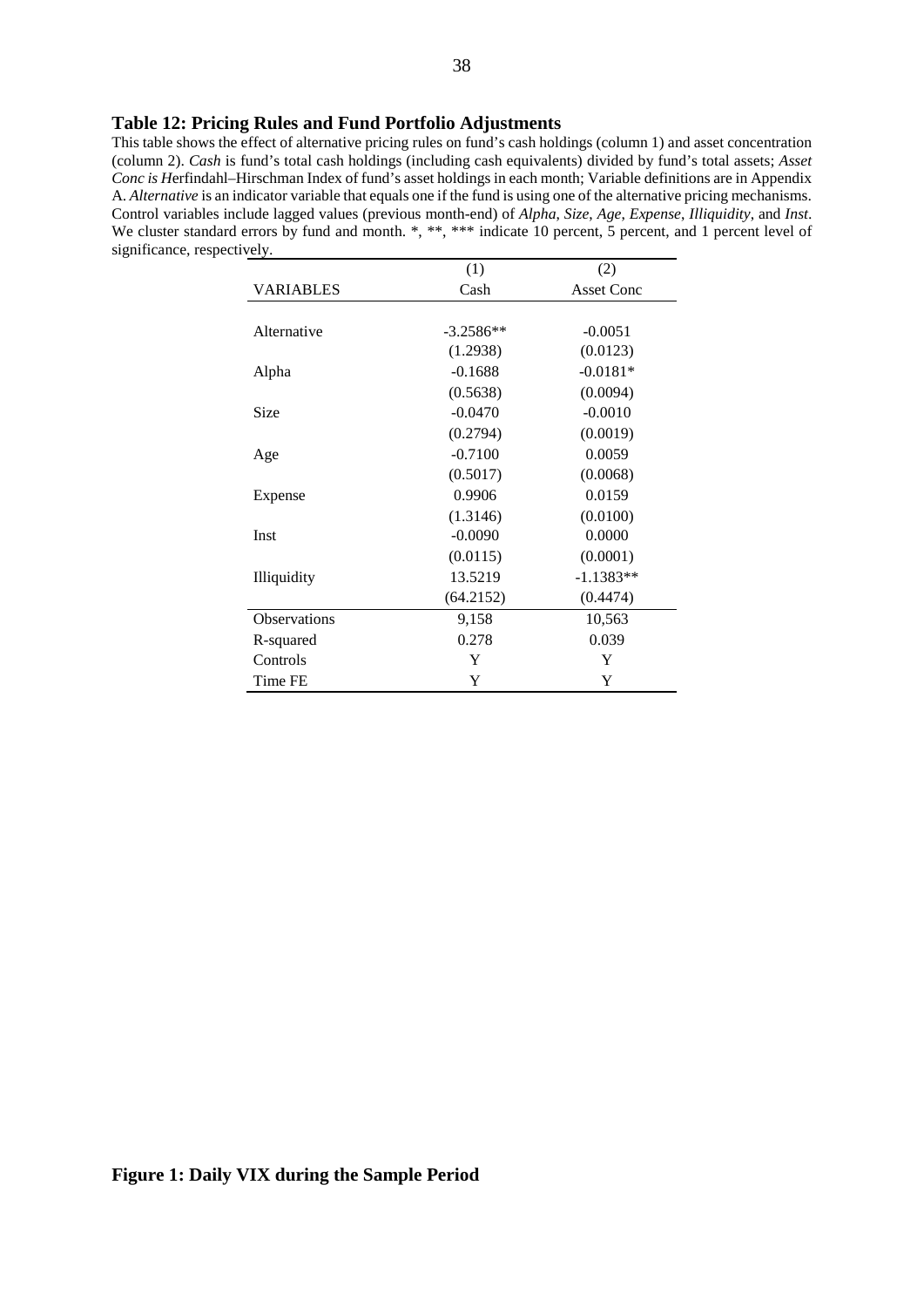#### **Table 12: Pricing Rules and Fund Portfolio Adjustments**

This table shows the effect of alternative pricing rules on fund's cash holdings (column 1) and asset concentration (column 2). *Cash* is fund's total cash holdings (including cash equivalents) divided by fund's total assets; *Asset Conc is H*erfindahl–Hirschman Index of fund's asset holdings in each month; Variable definitions are in Appendix A. *Alternative* is an indicator variable that equals one if the fund is using one of the alternative pricing mechanisms. Control variables include lagged values (previous month-end) of *Alpha*, *Size*, *Age*, *Expense*, *Illiquidity*, and *Inst*. We cluster standard errors by fund and month. \*, \*\*, \*\*\* indicate 10 percent, 5 percent, and 1 percent level of significance, respectively.

|                     | (1)         | (2)               |
|---------------------|-------------|-------------------|
| VARIABLES           | Cash        | <b>Asset Conc</b> |
|                     |             |                   |
| Alternative         | $-3.2586**$ | $-0.0051$         |
|                     | (1.2938)    | (0.0123)          |
| Alpha               | $-0.1688$   | $-0.0181*$        |
|                     | (0.5638)    | (0.0094)          |
| Size                | $-0.0470$   | $-0.0010$         |
|                     | (0.2794)    | (0.0019)          |
| Age                 | $-0.7100$   | 0.0059            |
|                     | (0.5017)    | (0.0068)          |
| Expense             | 0.9906      | 0.0159            |
|                     | (1.3146)    | (0.0100)          |
| Inst                | $-0.0090$   | 0.0000            |
|                     | (0.0115)    | (0.0001)          |
| Illiquidity         | 13.5219     | $-1.1383**$       |
|                     | (64.2152)   | (0.4474)          |
| <b>Observations</b> | 9,158       | 10,563            |
| R-squared           | 0.278       | 0.039             |
| Controls            | Y           | Y                 |
| Time FE             | Y           | Y                 |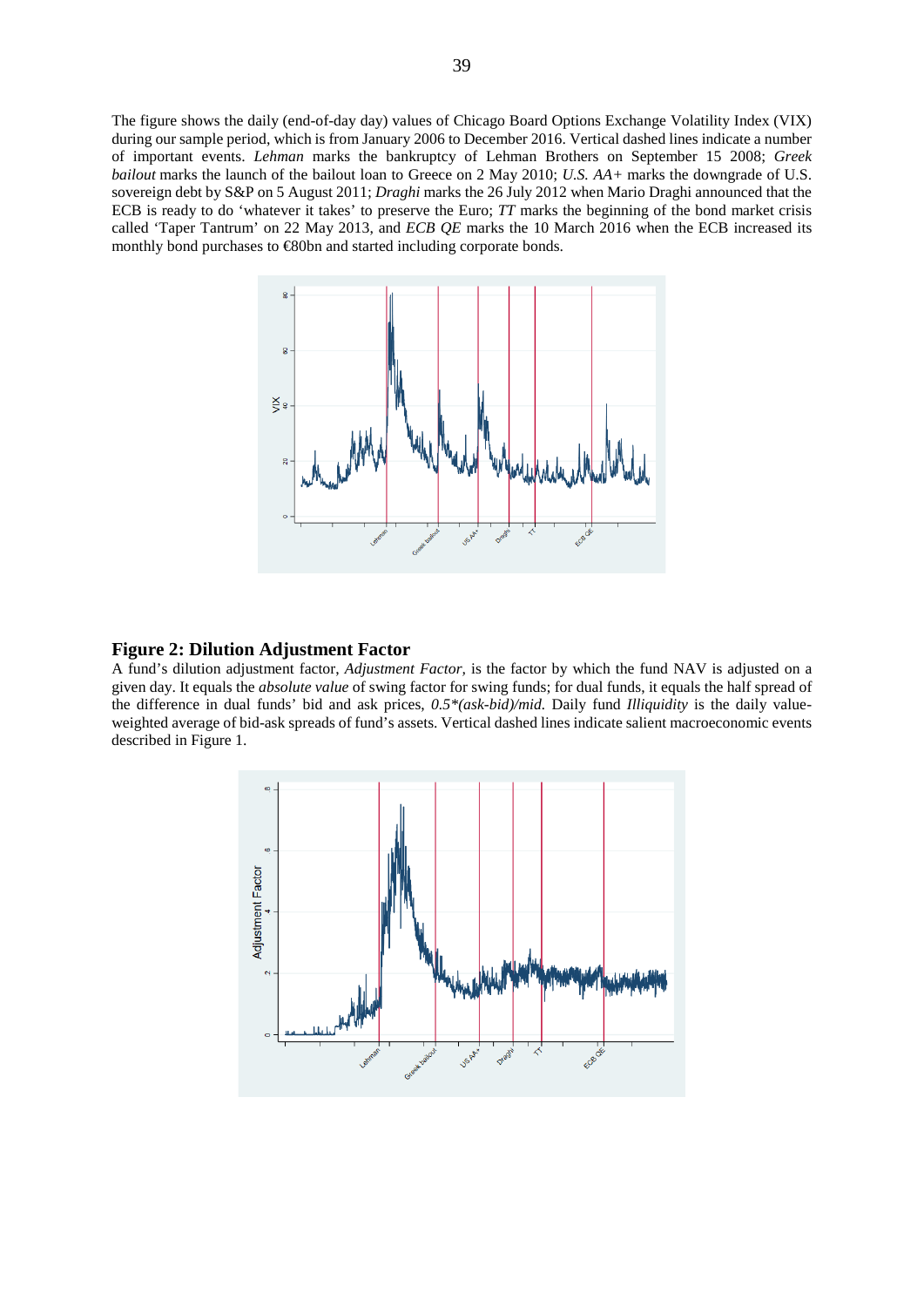The figure shows the daily (end-of-day day) values of Chicago Board Options Exchange Volatility Index (VIX) during our sample period, which is from January 2006 to December 2016. Vertical dashed lines indicate a number of important events. *Lehman* marks the bankruptcy of Lehman Brothers on September 15 2008; *Greek bailout* marks the launch of the bailout loan to Greece on 2 May 2010; *U.S. AA+* marks the downgrade of U.S. sovereign debt by S&P on 5 August 2011; *Draghi* marks the 26 July 2012 when Mario Draghi announced that the ECB is ready to do 'whatever it takes' to preserve the Euro; *TT* marks the beginning of the bond market crisis called 'Taper Tantrum' on 22 May 2013, and *ECB QE* marks the 10 March 2016 when the ECB increased its monthly bond purchases to €80bn and started including corporate bonds.



#### **Figure 2: Dilution Adjustment Factor**

A fund's dilution adjustment factor, *Adjustment Factor,* is the factor by which the fund NAV is adjusted on a given day. It equals the *absolute value* of swing factor for swing funds; for dual funds, it equals the half spread of the difference in dual funds' bid and ask prices, *0.5\*(ask-bid)/mid.* Daily fund *Illiquidity* is the daily valueweighted average of bid-ask spreads of fund's assets. Vertical dashed lines indicate salient macroeconomic events described in Figure 1.

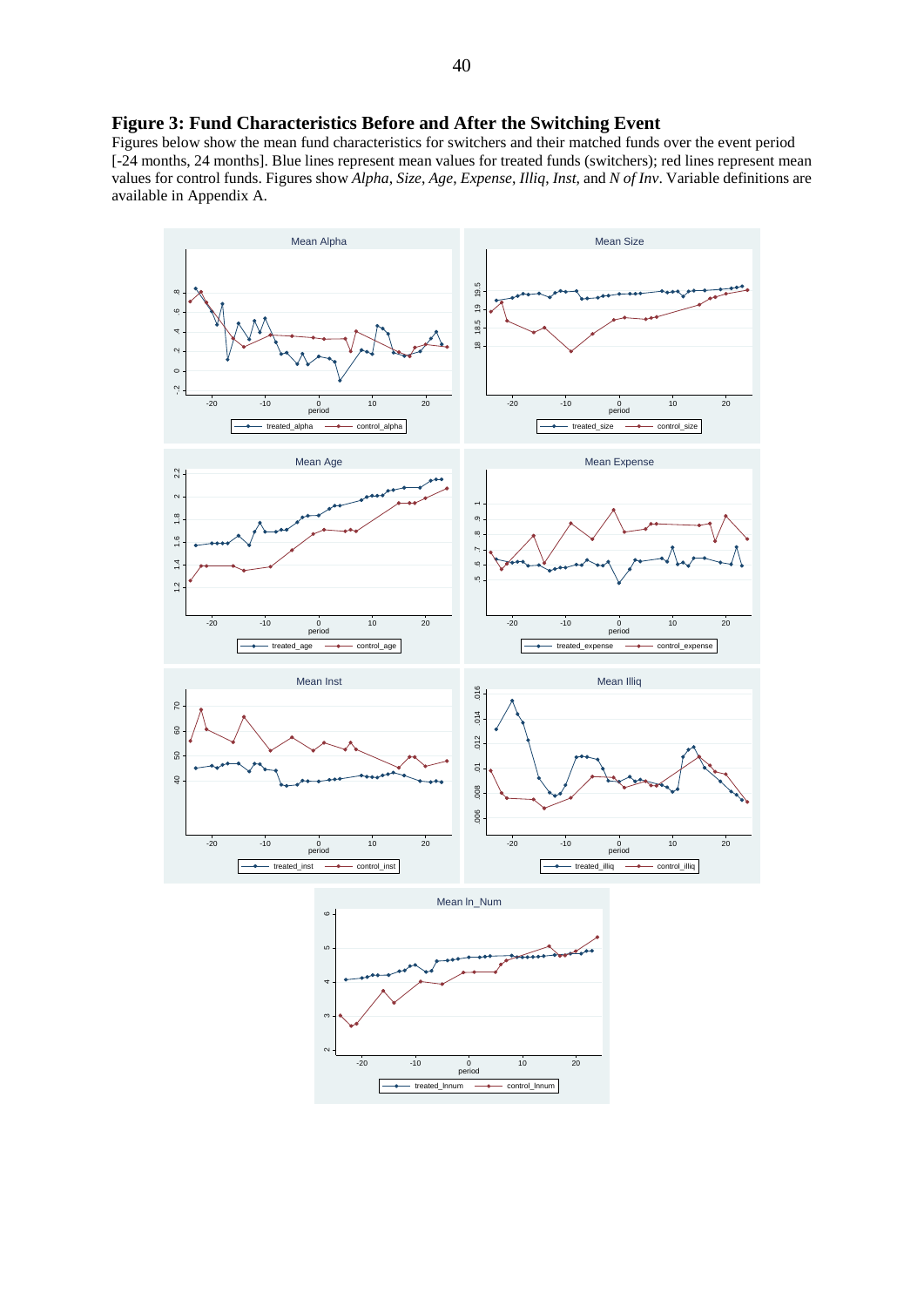## **Figure 3: Fund Characteristics Before and After the Switching Event**

Figures below show the mean fund characteristics for switchers and their matched funds over the event period [-24 months, 24 months]. Blue lines represent mean values for treated funds (switchers); red lines represent mean values for control funds. Figures show *Alpha*, *Size*, *Age*, *Expense*, *Illiq*, *Inst*, and *N of Inv*. Variable definitions are available in Appendix A.



-10 0 10 20<br>period 10 20  $-$  treated lnnum  $-$  control lnnum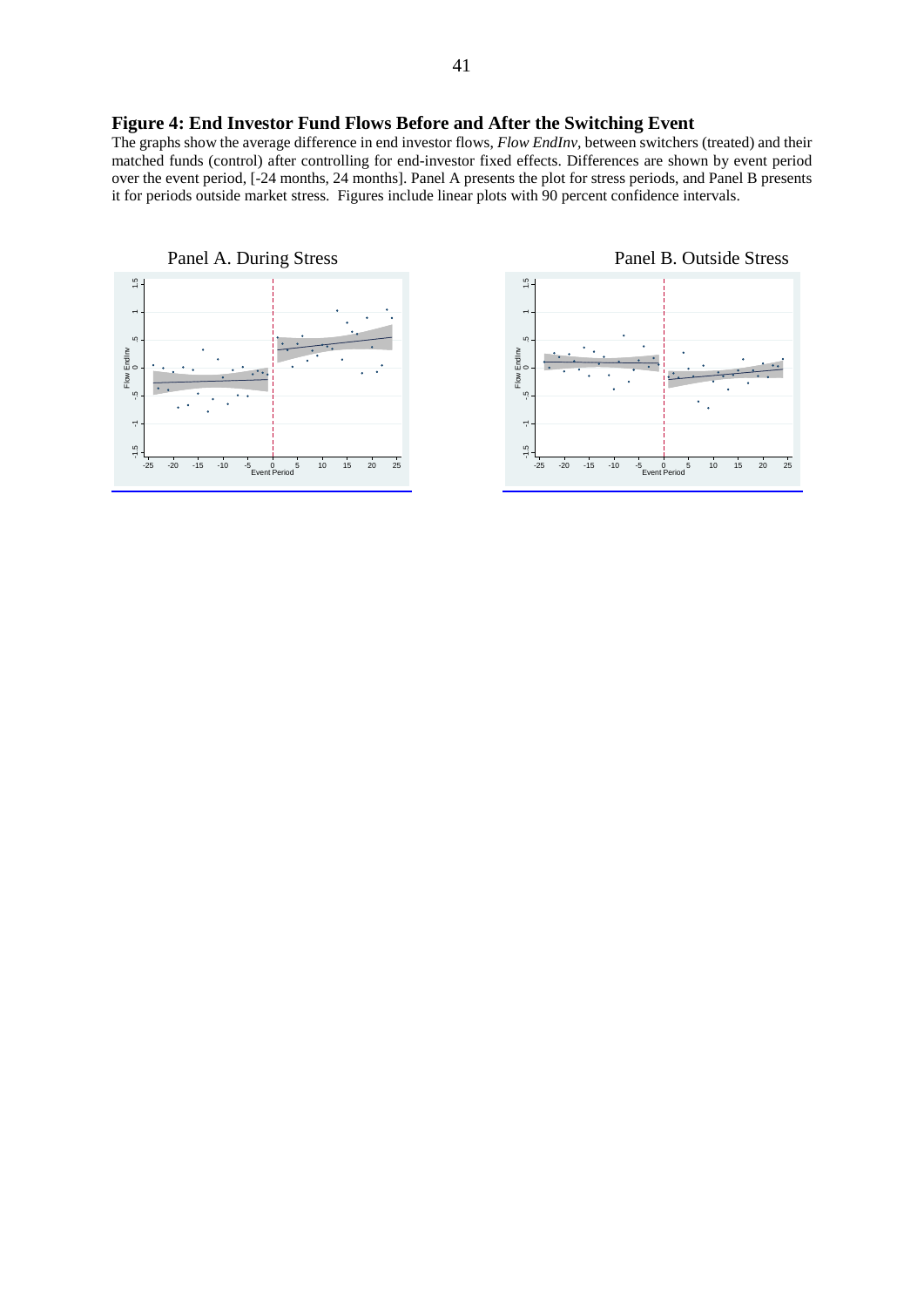## **Figure 4: End Investor Fund Flows Before and After the Switching Event**

The graphs show the average difference in end investor flows, *Flow EndInv,* between switchers (treated) and their matched funds (control) after controlling for end-investor fixed effects. Differences are shown by event period over the event period, [-24 months, 24 months]. Panel A presents the plot for stress periods, and Panel B presents it for periods outside market stress. Figures include linear plots with 90 percent confidence intervals.



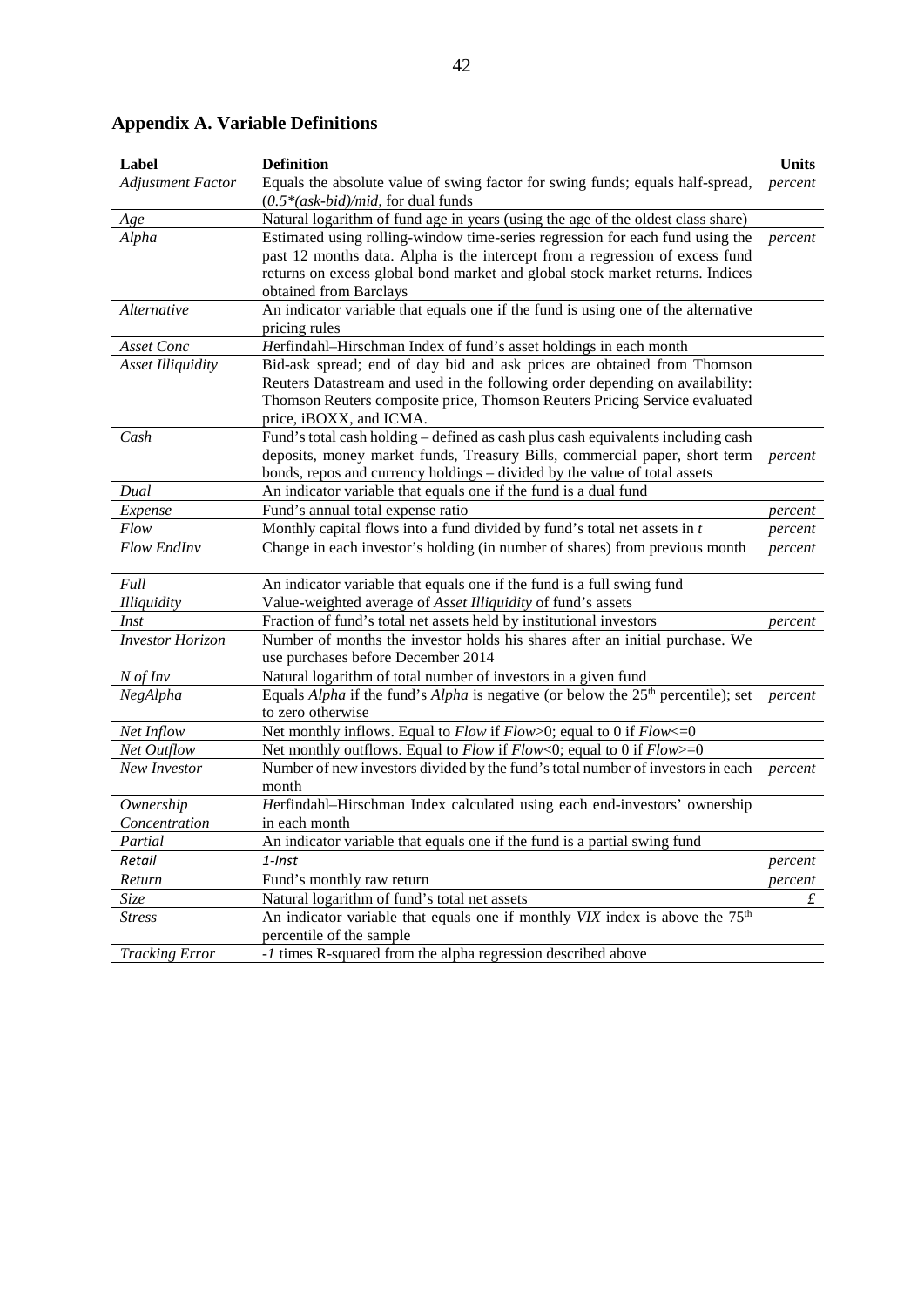| Label                    | <b>Definition</b>                                                                                | <b>Units</b> |
|--------------------------|--------------------------------------------------------------------------------------------------|--------------|
| <b>Adjustment Factor</b> | Equals the absolute value of swing factor for swing funds; equals half-spread,                   | percent      |
|                          | $(0.5*(ask-bid)/mid,$ for dual funds                                                             |              |
| Age                      | Natural logarithm of fund age in years (using the age of the oldest class share)                 |              |
| Alpha                    | Estimated using rolling-window time-series regression for each fund using the                    | percent      |
|                          | past 12 months data. Alpha is the intercept from a regression of excess fund                     |              |
|                          | returns on excess global bond market and global stock market returns. Indices                    |              |
|                          | obtained from Barclays                                                                           |              |
| Alternative              | An indicator variable that equals one if the fund is using one of the alternative                |              |
|                          | pricing rules                                                                                    |              |
| Asset Conc               | Herfindahl-Hirschman Index of fund's asset holdings in each month                                |              |
| <b>Asset Illiquidity</b> | Bid-ask spread; end of day bid and ask prices are obtained from Thomson                          |              |
|                          | Reuters Datastream and used in the following order depending on availability:                    |              |
|                          | Thomson Reuters composite price, Thomson Reuters Pricing Service evaluated                       |              |
|                          | price, iBOXX, and ICMA.                                                                          |              |
| Cash                     | Fund's total cash holding - defined as cash plus cash equivalents including cash                 |              |
|                          | deposits, money market funds, Treasury Bills, commercial paper, short term                       | percent      |
|                          | bonds, repos and currency holdings - divided by the value of total assets                        |              |
| Dual                     | An indicator variable that equals one if the fund is a dual fund                                 |              |
| Expense                  | Fund's annual total expense ratio                                                                | percent      |
| Flow                     | Monthly capital flows into a fund divided by fund's total net assets in $t$                      | percent      |
| <b>Flow EndInv</b>       | Change in each investor's holding (in number of shares) from previous month                      | percent      |
| Full                     | An indicator variable that equals one if the fund is a full swing fund                           |              |
| <b>Illiquidity</b>       | Value-weighted average of Asset Illiquidity of fund's assets                                     |              |
| Inst                     | Fraction of fund's total net assets held by institutional investors                              | percent      |
| <b>Investor Horizon</b>  | Number of months the investor holds his shares after an initial purchase. We                     |              |
|                          | use purchases before December 2014                                                               |              |
| $N$ of $Inv$             | Natural logarithm of total number of investors in a given fund                                   |              |
| NegAlpha                 | Equals <i>Alpha</i> if the fund's <i>Alpha</i> is negative (or below the $25th$ percentile); set | percent      |
|                          | to zero otherwise                                                                                |              |
| Net Inflow               | Net monthly inflows. Equal to $Flow$ if $Flow>0$ ; equal to 0 if $Flow<=0$                       |              |
| Net Outflow              | Net monthly outflows. Equal to $Flow$ if $Flow<0$ ; equal to 0 if $Flow>=0$                      |              |
| New Investor             | Number of new investors divided by the fund's total number of investors in each                  | percent      |
|                          | month                                                                                            |              |
| Ownership                | Herfindahl-Hirschman Index calculated using each end-investors' ownership                        |              |
| Concentration            | in each month                                                                                    |              |
| Partial                  | An indicator variable that equals one if the fund is a partial swing fund                        |              |
| Retail                   | 1-Inst                                                                                           | percent      |
| Return                   | Fund's monthly raw return                                                                        | percent      |
| Size                     | Natural logarithm of fund's total net assets                                                     | £            |
| <b>Stress</b>            | An indicator variable that equals one if monthly VIX index is above the 75 <sup>th</sup>         |              |
|                          | percentile of the sample                                                                         |              |
| <b>Tracking Error</b>    | -1 times R-squared from the alpha regression described above                                     |              |

# **Appendix A. Variable Definitions**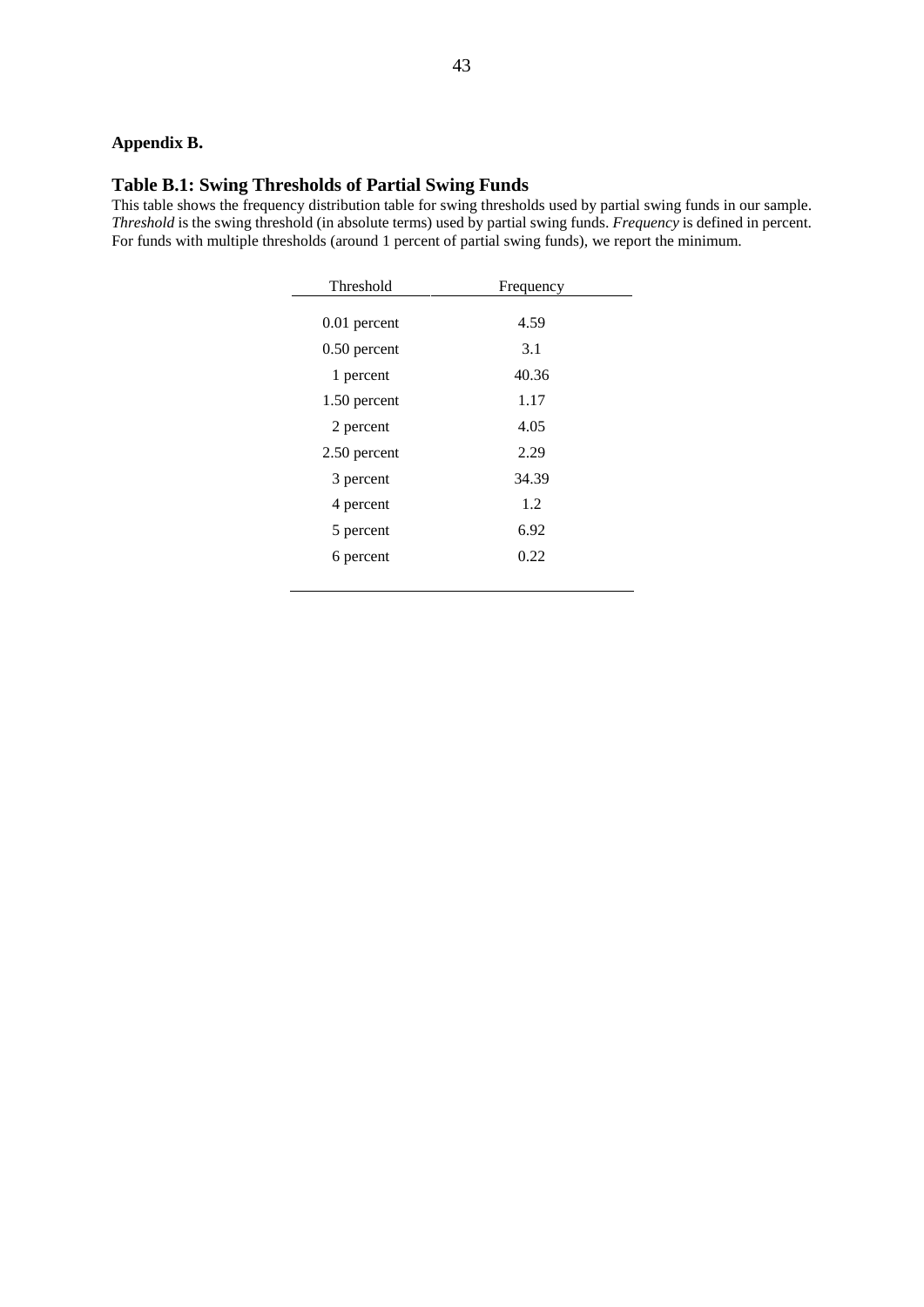# **Appendix B.**

# **Table B.1: Swing Thresholds of Partial Swing Funds**

This table shows the frequency distribution table for swing thresholds used by partial swing funds in our sample. *Threshold* is the swing threshold (in absolute terms) used by partial swing funds. *Frequency* is defined in percent. For funds with multiple thresholds (around 1 percent of partial swing funds), we report the minimum.

| Threshold      | Frequency |  |
|----------------|-----------|--|
|                |           |  |
| $0.01$ percent | 4.59      |  |
| $0.50$ percent | 3.1       |  |
| 1 percent      | 40.36     |  |
| 1.50 percent   | 1.17      |  |
| 2 percent      | 4.05      |  |
| 2.50 percent   | 2.29      |  |
| 3 percent      | 34.39     |  |
| 4 percent      | 1.2       |  |
| 5 percent      | 6.92      |  |
| 6 percent      | 0.22      |  |
|                |           |  |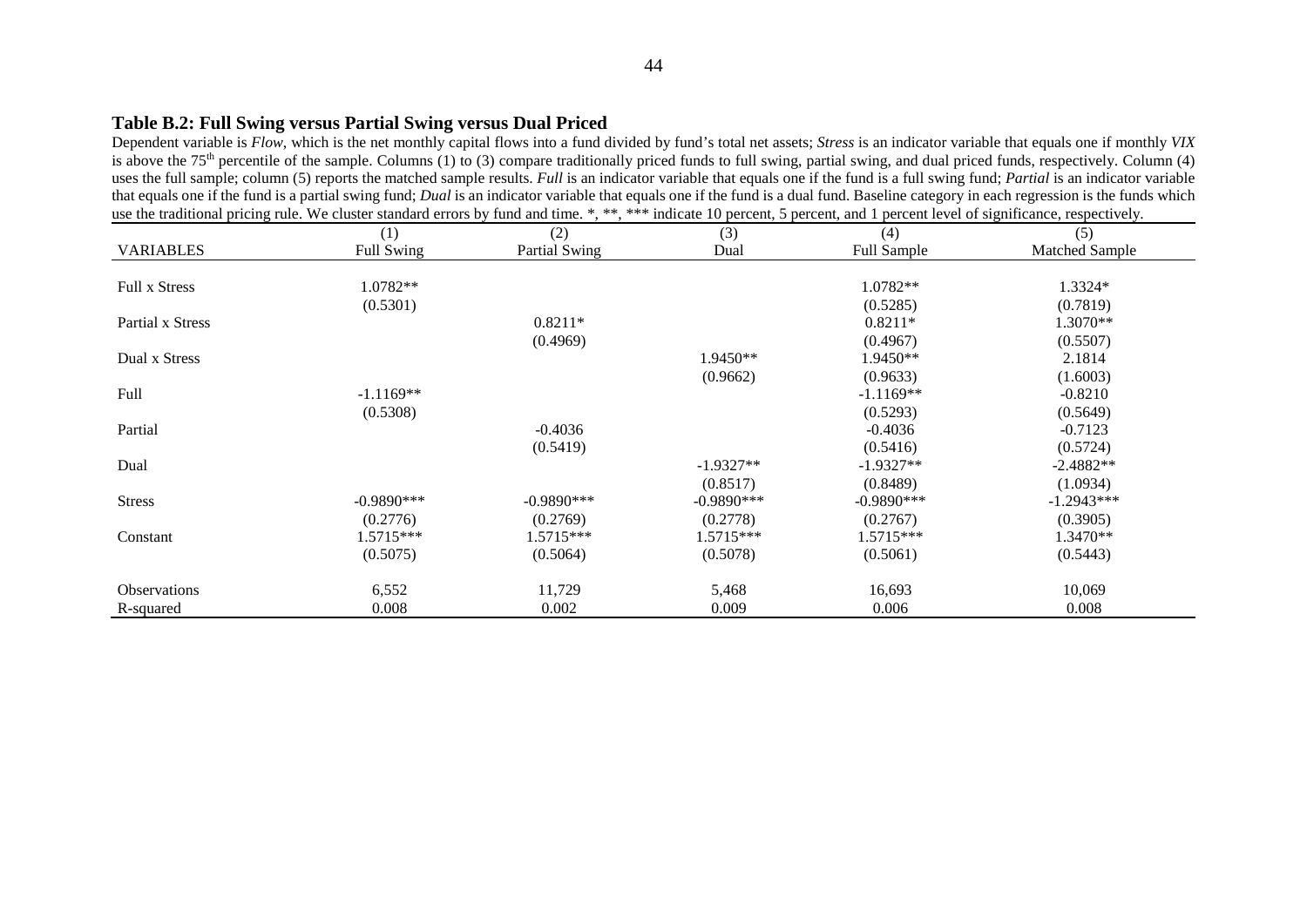#### **Table B.2: Full Swing versus Partial Swing versus Dual Priced**

Dependent variable is *Flow*, which is the net monthly capital flows into a fund divided by fund's total net assets; *Stress* is an indicator variable that equals one if monthly *VIX* is above the 75<sup>th</sup> percentile of the sample. Columns (1) to (3) compare traditionally priced funds to full swing, partial swing, and dual priced funds, respectively. Column (4) uses the full sample; column (5) reports the matched sample results. *Full* is an indicator variable that equals one if the fund is a full swing fund; *Partial* is an indicator variable that equals one if the fund is a partial swing fund; *Dual* is an indicator variable that equals one if the fund is a dual fund. Baseline category in each regression is the funds which use the traditional pricing rule. We cluster standard errors by fund and time. \*, \*\*, \*\*\* indicate 10 percent, 5 percent, and 1 percent level of significance, respectively.

|                      | (1)          | (2)           | (3)          | (4)           | (5)            |
|----------------------|--------------|---------------|--------------|---------------|----------------|
| <b>VARIABLES</b>     | Full Swing   | Partial Swing | Dual         | Full Sample   | Matched Sample |
|                      |              |               |              |               |                |
| <b>Full x Stress</b> | 1.0782**     |               |              | 1.0782**      | 1.3324*        |
|                      | (0.5301)     |               |              | (0.5285)      | (0.7819)       |
| Partial x Stress     |              | $0.8211*$     |              | $0.8211*$     | 1.3070**       |
|                      |              | (0.4969)      |              | (0.4967)      | (0.5507)       |
| Dual x Stress        |              |               | 1.9450**     | $1.9450**$    | 2.1814         |
|                      |              |               | (0.9662)     | (0.9633)      | (1.6003)       |
| Full                 | $-1.1169**$  |               |              | $-1.1169**$   | $-0.8210$      |
|                      | (0.5308)     |               |              | (0.5293)      | (0.5649)       |
| Partial              |              | $-0.4036$     |              | $-0.4036$     | $-0.7123$      |
|                      |              | (0.5419)      |              | (0.5416)      | (0.5724)       |
| Dual                 |              |               | $-1.9327**$  | $-1.9327**$   | $-2.4882**$    |
|                      |              |               | (0.8517)     | (0.8489)      | (1.0934)       |
| <b>Stress</b>        | $-0.9890***$ | $-0.9890***$  | $-0.9890***$ | $-0.9890$ *** | $-1.2943***$   |
|                      | (0.2776)     | (0.2769)      | (0.2778)     | (0.2767)      | (0.3905)       |
| Constant             | $1.5715***$  | $1.5715***$   | 1.5715***    | $1.5715***$   | 1.3470**       |
|                      | (0.5075)     | (0.5064)      | (0.5078)     | (0.5061)      | (0.5443)       |
| <b>Observations</b>  | 6,552        | 11,729        | 5,468        | 16,693        | 10,069         |
| R-squared            | 0.008        | 0.002         | 0.009        | 0.006         | 0.008          |